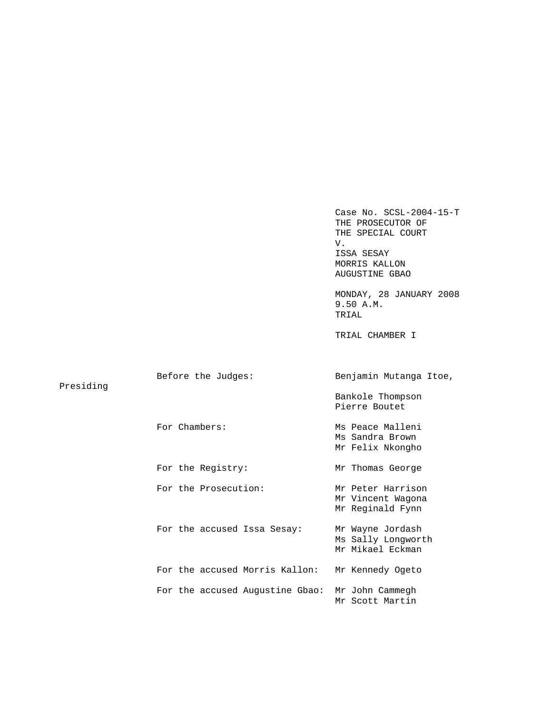|           |                                 | Case No. SCSL-2004-15-T<br>THE PROSECUTOR OF<br>THE SPECIAL COURT<br>V.<br>ISSA SESAY<br>MORRIS KALLON<br>AUGUSTINE GBAO<br>MONDAY, 28 JANUARY 2008 |
|-----------|---------------------------------|-----------------------------------------------------------------------------------------------------------------------------------------------------|
|           |                                 | 9.50 A.M.<br>TRIAL                                                                                                                                  |
|           |                                 | TRIAL CHAMBER I                                                                                                                                     |
| Presiding | Before the Judges:              | Benjamin Mutanga Itoe,                                                                                                                              |
|           |                                 | Bankole Thompson<br>Pierre Boutet                                                                                                                   |
|           | For Chambers:                   | Ms Peace Malleni<br>Ms Sandra Brown<br>Mr Felix Nkongho                                                                                             |
|           | For the Registry:               | Mr Thomas George                                                                                                                                    |
|           | For the Prosecution:            | Mr Peter Harrison<br>Mr Vincent Wagona<br>Mr Reginald Fynn                                                                                          |
|           | For the accused Issa Sesay:     | Mr Wayne Jordash<br>Ms Sally Longworth<br>Mr Mikael Eckman                                                                                          |
|           | For the accused Morris Kallon:  | Mr Kennedy Ogeto                                                                                                                                    |
|           | For the accused Augustine Gbao: | Mr John Cammegh<br>Mr Scott Martin                                                                                                                  |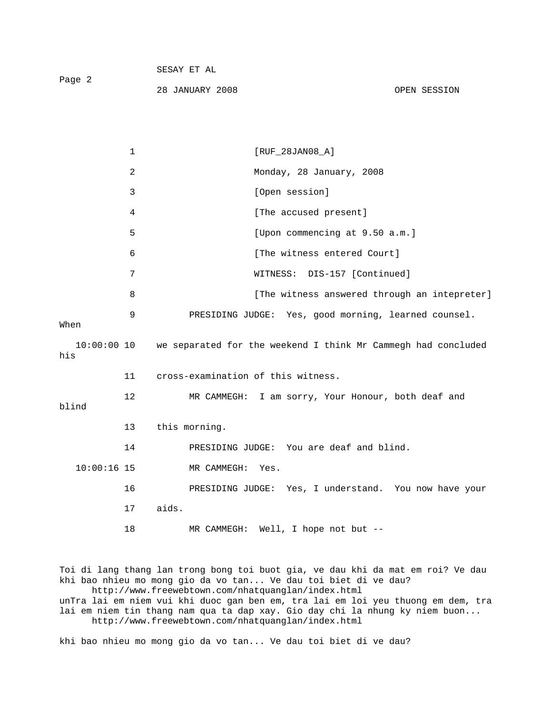|                      | $\mathbf{1}$ | $[RUF_28JAN08_A]$                                             |
|----------------------|--------------|---------------------------------------------------------------|
|                      | 2            | Monday, 28 January, 2008                                      |
|                      | 3            | [Open session]                                                |
|                      | 4            | [The accused present]                                         |
|                      | 5            | [Upon commencing at 9.50 a.m.]                                |
|                      | 6            | [The witness entered Court]                                   |
|                      | 7            | WITNESS: DIS-157 [Continued]                                  |
|                      | 8            | [The witness answered through an intepreter]                  |
| When                 | 9            | PRESIDING JUDGE: Yes, good morning, learned counsel.          |
| $10:00:00$ 10<br>his |              | we separated for the weekend I think Mr Cammegh had concluded |
|                      | 11           | cross-examination of this witness.                            |
| blind                | 12           | MR CAMMEGH: I am sorry, Your Honour, both deaf and            |
|                      | 13           | this morning.                                                 |
|                      | 14           | PRESIDING JUDGE: You are deaf and blind.                      |
| $10:00:16$ 15        |              | MR CAMMEGH: Yes.                                              |
|                      | 16           | PRESIDING JUDGE: Yes, I understand. You now have your         |
|                      | 17           | aids.                                                         |

28 JANUARY 2008 OPEN SESSION

SESAY ET AL

Page 2

18 MR CAMMEGH: Well, I hope not but --

Toi di lang thang lan trong bong toi buot gia, ve dau khi da mat em roi? Ve dau khi bao nhieu mo mong gio da vo tan... Ve dau toi biet di ve dau? http://www.freewebtown.com/nhatquanglan/index.html unTra lai em niem vui khi duoc gan ben em, tra lai em loi yeu thuong em dem, tra lai em niem tin thang nam qua ta dap xay. Gio day chi la nhung ky niem buon... http://www.freewebtown.com/nhatquanglan/index.html

khi bao nhieu mo mong gio da vo tan... Ve dau toi biet di ve dau?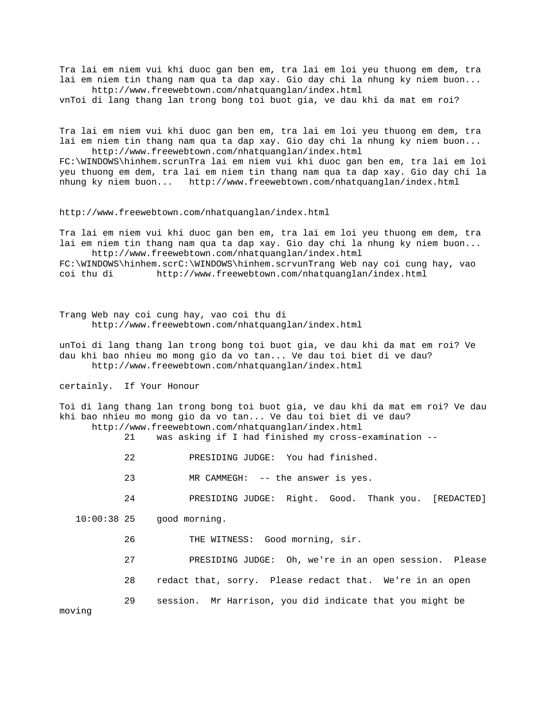Tra lai em niem vui khi duoc gan ben em, tra lai em loi yeu thuong em dem, tra lai em niem tin thang nam qua ta dap xay. Gio day chi la nhung ky niem buon... http://www.freewebtown.com/nhatquanglan/index.html

vnToi di lang thang lan trong bong toi buot gia, ve dau khi da mat em roi?

Tra lai em niem vui khi duoc gan ben em, tra lai em loi yeu thuong em dem, tra lai em niem tin thang nam qua ta dap xay. Gio day chi la nhung ky niem buon... http://www.freewebtown.com/nhatquanglan/index.html

FC:\WINDOWS\hinhem.scrunTra lai em niem vui khi duoc gan ben em, tra lai em loi yeu thuong em dem, tra lai em niem tin thang nam qua ta dap xay. Gio day chi la nhung ky niem buon... http://www.freewebtown.com/nhatquanglan/index.html

http://www.freewebtown.com/nhatquanglan/index.html

Tra lai em niem vui khi duoc gan ben em, tra lai em loi yeu thuong em dem, tra lai em niem tin thang nam qua ta dap xay. Gio day chi la nhung ky niem buon... http://www.freewebtown.com/nhatquanglan/index.html

FC:\WINDOWS\hinhem.scrC:\WINDOWS\hinhem.scrvunTrang Web nay coi cung hay, vao coi thu di http://www.freewebtown.com/nhatquanglan/index.html

Trang Web nay coi cung hay, vao coi thu di http://www.freewebtown.com/nhatquanglan/index.html

unToi di lang thang lan trong bong toi buot gia, ve dau khi da mat em roi? Ve dau khi bao nhieu mo mong gio da vo tan... Ve dau toi biet di ve dau? http://www.freewebtown.com/nhatquanglan/index.html

certainly. If Your Honour

Toi di lang thang lan trong bong toi buot gia, ve dau khi da mat em roi? Ve dau khi bao nhieu mo mong gio da vo tan... Ve dau toi biet di ve dau? http://www.freewebtown.com/nhatquanglan/index.html

21 was asking if I had finished my cross-examination --

- 
- 22 PRESIDING JUDGE: You had finished.
- 23 MR CAMMEGH: -- the answer is yes.
- 24 PRESIDING JUDGE: Right. Good. Thank you. [REDACTED]

10:00:38 25 good morning.

- 26 THE WITNESS: Good morning, sir.
- 27 PRESIDING JUDGE: Oh, we're in an open session. Please
- 28 redact that, sorry. Please redact that. We're in an open
- 29 session. Mr Harrison, you did indicate that you might be

moving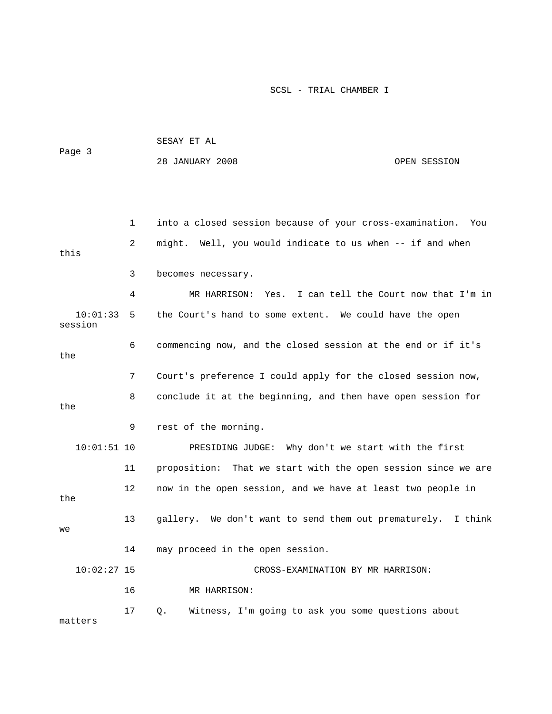| Page 3              |    | SESAY ET AL                                                      |              |  |  |  |
|---------------------|----|------------------------------------------------------------------|--------------|--|--|--|
|                     |    | 28 JANUARY 2008                                                  | OPEN SESSION |  |  |  |
|                     |    |                                                                  |              |  |  |  |
|                     |    |                                                                  |              |  |  |  |
|                     | 1  | into a closed session because of your cross-examination.         | You          |  |  |  |
|                     |    |                                                                  |              |  |  |  |
| this                | 2  | might. Well, you would indicate to us when -- if and when        |              |  |  |  |
|                     | 3  | becomes necessary.                                               |              |  |  |  |
|                     | 4  | MR HARRISON: Yes. I can tell the Court now that I'm in           |              |  |  |  |
| 10:01:33<br>session | 5  | the Court's hand to some extent. We could have the open          |              |  |  |  |
| the                 | 6  | commencing now, and the closed session at the end or if it's     |              |  |  |  |
|                     | 7  | Court's preference I could apply for the closed session now,     |              |  |  |  |
| the                 | 8  | conclude it at the beginning, and then have open session for     |              |  |  |  |
|                     | 9  | rest of the morning.                                             |              |  |  |  |
| $10:01:51$ 10       |    | PRESIDING JUDGE: Why don't we start with the first               |              |  |  |  |
|                     | 11 | That we start with the open session since we are<br>proposition: |              |  |  |  |
| the                 | 12 | now in the open session, and we have at least two people in      |              |  |  |  |
| we                  | 13 | gallery. We don't want to send them out prematurely.             | I think      |  |  |  |
|                     | 14 | may proceed in the open session.                                 |              |  |  |  |
| $10:02:27$ 15       |    | CROSS-EXAMINATION BY MR HARRISON:                                |              |  |  |  |
|                     | 16 | MR HARRISON:                                                     |              |  |  |  |
|                     | 17 | Witness, I'm going to ask you some questions about<br>Q.         |              |  |  |  |

matters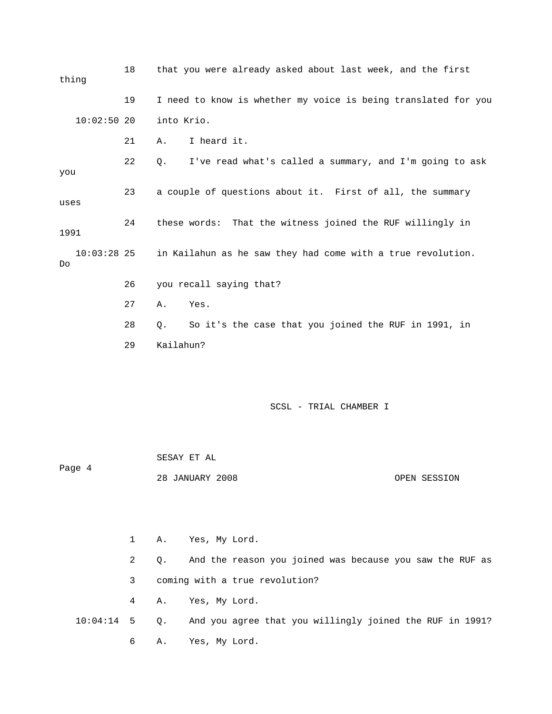18 that you were already asked about last week, and the first thing 19 I need to know is whether my voice is being translated for you 10:02:50 20 into Krio. 21 A. I heard it. 22 Q. I've read what's called a summary, and I'm going to ask you 23 a couple of questions about it. First of all, the summary uses 24 these words: That the witness joined the RUF willingly in 1991 10:03:28 25 in Kailahun as he saw they had come with a true revolution. Do 26 you recall saying that? 27 A. Yes. 28 Q. So it's the case that you joined the RUF in 1991, in 29 Kailahun? SCSL - TRIAL CHAMBER I SESAY ET AL Page 4 28 JANUARY 2008 OPEN SESSION

 1 A. Yes, My Lord. 2 Q. And the reason you joined was because you saw the RUF as 3 coming with a true revolution? 4 A. Yes, My Lord. 10:04:14 5 Q. And you agree that you willingly joined the RUF in 1991? 6 A. Yes, My Lord.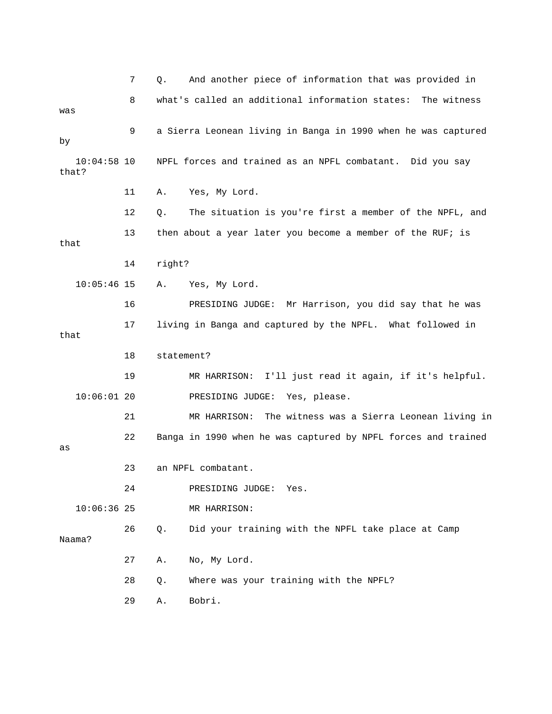7 Q. And another piece of information that was provided in 8 what's called an additional information states: The witness was 9 a Sierra Leonean living in Banga in 1990 when he was captured by 10:04:58 10 NPFL forces and trained as an NPFL combatant. Did you say that? 11 A. Yes, My Lord. 12 Q. The situation is you're first a member of the NPFL, and 13 then about a year later you become a member of the RUF; is that 14 right? 10:05:46 15 A. Yes, My Lord. 16 PRESIDING JUDGE: Mr Harrison, you did say that he was 17 living in Banga and captured by the NPFL. What followed in that 18 statement? 19 MR HARRISON: I'll just read it again, if it's helpful. 10:06:01 20 PRESIDING JUDGE: Yes, please. 21 MR HARRISON: The witness was a Sierra Leonean living in 22 Banga in 1990 when he was captured by NPFL forces and trained as 23 an NPFL combatant. 24 PRESIDING JUDGE: Yes. 10:06:36 25 MR HARRISON: 26 Q. Did your training with the NPFL take place at Camp Naama? 27 A. No, My Lord. 28 Q. Where was your training with the NPFL? 29 A. Bobri.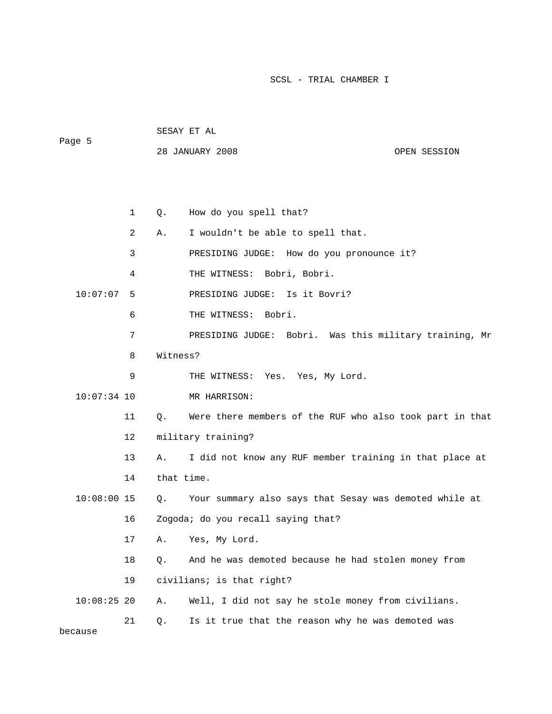28 JANUARY 2008 OPEN SESSION

 SESAY ET AL Page 5

 1 Q. How do you spell that? 2 A. I wouldn't be able to spell that. 3 PRESIDING JUDGE: How do you pronounce it? 4 THE WITNESS: Bobri, Bobri. 10:07:07 5 PRESIDING JUDGE: Is it Bovri? 6 THE WITNESS: Bobri. 7 PRESIDING JUDGE: Bobri. Was this military training, Mr 8 Witness? 9 THE WITNESS: Yes. Yes, My Lord. 10:07:34 10 MR HARRISON: 11 Q. Were there members of the RUF who also took part in that 12 military training? 13 A. I did not know any RUF member training in that place at 14 that time. 10:08:00 15 Q. Your summary also says that Sesay was demoted while at 16 Zogoda; do you recall saying that? 17 A. Yes, My Lord. 18 Q. And he was demoted because he had stolen money from 19 civilians; is that right? 10:08:25 20 A. Well, I did not say he stole money from civilians. 21 Q. Is it true that the reason why he was demoted was because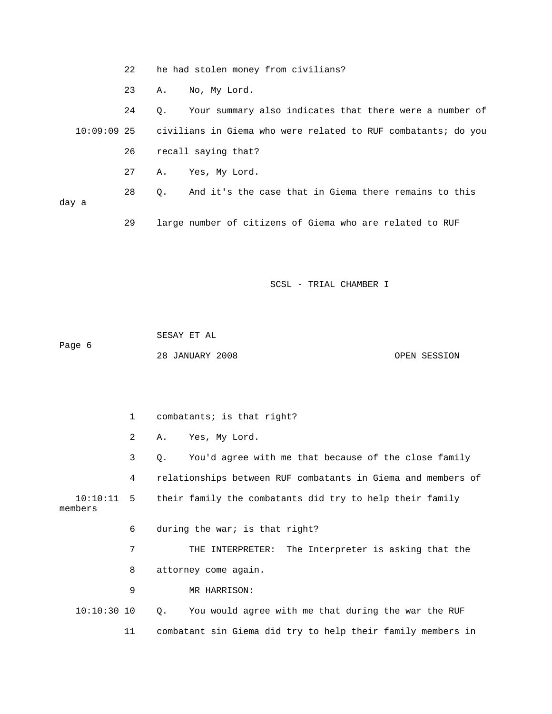|       | 22 |                     | he had stolen money from civilians?                                       |
|-------|----|---------------------|---------------------------------------------------------------------------|
|       | 23 | No, My Lord.<br>Α.  |                                                                           |
|       | 24 | $\circ$ .           | Your summary also indicates that there were a number of                   |
|       |    |                     | 10:09:09 25 civilians in Giema who were related to RUF combatants; do you |
|       | 26 | recall saying that? |                                                                           |
|       | 27 | Yes, My Lord.<br>Α. |                                                                           |
|       | 28 | О.                  | And it's the case that in Giema there remains to this                     |
| day a |    |                     |                                                                           |
|       | 29 |                     | large number of citizens of Giema who are related to RUF                  |

 SESAY ET AL Page 6 28 JANUARY 2008 OPEN SESSION

 1 combatants; is that right? 2 A. Yes, My Lord. 3 Q. You'd agree with me that because of the close family 4 relationships between RUF combatants in Giema and members of 10:10:11 5 their family the combatants did try to help their family members 6 during the war; is that right? 7 THE INTERPRETER: The Interpreter is asking that the 8 attorney come again. 9 MR HARRISON: 10:10:30 10 Q. You would agree with me that during the war the RUF 11 combatant sin Giema did try to help their family members in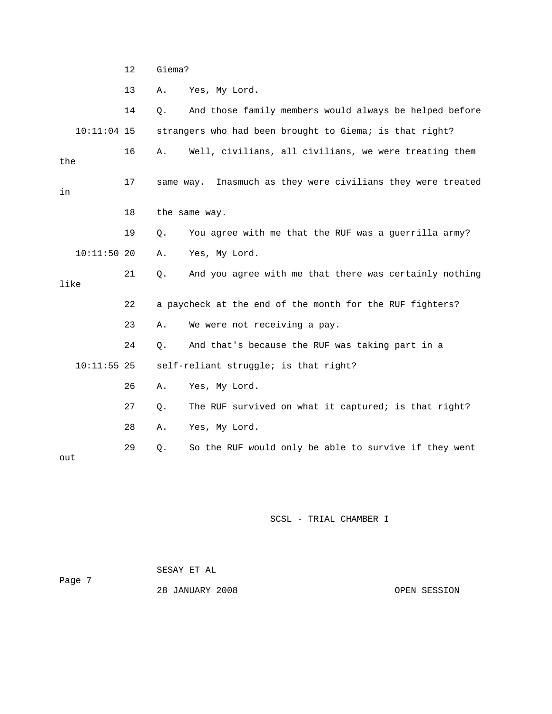12 Giema?

13 A. Yes, My Lord.

 14 Q. And those family members would always be helped before 10:11:04 15 strangers who had been brought to Giema; is that right? 16 A. Well, civilians, all civilians, we were treating them the 17 same way. Inasmuch as they were civilians they were treated in 18 the same way. 19 Q. You agree with me that the RUF was a guerrilla army? 10:11:50 20 A. Yes, My Lord. 21 Q. And you agree with me that there was certainly nothing like 22 a paycheck at the end of the month for the RUF fighters? 23 A. We were not receiving a pay. 24 Q. And that's because the RUF was taking part in a 10:11:55 25 self-reliant struggle; is that right? 26 A. Yes, My Lord. 27 Q. The RUF survived on what it captured; is that right? 28 A. Yes, My Lord. 29 Q. So the RUF would only be able to survive if they went out

SCSL - TRIAL CHAMBER I

 SESAY ET AL Page 7

28 JANUARY 2008 OPEN SESSION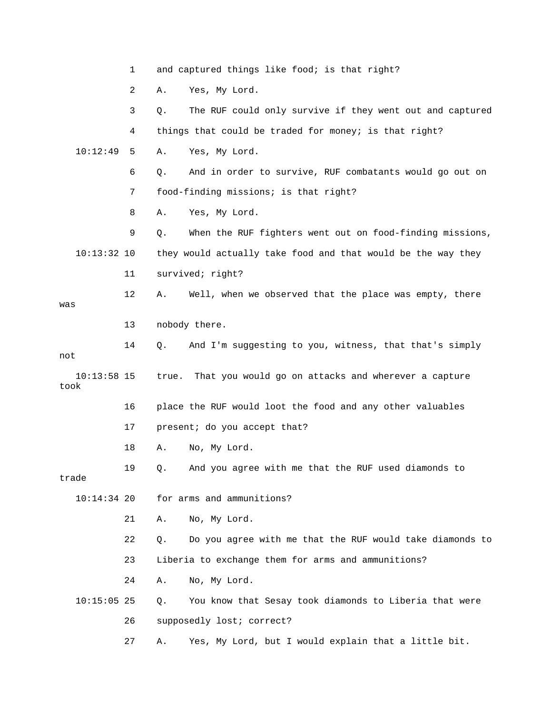1 and captured things like food; is that right? 2 A. Yes, My Lord. 3 Q. The RUF could only survive if they went out and captured 4 things that could be traded for money; is that right? 10:12:49 5 A. Yes, My Lord. 6 Q. And in order to survive, RUF combatants would go out on 7 food-finding missions; is that right? 8 A. Yes, My Lord. 9 Q. When the RUF fighters went out on food-finding missions, 10:13:32 10 they would actually take food and that would be the way they 11 survived; right? 12 A. Well, when we observed that the place was empty, there was 13 nobody there. 14 Q. And I'm suggesting to you, witness, that that's simply not 10:13:58 15 true. That you would go on attacks and wherever a capture took 16 place the RUF would loot the food and any other valuables 17 present; do you accept that? 18 A. No, My Lord. 19 Q. And you agree with me that the RUF used diamonds to trade 10:14:34 20 for arms and ammunitions? 21 A. No, My Lord. 22 Q. Do you agree with me that the RUF would take diamonds to 23 Liberia to exchange them for arms and ammunitions? 24 A. No, My Lord. 10:15:05 25 Q. You know that Sesay took diamonds to Liberia that were 26 supposedly lost; correct? 27 A. Yes, My Lord, but I would explain that a little bit.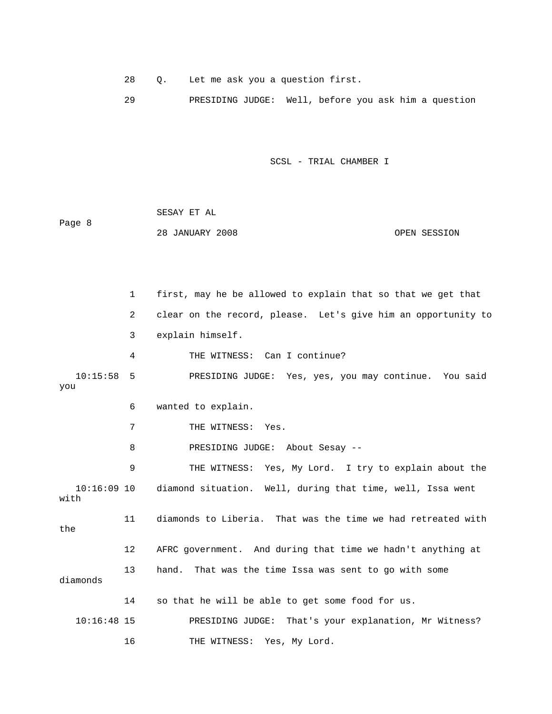28 Q. Let me ask you a question first.

29 PRESIDING JUDGE: Well, before you ask him a question

SCSL - TRIAL CHAMBER I

 SESAY ET AL Page 8 28 JANUARY 2008 OPEN SESSION

 1 first, may he be allowed to explain that so that we get that 2 clear on the record, please. Let's give him an opportunity to 3 explain himself. 4 THE WITNESS: Can I continue? 10:15:58 5 PRESIDING JUDGE: Yes, yes, you may continue. You said you 6 wanted to explain. 7 THE WITNESS: Yes. 8 PRESIDING JUDGE: About Sesay -- 9 THE WITNESS: Yes, My Lord. I try to explain about the 10:16:09 10 diamond situation. Well, during that time, well, Issa went with 11 diamonds to Liberia. That was the time we had retreated with the 12 AFRC government. And during that time we hadn't anything at 13 hand. That was the time Issa was sent to go with some diamonds 14 so that he will be able to get some food for us. 10:16:48 15 PRESIDING JUDGE: That's your explanation, Mr Witness? 16 THE WITNESS: Yes, My Lord.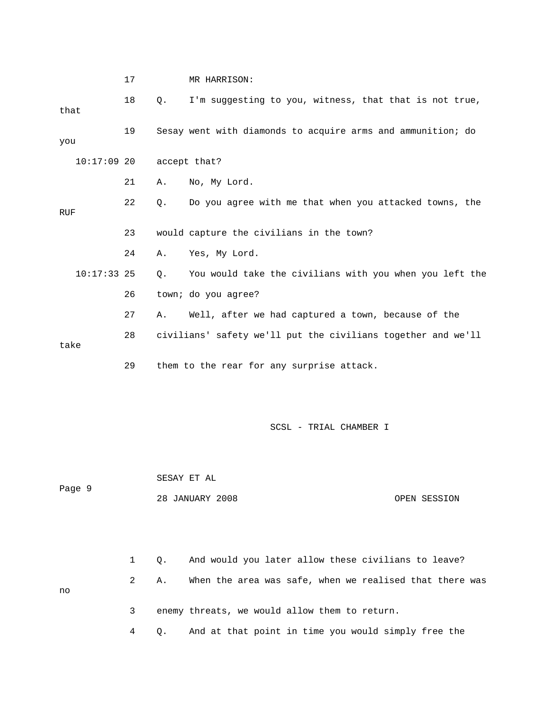|               | 17 |           | MR HARRISON:                                                 |  |  |  |
|---------------|----|-----------|--------------------------------------------------------------|--|--|--|
| that          | 18 | $\circ$ . | I'm suggesting to you, witness, that that is not true,       |  |  |  |
| you           | 19 |           | Sesay went with diamonds to acquire arms and ammunition; do  |  |  |  |
| $10:17:09$ 20 |    |           | accept that?                                                 |  |  |  |
|               | 21 | Α.        | No, My Lord.                                                 |  |  |  |
| <b>RUF</b>    | 22 | Q.        | Do you agree with me that when you attacked towns, the       |  |  |  |
|               | 23 |           | would capture the civilians in the town?                     |  |  |  |
|               | 24 | Α.        | Yes, My Lord.                                                |  |  |  |
| $10:17:33$ 25 |    | Ο.        | You would take the civilians with you when you left the      |  |  |  |
|               | 26 |           | town; do you agree?                                          |  |  |  |
|               | 27 | Α.        | Well, after we had captured a town, because of the           |  |  |  |
| take          | 28 |           | civilians' safety we'll put the civilians together and we'll |  |  |  |
|               | 29 |           | them to the rear for any surprise attack.                    |  |  |  |

 SESAY ET AL Page 9 28 JANUARY 2008 OPEN SESSION 1 Q. And would you later allow these civilians to leave? 2 A. When the area was safe, when we realised that there was no 3 enemy threats, we would allow them to return.

4 Q. And at that point in time you would simply free the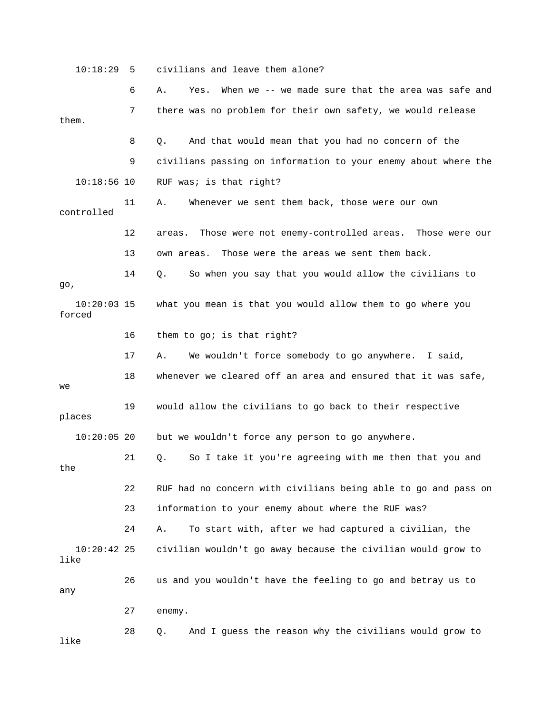10:18:29 5 civilians and leave them alone? 6 A. Yes. When we -- we made sure that the area was safe and 7 there was no problem for their own safety, we would release them. 8 Q. And that would mean that you had no concern of the 9 civilians passing on information to your enemy about where the 10:18:56 10 RUF was; is that right? 11 A. Whenever we sent them back, those were our own controlled 12 areas. Those were not enemy-controlled areas. Those were our 13 own areas. Those were the areas we sent them back. 14 Q. So when you say that you would allow the civilians to go, 10:20:03 15 what you mean is that you would allow them to go where you forced 16 them to go; is that right? 17 A. We wouldn't force somebody to go anywhere. I said, 18 whenever we cleared off an area and ensured that it was safe, we 19 would allow the civilians to go back to their respective places 10:20:05 20 but we wouldn't force any person to go anywhere. 21 Q. So I take it you're agreeing with me then that you and the 22 RUF had no concern with civilians being able to go and pass on 23 information to your enemy about where the RUF was? 24 A. To start with, after we had captured a civilian, the 10:20:42 25 civilian wouldn't go away because the civilian would grow to like 26 us and you wouldn't have the feeling to go and betray us to any 27 enemy. 28 Q. And I guess the reason why the civilians would grow to like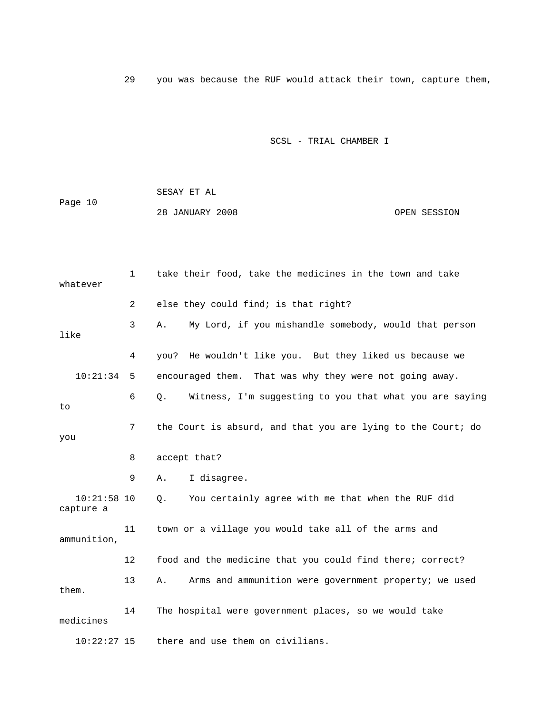29 you was because the RUF would attack their town, capture them,

## SCSL - TRIAL CHAMBER I

 SESAY ET AL Page 10 28 JANUARY 2008 OPEN SESSION

| whatever                   | 1              | take their food, take the medicines in the town and take      |
|----------------------------|----------------|---------------------------------------------------------------|
|                            | $\overline{2}$ | else they could find; is that right?                          |
| like                       | 3              | My Lord, if you mishandle somebody, would that person<br>Α.   |
|                            | 4              | He wouldn't like you. But they liked us because we<br>you?    |
| 10:21:34                   | 5              | encouraged them. That was why they were not going away.       |
| to                         | 6              | Witness, I'm suggesting to you that what you are saying<br>О. |
| you                        | 7              | the Court is absurd, and that you are lying to the Court; do  |
|                            | 8              | accept that?                                                  |
|                            | 9              | I disagree.<br>Α.                                             |
| $10:21:58$ 10<br>capture a |                | You certainly agree with me that when the RUF did<br>Q.       |
| ammunition,                | 11             | town or a village you would take all of the arms and          |
|                            | 12             | food and the medicine that you could find there; correct?     |
| them.                      | 13             | Arms and ammunition were government property; we used<br>Α.   |
| medicines                  | 14             | The hospital were government places, so we would take         |
| $10:22:27$ 15              |                | there and use them on civilians.                              |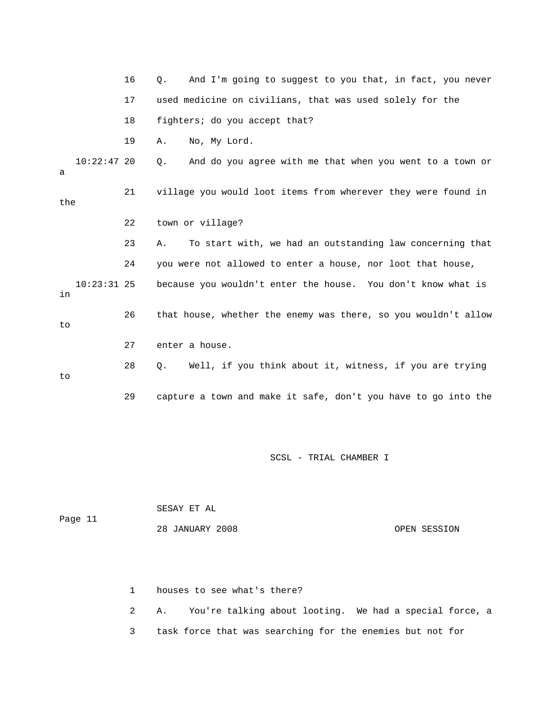16 Q. And I'm going to suggest to you that, in fact, you never 17 used medicine on civilians, that was used solely for the 18 fighters; do you accept that? 19 A. No, My Lord. 10:22:47 20 Q. And do you agree with me that when you went to a town or a 21 village you would loot items from wherever they were found in the 22 town or village? 23 A. To start with, we had an outstanding law concerning that 24 you were not allowed to enter a house, nor loot that house, 10:23:31 25 because you wouldn't enter the house. You don't know what is in 26 that house, whether the enemy was there, so you wouldn't allow to 27 enter a house. 28 Q. Well, if you think about it, witness, if you are trying to 29 capture a town and make it safe, don't you have to go into the

SCSL - TRIAL CHAMBER I

|         | SESAY ET AL     |              |
|---------|-----------------|--------------|
| Page 11 |                 |              |
|         | 28 JANUARY 2008 | OPEN SESSION |

1 houses to see what's there?

 2 A. You're talking about looting. We had a special force, a 3 task force that was searching for the enemies but not for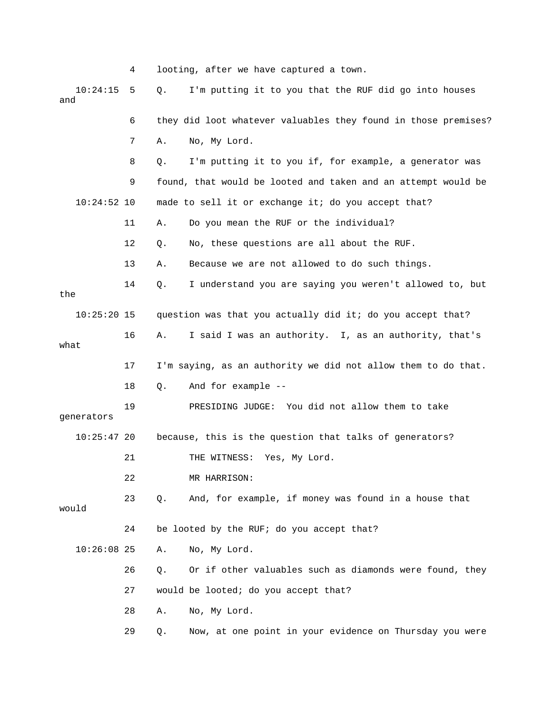|                 | 4  |    | looting, after we have captured a town.                        |
|-----------------|----|----|----------------------------------------------------------------|
| 10:24:15<br>and | 5  | Q. | I'm putting it to you that the RUF did go into houses          |
|                 | 6  |    | they did loot whatever valuables they found in those premises? |
|                 | 7  | Α. | No, My Lord.                                                   |
|                 | 8  | Q. | I'm putting it to you if, for example, a generator was         |
|                 | 9  |    | found, that would be looted and taken and an attempt would be  |
| $10:24:52$ 10   |    |    | made to sell it or exchange it; do you accept that?            |
|                 | 11 | Α. | Do you mean the RUF or the individual?                         |
|                 | 12 | Q. | No, these questions are all about the RUF.                     |
|                 | 13 | Α. | Because we are not allowed to do such things.                  |
| the             | 14 | Q. | I understand you are saying you weren't allowed to, but        |
| $10:25:20$ 15   |    |    | question was that you actually did it; do you accept that?     |
| what            | 16 | Α. | I said I was an authority. I, as an authority, that's          |
|                 | 17 |    | I'm saying, as an authority we did not allow them to do that.  |
|                 | 18 | Q. | And for example --                                             |
| generators      | 19 |    | PRESIDING JUDGE: You did not allow them to take                |
| $10:25:47$ 20   |    |    | because, this is the question that talks of generators?        |
|                 | 21 |    | THE WITNESS: Yes, My Lord.                                     |
|                 | 22 |    | MR HARRISON:                                                   |
| would           | 23 | Q. | And, for example, if money was found in a house that           |
|                 | 24 |    | be looted by the RUF; do you accept that?                      |
| $10:26:08$ 25   |    | Α. | No, My Lord.                                                   |
|                 | 26 | Q. | Or if other valuables such as diamonds were found, they        |
|                 | 27 |    | would be looted; do you accept that?                           |
|                 | 28 | Α. | No, My Lord.                                                   |
|                 | 29 | Q. | Now, at one point in your evidence on Thursday you were        |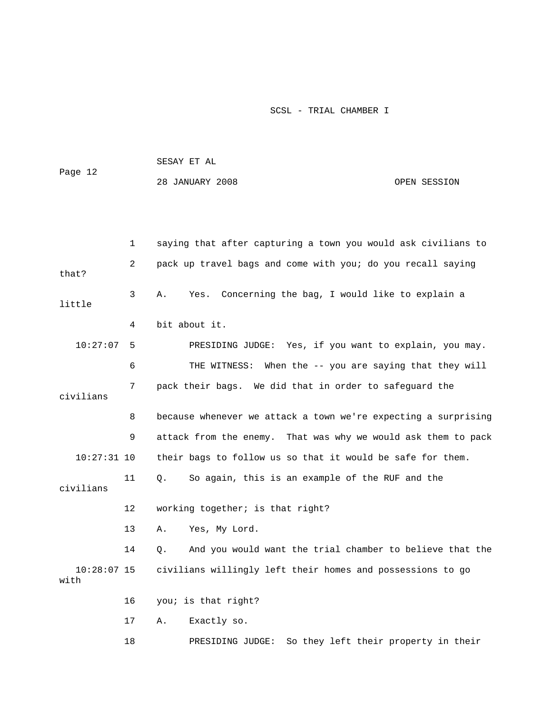|              |              | SESAY ET AL                                                   |
|--------------|--------------|---------------------------------------------------------------|
| Page 12      |              | 28 JANUARY 2008<br>OPEN SESSION                               |
|              |              |                                                               |
|              |              |                                                               |
|              | $\mathbf{1}$ | saying that after capturing a town you would ask civilians to |
| that?        | 2            | pack up travel bags and come with you; do you recall saying   |
| little       | 3            | Yes. Concerning the bag, I would like to explain a<br>Α.      |
|              | 4            | bit about it.                                                 |
| $10:27:07$ 5 |              | PRESIDING JUDGE: Yes, if you want to explain, you may.        |
|              | 6            | THE WITNESS: When the -- you are saying that they will        |
| civilians    | 7            | pack their bags. We did that in order to safeguard the        |

 8 because whenever we attack a town we're expecting a surprising 9 attack from the enemy. That was why we would ask them to pack 10:27:31 10 their bags to follow us so that it would be safe for them.

 11 Q. So again, this is an example of the RUF and the civilians

12 working together; is that right?

13 A. Yes, My Lord.

 14 Q. And you would want the trial chamber to believe that the 10:28:07 15 civilians willingly left their homes and possessions to go with

16 you; is that right?

17 A. Exactly so.

18 PRESIDING JUDGE: So they left their property in their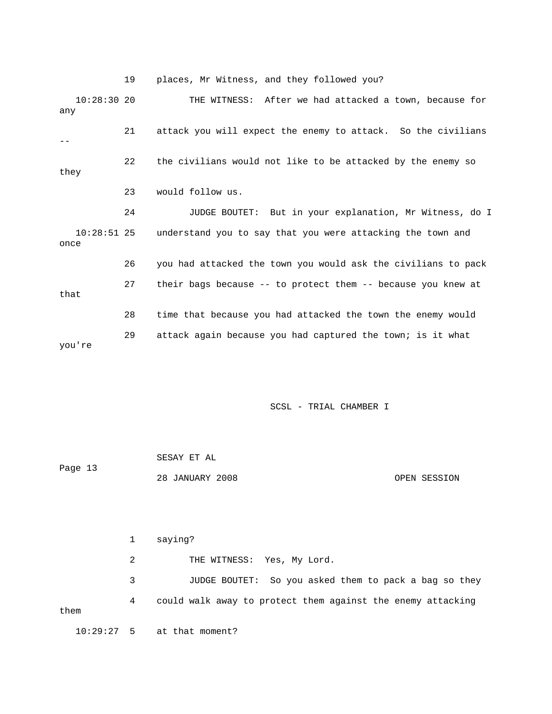19 places, Mr Witness, and they followed you?

 10:28:30 20 THE WITNESS: After we had attacked a town, because for any 21 attack you will expect the enemy to attack. So the civilians -- 22 the civilians would not like to be attacked by the enemy so they 23 would follow us. 24 JUDGE BOUTET: But in your explanation, Mr Witness, do I 10:28:51 25 understand you to say that you were attacking the town and once 26 you had attacked the town you would ask the civilians to pack 27 their bags because -- to protect them -- because you knew at that 28 time that because you had attacked the town the enemy would 29 attack again because you had captured the town; is it what you're

SCSL - TRIAL CHAMBER I

| Page 13 | SESAY ET AL     |              |
|---------|-----------------|--------------|
|         | 28 JANUARY 2008 | OPEN SESSION |

 1 saying? 2 THE WITNESS: Yes, My Lord. 3 JUDGE BOUTET: So you asked them to pack a bag so they 4 could walk away to protect them against the enemy attacking them 10:29:27 5 at that moment?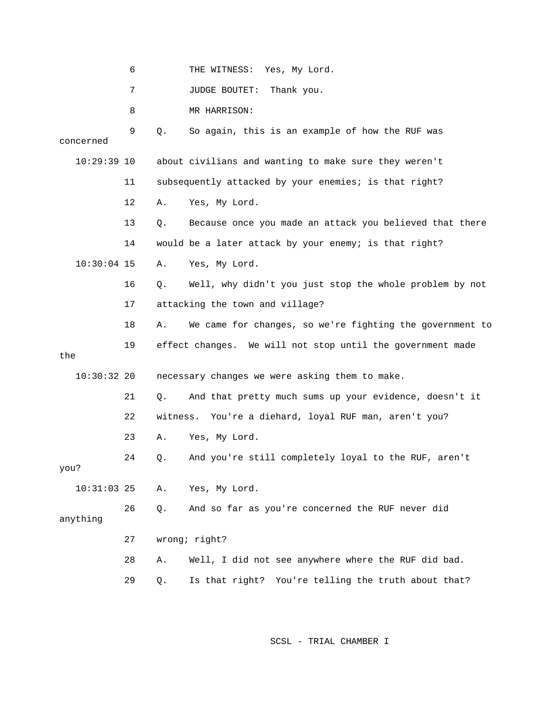|               | 6  |          | THE WITNESS: Yes, My Lord.                                 |
|---------------|----|----------|------------------------------------------------------------|
|               | 7  |          | Thank you.<br>JUDGE BOUTET:                                |
|               | 8  |          | MR HARRISON:                                               |
| concerned     | 9  | Q.       | So again, this is an example of how the RUF was            |
| $10:29:39$ 10 |    |          | about civilians and wanting to make sure they weren't      |
|               | 11 |          | subsequently attacked by your enemies; is that right?      |
|               | 12 | Α.       | Yes, My Lord.                                              |
|               | 13 | Q.       | Because once you made an attack you believed that there    |
|               | 14 |          | would be a later attack by your enemy; is that right?      |
| $10:30:04$ 15 |    | Α.       | Yes, My Lord.                                              |
|               | 16 | Q.       | Well, why didn't you just stop the whole problem by not    |
|               | 17 |          | attacking the town and village?                            |
|               | 18 | Α.       | We came for changes, so we're fighting the government to   |
| the           | 19 |          | effect changes. We will not stop until the government made |
| $10:30:32$ 20 |    |          | necessary changes we were asking them to make.             |
|               | 21 | Q.       | And that pretty much sums up your evidence, doesn't it     |
|               | 22 | witness. | You're a diehard, loyal RUF man, aren't you?               |
|               | 23 | Α.       | Yes, My Lord.                                              |
| you?          | 24 | Q.       | And you're still completely loyal to the RUF, aren't       |
| $10:31:03$ 25 |    | Α.       | Yes, My Lord.                                              |
| anything      | 26 | Q.       | And so far as you're concerned the RUF never did           |
|               | 27 |          | wrong; right?                                              |
|               | 28 | Α.       | Well, I did not see anywhere where the RUF did bad.        |
|               | 29 | Q.       | Is that right? You're telling the truth about that?        |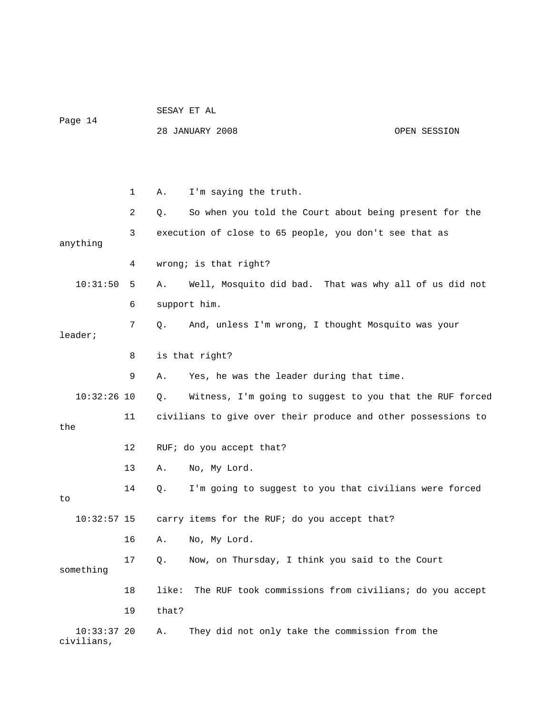## SESAY ET AL Page 14

28 JANUARY 2008 OPEN SESSION

 1 A. I'm saying the truth. 2 Q. So when you told the Court about being present for the 3 execution of close to 65 people, you don't see that as anything 4 wrong; is that right? 10:31:50 5 A. Well, Mosquito did bad. That was why all of us did not 6 support him. 7 Q. And, unless I'm wrong, I thought Mosquito was your leader; 8 is that right? 9 A. Yes, he was the leader during that time. 10:32:26 10 Q. Witness, I'm going to suggest to you that the RUF forced 11 civilians to give over their produce and other possessions to the 12 RUF; do you accept that? 13 A. No, My Lord. 14 Q. I'm going to suggest to you that civilians were forced to 10:32:57 15 carry items for the RUF; do you accept that? 16 A. No, My Lord. 17 Q. Now, on Thursday, I think you said to the Court something 18 like: The RUF took commissions from civilians; do you accept 19 that? 10:33:37 20 A. They did not only take the commission from the civilians,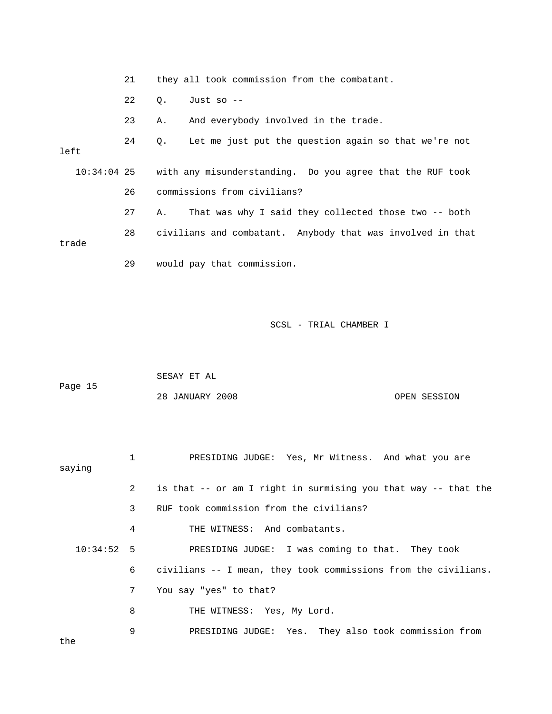21 they all took commission from the combatant. 22 Q. Just so -- 23 A. And everybody involved in the trade. 24 Q. Let me just put the question again so that we're not left 10:34:04 25 with any misunderstanding. Do you agree that the RUF took 26 commissions from civilians? 27 A. That was why I said they collected those two -- both 28 civilians and combatant. Anybody that was involved in that trade 29 would pay that commission.

SCSL - TRIAL CHAMBER I

|         | SESAY ET AL |  |
|---------|-------------|--|
| Page 15 |             |  |

| saying |                | PRESIDING JUDGE: Yes, Mr Witness. And what you are               |
|--------|----------------|------------------------------------------------------------------|
|        | $2^{\circ}$    | is that -- or am I right in surmising you that way -- that the   |
|        | 3 <sup>7</sup> | RUF took commission from the civilians?                          |
|        | 4              | THE WITNESS: And combatants.                                     |
|        |                | 10:34:52 5 PRESIDING JUDGE: I was coming to that. They took      |
|        |                | 6 civilians -- I mean, they took commissions from the civilians. |
|        | 7 <sup>7</sup> | You say "yes" to that?                                           |
|        | 8              | THE WITNESS: Yes, My Lord.                                       |
| the    | 9              | PRESIDING JUDGE: Yes. They also took commission from             |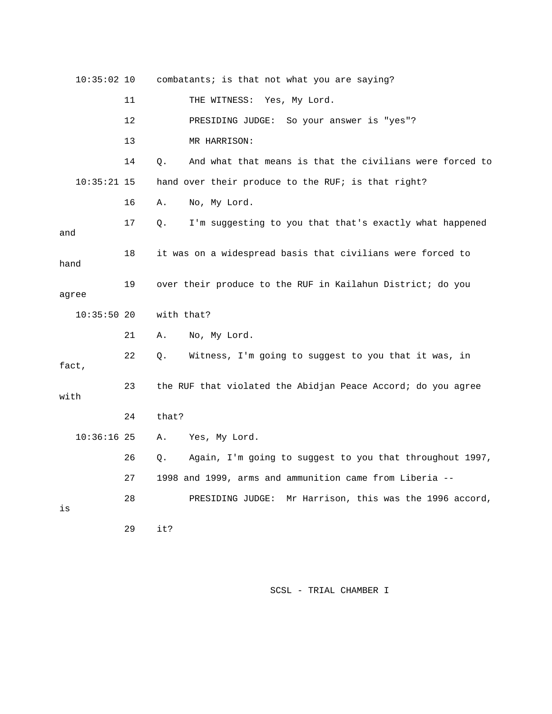| $10:35:02$ 10 |    | combatants; is that not what you are saying?                   |
|---------------|----|----------------------------------------------------------------|
|               | 11 | THE WITNESS: Yes, My Lord.                                     |
|               | 12 | PRESIDING JUDGE: So your answer is "yes"?                      |
|               | 13 | MR HARRISON:                                                   |
|               | 14 | And what that means is that the civilians were forced to<br>Q. |
| $10:35:21$ 15 |    | hand over their produce to the RUF; is that right?             |
|               | 16 | No, My Lord.<br>Α.                                             |
| and           | 17 | I'm suggesting to you that that's exactly what happened<br>Q.  |
| hand          | 18 | it was on a widespread basis that civilians were forced to     |
| agree         | 19 | over their produce to the RUF in Kailahun District; do you     |
| $10:35:50$ 20 |    | with that?                                                     |
|               | 21 | No, My Lord.<br>Α.                                             |
| fact,         | 22 | Witness, I'm going to suggest to you that it was, in<br>Q.     |
| with          | 23 | the RUF that violated the Abidjan Peace Accord; do you agree   |
|               | 24 | that?                                                          |
| $10:36:16$ 25 |    | Yes, My Lord.<br>Α.                                            |
|               | 26 | Again, I'm going to suggest to you that throughout 1997,<br>Q. |
|               | 27 | 1998 and 1999, arms and ammunition came from Liberia --        |
| is            | 28 | Mr Harrison, this was the 1996 accord,<br>PRESIDING JUDGE:     |
|               | 29 | it?                                                            |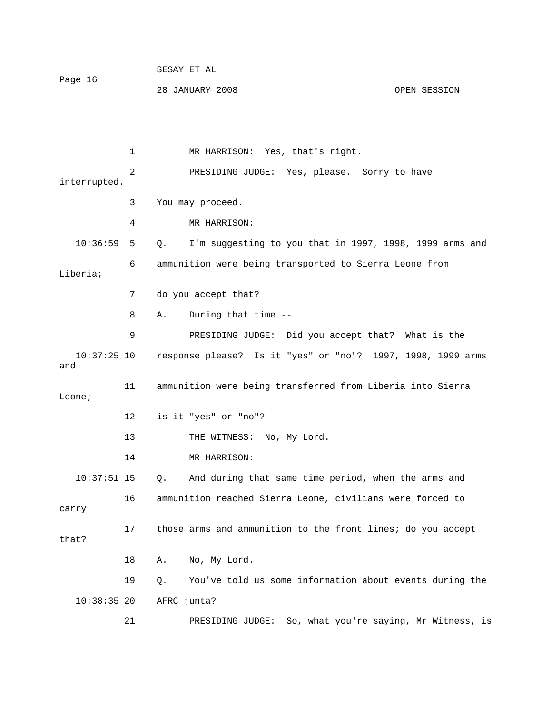| Page 16 | SESAY ET AL     |              |
|---------|-----------------|--------------|
|         | 28 JANUARY 2008 | OPEN SESSION |

 1 MR HARRISON: Yes, that's right. 2 PRESIDING JUDGE: Yes, please. Sorry to have interrupted. 3 You may proceed. 4 MR HARRISON: 10:36:59 5 Q. I'm suggesting to you that in 1997, 1998, 1999 arms and 6 ammunition were being transported to Sierra Leone from Liberia; 7 do you accept that? 8 A. During that time -- 9 PRESIDING JUDGE: Did you accept that? What is the 10:37:25 10 response please? Is it "yes" or "no"? 1997, 1998, 1999 arms and 11 ammunition were being transferred from Liberia into Sierra Leone; 12 is it "yes" or "no"? 13 THE WITNESS: No, My Lord. 14 MR HARRISON: 10:37:51 15 Q. And during that same time period, when the arms and 16 ammunition reached Sierra Leone, civilians were forced to carry 17 those arms and ammunition to the front lines; do you accept that? 18 A. No, My Lord. 19 Q. You've told us some information about events during the 10:38:35 20 AFRC junta?

21 PRESIDING JUDGE: So, what you're saying, Mr Witness, is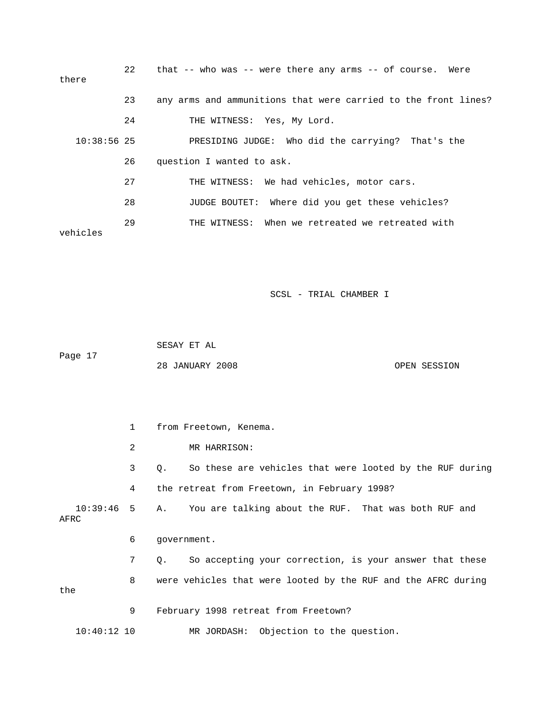| there         | 22 | that $--$ who was $--$ were there any arms $--$ of course. Were |
|---------------|----|-----------------------------------------------------------------|
|               | 23 | any arms and ammunitions that were carried to the front lines?  |
|               | 24 | THE WITNESS: Yes, My Lord.                                      |
| $10:38:56$ 25 |    | PRESIDING JUDGE: Who did the carrying? That's the               |
|               | 26 | question I wanted to ask.                                       |
|               | 27 | THE WITNESS: We had vehicles, motor cars.                       |
|               | 28 | JUDGE BOUTET: Where did you get these vehicles?                 |
| vehicles      | 29 | THE WITNESS: When we retreated we retreated with                |
|               |    |                                                                 |

 SESAY ET AL Page 17 28 JANUARY 2008 OPEN SESSION

 1 from Freetown, Kenema. 2 MR HARRISON: 3 Q. So these are vehicles that were looted by the RUF during 4 the retreat from Freetown, in February 1998? 10:39:46 5 A. You are talking about the RUF. That was both RUF and AFRC 6 government. 7 Q. So accepting your correction, is your answer that these 8 were vehicles that were looted by the RUF and the AFRC during the 9 February 1998 retreat from Freetown? 10:40:12 10 MR JORDASH: Objection to the question.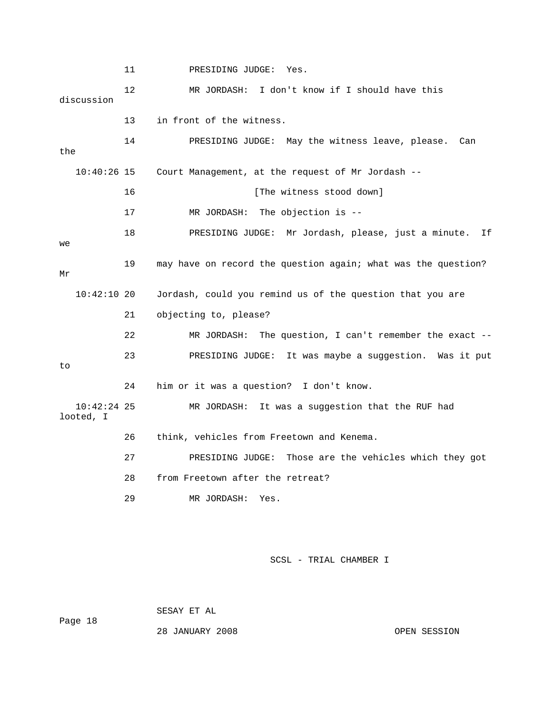11 PRESIDING JUDGE: Yes. 12 MR JORDASH: I don't know if I should have this discussion 13 in front of the witness. 14 PRESIDING JUDGE: May the witness leave, please. Can the 10:40:26 15 Court Management, at the request of Mr Jordash -- 16 [The witness stood down] 17 MR JORDASH: The objection is -- 18 PRESIDING JUDGE: Mr Jordash, please, just a minute. If we 19 may have on record the question again; what was the question? Mr 10:42:10 20 Jordash, could you remind us of the question that you are 21 objecting to, please? 22 MR JORDASH: The question, I can't remember the exact -- 23 PRESIDING JUDGE: It was maybe a suggestion. Was it put to 24 him or it was a question? I don't know. 10:42:24 25 MR JORDASH: It was a suggestion that the RUF had looted, I 26 think, vehicles from Freetown and Kenema. 27 PRESIDING JUDGE: Those are the vehicles which they got 28 from Freetown after the retreat? 29 MR JORDASH: Yes.

SCSL - TRIAL CHAMBER I

Page 18

SESAY ET AL

28 JANUARY 2008 OPEN SESSION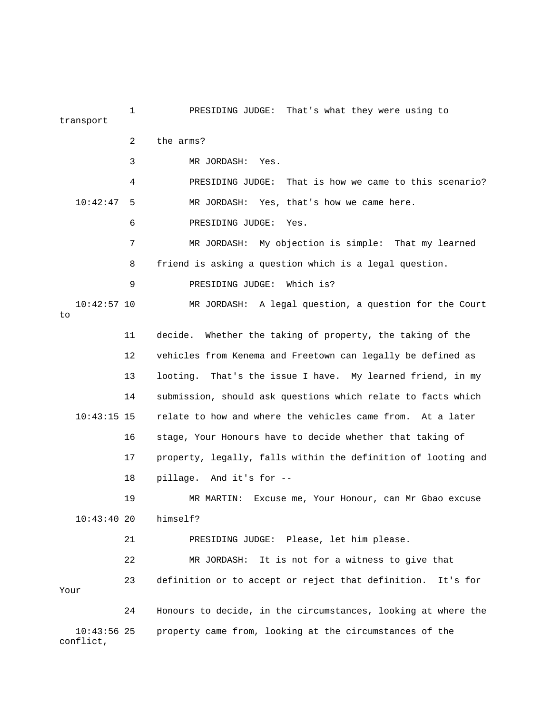1 PRESIDING JUDGE: That's what they were using to transport 2 the arms? 3 MR JORDASH: Yes. 4 PRESIDING JUDGE: That is how we came to this scenario? 10:42:47 5 MR JORDASH: Yes, that's how we came here. 6 PRESIDING JUDGE: Yes. 7 MR JORDASH: My objection is simple: That my learned 8 friend is asking a question which is a legal question. 9 PRESIDING JUDGE: Which is? 10:42:57 10 MR JORDASH: A legal question, a question for the Court to 11 decide. Whether the taking of property, the taking of the 12 vehicles from Kenema and Freetown can legally be defined as 13 looting. That's the issue I have. My learned friend, in my 14 submission, should ask questions which relate to facts which 10:43:15 15 relate to how and where the vehicles came from. At a later 16 stage, Your Honours have to decide whether that taking of 17 property, legally, falls within the definition of looting and 18 pillage. And it's for -- 19 MR MARTIN: Excuse me, Your Honour, can Mr Gbao excuse 10:43:40 20 himself? 21 PRESIDING JUDGE: Please, let him please. 22 MR JORDASH: It is not for a witness to give that 23 definition or to accept or reject that definition. It's for Your 24 Honours to decide, in the circumstances, looking at where the 10:43:56 25 property came from, looking at the circumstances of the

conflict,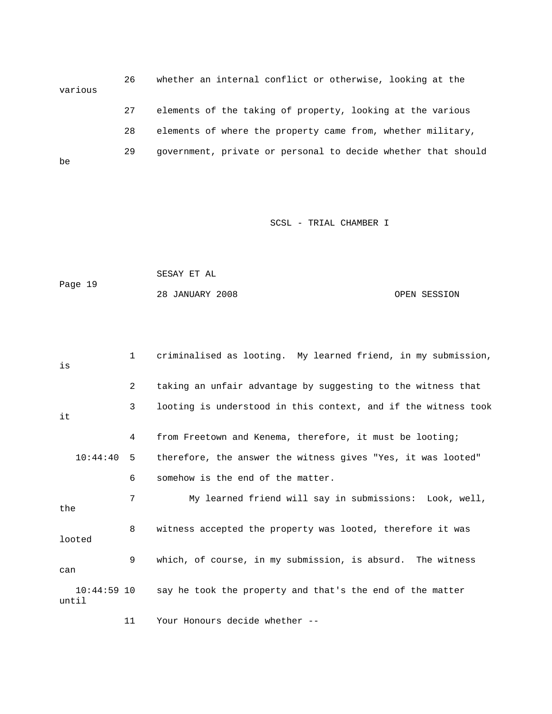26 whether an internal conflict or otherwise, looking at the various 27 elements of the taking of property, looking at the various 28 elements of where the property came from, whether military, 29 government, private or personal to decide whether that should be

SCSL - TRIAL CHAMBER I

 SESAY ET AL Page 19 28 JANUARY 2008 OPEN SESSION

 1 criminalised as looting. My learned friend, in my submission, is 2 taking an unfair advantage by suggesting to the witness that 3 looting is understood in this context, and if the witness took it 4 from Freetown and Kenema, therefore, it must be looting; 10:44:40 5 therefore, the answer the witness gives "Yes, it was looted" 6 somehow is the end of the matter. 7 My learned friend will say in submissions: Look, well, the 8 witness accepted the property was looted, therefore it was looted 9 which, of course, in my submission, is absurd. The witness can 10:44:59 10 say he took the property and that's the end of the matter until

11 Your Honours decide whether --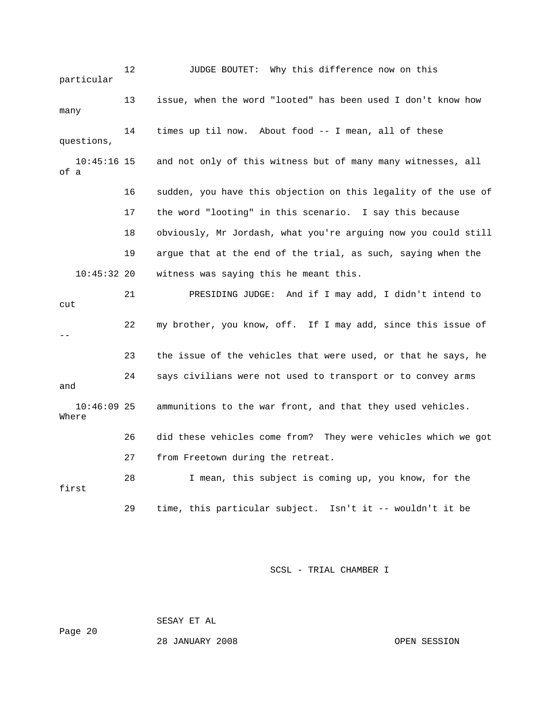12 JUDGE BOUTET: Why this difference now on this particular 13 issue, when the word "looted" has been used I don't know how many 14 times up til now. About food -- I mean, all of these questions, 10:45:16 15 and not only of this witness but of many many witnesses, all of a 16 sudden, you have this objection on this legality of the use of 17 the word "looting" in this scenario. I say this because 18 obviously, Mr Jordash, what you're arguing now you could still 19 argue that at the end of the trial, as such, saying when the 10:45:32 20 witness was saying this he meant this. 21 PRESIDING JUDGE: And if I may add, I didn't intend to cut 22 my brother, you know, off. If I may add, since this issue of -- 23 the issue of the vehicles that were used, or that he says, he 24 says civilians were not used to transport or to convey arms and 10:46:09 25 ammunitions to the war front, and that they used vehicles. Where 26 did these vehicles come from? They were vehicles which we got 27 from Freetown during the retreat. 28 I mean, this subject is coming up, you know, for the first 29 time, this particular subject. Isn't it -- wouldn't it be

SCSL - TRIAL CHAMBER I

SESAY ET AL

28 JANUARY 2008 OPEN SESSION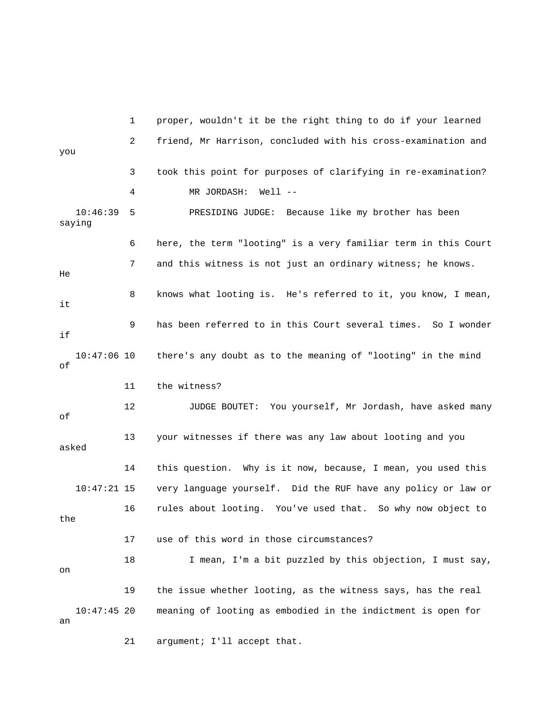1 proper, wouldn't it be the right thing to do if your learned 2 friend, Mr Harrison, concluded with his cross-examination and you 3 took this point for purposes of clarifying in re-examination? 4 MR JORDASH: Well -- 10:46:39 5 PRESIDING JUDGE: Because like my brother has been saying 6 here, the term "looting" is a very familiar term in this Court 7 and this witness is not just an ordinary witness; he knows. He 8 knows what looting is. He's referred to it, you know, I mean, it 9 has been referred to in this Court several times. So I wonder if 10:47:06 10 there's any doubt as to the meaning of "looting" in the mind of 11 the witness? 12 JUDGE BOUTET: You yourself, Mr Jordash, have asked many of 13 your witnesses if there was any law about looting and you asked 14 this question. Why is it now, because, I mean, you used this 10:47:21 15 very language yourself. Did the RUF have any policy or law or 16 rules about looting. You've used that. So why now object to the 17 use of this word in those circumstances? 18 I mean, I'm a bit puzzled by this objection, I must say, on 19 the issue whether looting, as the witness says, has the real 10:47:45 20 meaning of looting as embodied in the indictment is open for an 21 argument; I'll accept that.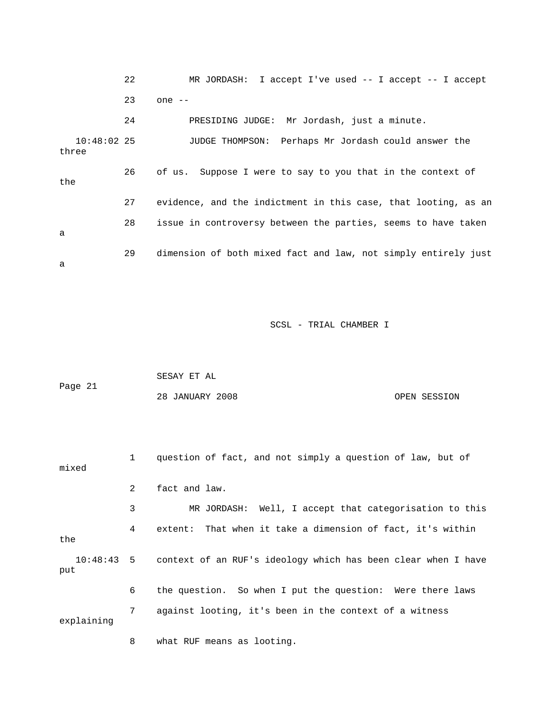|                        | 22 | MR JORDASH: I accept I've used $-$ I accept $-$ I accept       |
|------------------------|----|----------------------------------------------------------------|
|                        | 23 | one $--$                                                       |
|                        | 24 | PRESIDING JUDGE: Mr Jordash, just a minute.                    |
| $10:48:02$ 25<br>three |    | JUDGE THOMPSON: Perhaps Mr Jordash could answer the            |
| the                    | 26 | of us. Suppose I were to say to you that in the context of     |
|                        | 27 | evidence, and the indictment in this case, that looting, as an |
| a                      | 28 | issue in controversy between the parties, seems to have taken  |
| a                      | 29 | dimension of both mixed fact and law, not simply entirely just |

|         | SESAY ET AL     |              |
|---------|-----------------|--------------|
| Page 21 |                 |              |
|         | 28 JANUARY 2008 | OPEN SESSION |

 1 question of fact, and not simply a question of law, but of mixed 2 fact and law. 3 MR JORDASH: Well, I accept that categorisation to this 4 extent: That when it take a dimension of fact, it's within the 10:48:43 5 context of an RUF's ideology which has been clear when I have put 6 the question. So when I put the question: Were there laws 7 against looting, it's been in the context of a witness explaining

8 what RUF means as looting.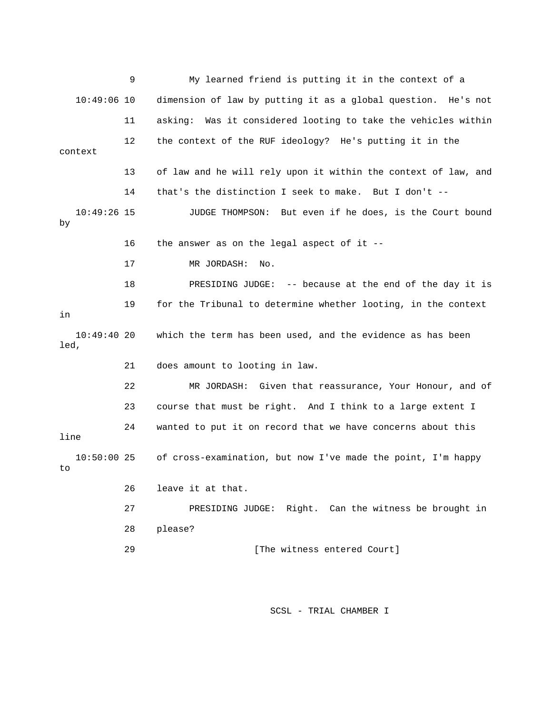9 My learned friend is putting it in the context of a 10:49:06 10 dimension of law by putting it as a global question. He's not 11 asking: Was it considered looting to take the vehicles within 12 the context of the RUF ideology? He's putting it in the context 13 of law and he will rely upon it within the context of law, and 14 that's the distinction I seek to make. But I don't -- 10:49:26 15 JUDGE THOMPSON: But even if he does, is the Court bound by 16 the answer as on the legal aspect of it -- 17 MR JORDASH: No. 18 PRESIDING JUDGE: -- because at the end of the day it is 19 for the Tribunal to determine whether looting, in the context in 10:49:40 20 which the term has been used, and the evidence as has been led, 21 does amount to looting in law. 22 MR JORDASH: Given that reassurance, Your Honour, and of 23 course that must be right. And I think to a large extent I 24 wanted to put it on record that we have concerns about this line 10:50:00 25 of cross-examination, but now I've made the point, I'm happy to 26 leave it at that. 27 PRESIDING JUDGE: Right. Can the witness be brought in 28 please? 29 **Example 29** [The witness entered Court]

SCSL - TRIAL CHAMBER I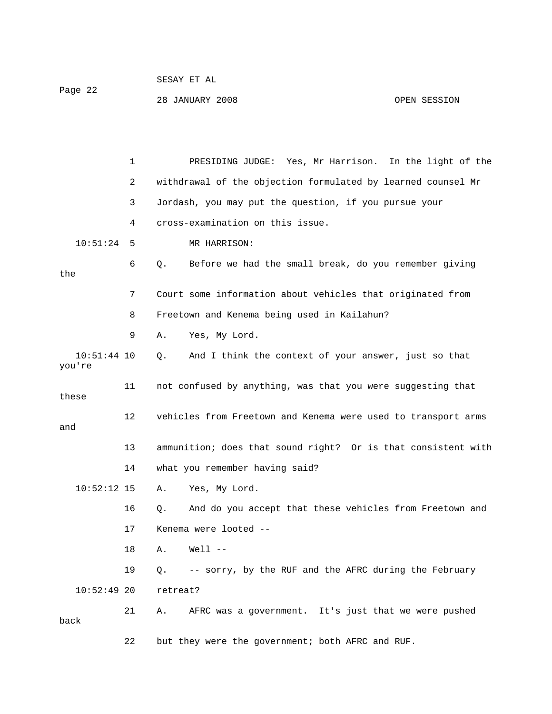| Page 22 | SESAY ET AL     |              |
|---------|-----------------|--------------|
|         | 28 JANUARY 2008 | OPEN SESSION |

|                         | 1  | PRESIDING JUDGE: Yes, Mr Harrison. In the light of the             |
|-------------------------|----|--------------------------------------------------------------------|
|                         | 2  | withdrawal of the objection formulated by learned counsel Mr       |
|                         | 3  | Jordash, you may put the question, if you pursue your              |
|                         | 4  | cross-examination on this issue.                                   |
| 10:51:24                | 5  | MR HARRISON:                                                       |
| the                     | 6  | Before we had the small break, do you remember giving<br>Q.        |
|                         | 7  | Court some information about vehicles that originated from         |
|                         | 8  | Freetown and Kenema being used in Kailahun?                        |
|                         | 9  | Yes, My Lord.<br>Α.                                                |
| $10:51:44$ 10<br>you're |    | And I think the context of your answer, just so that<br>Q.         |
| these                   | 11 | not confused by anything, was that you were suggesting that        |
| and                     | 12 | vehicles from Freetown and Kenema were used to transport arms      |
|                         | 13 | ammunition; does that sound right? Or is that consistent with      |
|                         | 14 | what you remember having said?                                     |
| $10:52:12$ 15           |    | Yes, My Lord.<br>Α.                                                |
|                         | 16 | And do you accept that these vehicles from Freetown and<br>Q.      |
|                         | 17 | Kenema were looted --                                              |
|                         | 18 | $Well1$ --<br>Α.                                                   |
|                         | 19 | -- sorry, by the RUF and the AFRC during the February<br>$\circ$ . |
| $10:52:49$ 20           |    | retreat?                                                           |
| back                    | 21 | AFRC was a government. It's just that we were pushed<br>Α.         |
|                         | 22 | but they were the government; both AFRC and RUF.                   |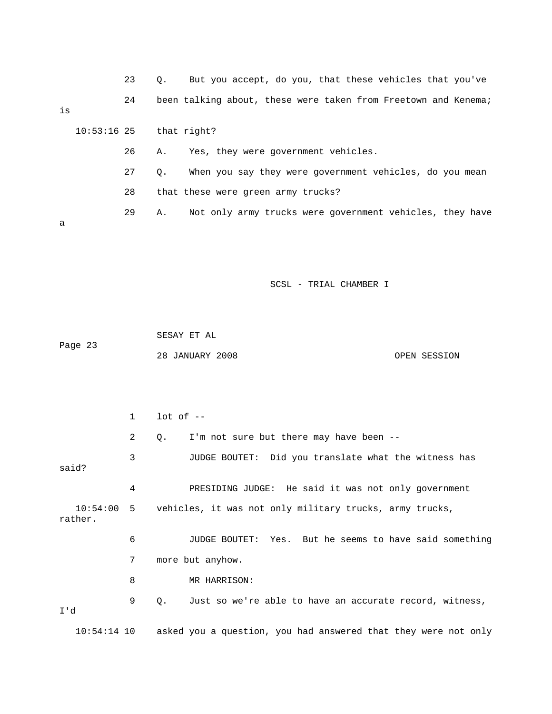|    |                           | 23 | $\circ$ . | But you accept, do you, that these vehicles that you've        |
|----|---------------------------|----|-----------|----------------------------------------------------------------|
| is |                           | 24 |           | been talking about, these were taken from Freetown and Kenema; |
|    | $10:53:16$ 25 that right? |    |           |                                                                |
|    |                           | 26 | Α.        | Yes, they were government vehicles.                            |
|    |                           | 27 | $\circ$ . | When you say they were government vehicles, do you mean        |
|    |                           | 28 |           | that these were green army trucks?                             |
| a  |                           | 29 | Α.        | Not only army trucks were government vehicles, they have       |

 SESAY ET AL Page 23 28 JANUARY 2008 OPEN SESSION

 1 lot of -- 2 Q. I'm not sure but there may have been -- 3 JUDGE BOUTET: Did you translate what the witness has said? 4 PRESIDING JUDGE: He said it was not only government 10:54:00 5 vehicles, it was not only military trucks, army trucks, rather. 6 JUDGE BOUTET: Yes. But he seems to have said something 7 more but anyhow. 8 MR HARRISON: 9 Q. Just so we're able to have an accurate record, witness, I'd 10:54:14 10 asked you a question, you had answered that they were not only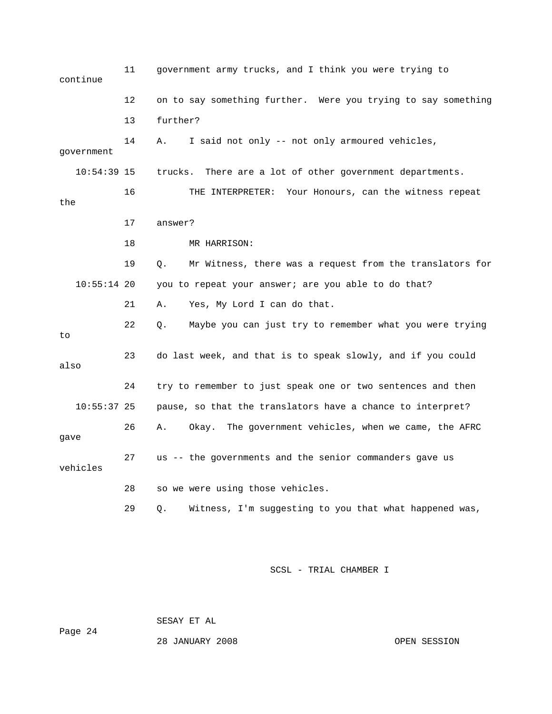| continue      | 11 | government army trucks, and I think you were trying to         |
|---------------|----|----------------------------------------------------------------|
|               | 12 | on to say something further. Were you trying to say something  |
|               | 13 | further?                                                       |
| government    | 14 | I said not only -- not only armoured vehicles,<br>Α.           |
| $10:54:39$ 15 |    | trucks. There are a lot of other government departments.       |
| the           | 16 | THE INTERPRETER: Your Honours, can the witness repeat          |
|               | 17 | answer?                                                        |
|               | 18 | MR HARRISON:                                                   |
|               | 19 | Mr Witness, there was a request from the translators for<br>0. |
| $10:55:14$ 20 |    | you to repeat your answer; are you able to do that?            |
|               | 21 | Yes, My Lord I can do that.<br>Α.                              |
| to            | 22 | О.<br>Maybe you can just try to remember what you were trying  |
| also          | 23 | do last week, and that is to speak slowly, and if you could    |
|               | 24 | try to remember to just speak one or two sentences and then    |
| $10:55:37$ 25 |    | pause, so that the translators have a chance to interpret?     |
| gave          | 26 | Okay. The government vehicles, when we came, the AFRC<br>Α.    |
| vehicles      | 27 | us -- the governments and the senior commanders gave us        |
|               | 28 | so we were using those vehicles.                               |
|               | 29 | Witness, I'm suggesting to you that what happened was,<br>Q.   |

SESAY ET AL

Page 24

28 JANUARY 2008 OPEN SESSION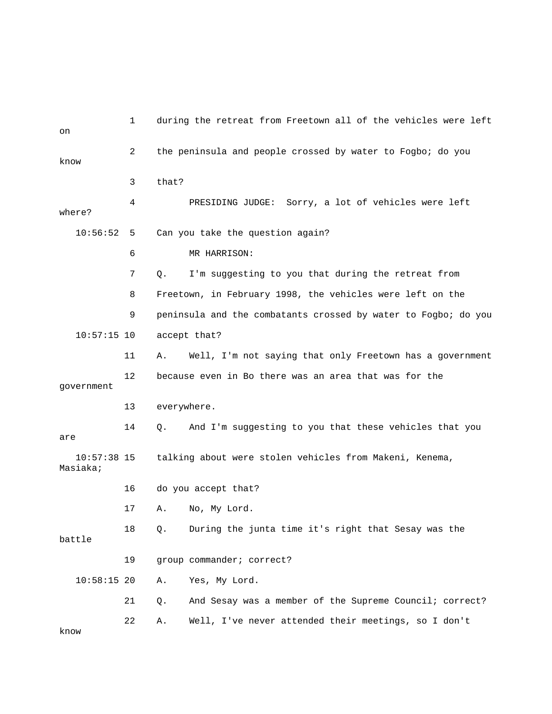| on                        | 1              | during the retreat from Freetown all of the vehicles were left |
|---------------------------|----------------|----------------------------------------------------------------|
| know                      | $\overline{2}$ | the peninsula and people crossed by water to Fogbo; do you     |
|                           | 3              | that?                                                          |
| where?                    | 4              | PRESIDING JUDGE:<br>Sorry, a lot of vehicles were left         |
| 10:56:52                  | 5              | Can you take the question again?                               |
|                           | 6              | MR HARRISON:                                                   |
|                           | 7              | I'm suggesting to you that during the retreat from<br>Q.       |
|                           | 8              | Freetown, in February 1998, the vehicles were left on the      |
|                           | 9              | peninsula and the combatants crossed by water to Fogbo; do you |
| $10:57:15$ 10             |                | accept that?                                                   |
|                           | 11             | Well, I'm not saying that only Freetown has a government<br>Α. |
| qovernment                | 12             | because even in Bo there was an area that was for the          |
|                           | 13             | everywhere.                                                    |
| are                       | 14             | And I'm suggesting to you that these vehicles that you<br>Q.   |
| $10:57:38$ 15<br>Masiaka; |                | talking about were stolen vehicles from Makeni, Kenema,        |
|                           | 16             | do you accept that?                                            |
|                           | 17             | No, My Lord.<br>Α.                                             |
| battle                    | 18             | During the junta time it's right that Sesay was the<br>Q.      |
|                           | 19             | group commander; correct?                                      |
| $10:58:15$ 20             |                | Yes, My Lord.<br>Α.                                            |
|                           | 21             | And Sesay was a member of the Supreme Council; correct?<br>Q.  |
|                           | 22             | Well, I've never attended their meetings, so I don't<br>Α.     |

know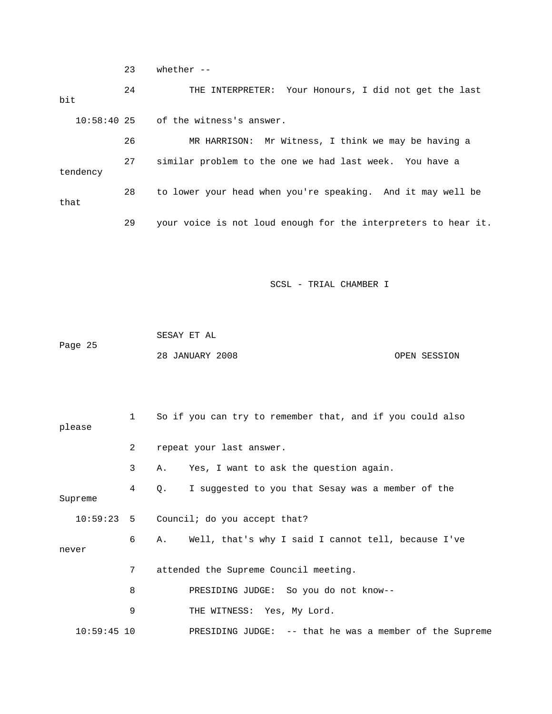23 whether --

 24 THE INTERPRETER: Your Honours, I did not get the last bit 10:58:40 25 of the witness's answer. 26 MR HARRISON: Mr Witness, I think we may be having a 27 similar problem to the one we had last week. You have a tendency 28 to lower your head when you're speaking. And it may well be that 29 your voice is not loud enough for the interpreters to hear it.

SCSL - TRIAL CHAMBER I

 SESAY ET AL Page 25 28 JANUARY 2008 OPEN SESSION

| please        | $1 \quad$      | So if you can try to remember that, and if you could also  |
|---------------|----------------|------------------------------------------------------------|
|               | $\overline{2}$ | repeat your last answer.                                   |
|               | 3              | Yes, I want to ask the question again.<br>Α.               |
| Supreme       | 4              | Q. I suggested to you that Sesay was a member of the       |
|               |                | 10:59:23 5 Council; do you accept that?                    |
| never         | 6              | Well, that's why I said I cannot tell, because I've<br>A., |
|               | 7              | attended the Supreme Council meeting.                      |
|               | 8              | PRESIDING JUDGE: So you do not know--                      |
|               | 9              | THE WITNESS: Yes, My Lord.                                 |
| $10:59:45$ 10 |                | PRESIDING JUDGE: -- that he was a member of the Supreme    |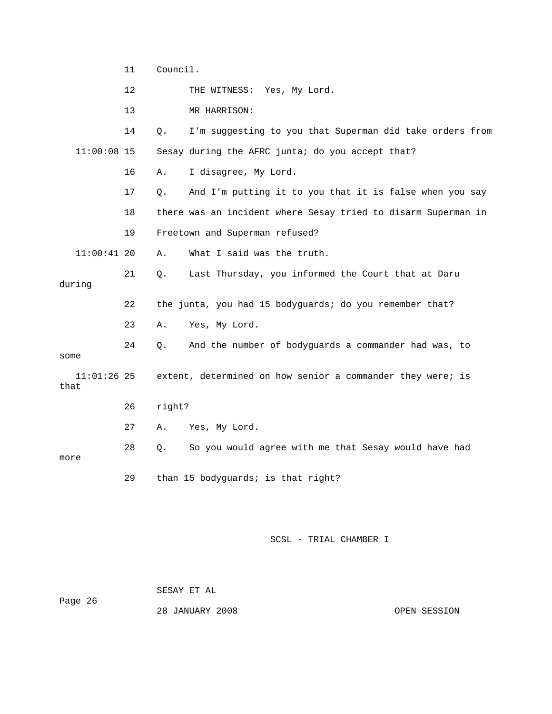|                       | 11 | Council. |                                                               |  |  |
|-----------------------|----|----------|---------------------------------------------------------------|--|--|
|                       | 12 |          | THE WITNESS: Yes, My Lord.                                    |  |  |
|                       | 13 |          | MR HARRISON:                                                  |  |  |
|                       | 14 | Q.       | I'm suggesting to you that Superman did take orders from      |  |  |
| $11:00:08$ 15         |    |          | Sesay during the AFRC junta; do you accept that?              |  |  |
|                       | 16 | Α.       | I disagree, My Lord.                                          |  |  |
|                       | 17 | О.       | And I'm putting it to you that it is false when you say       |  |  |
|                       | 18 |          | there was an incident where Sesay tried to disarm Superman in |  |  |
|                       | 19 |          | Freetown and Superman refused?                                |  |  |
| $11:00:41$ 20         |    | Α.       | What I said was the truth.                                    |  |  |
| during                | 21 | Q.       | Last Thursday, you informed the Court that at Daru            |  |  |
|                       | 22 |          | the junta, you had 15 bodyguards; do you remember that?       |  |  |
|                       | 23 | Α.       | Yes, My Lord.                                                 |  |  |
| some                  | 24 | Q.       | And the number of bodyguards a commander had was, to          |  |  |
| $11:01:26$ 25<br>that |    |          | extent, determined on how senior a commander they were; is    |  |  |
|                       | 26 | right?   |                                                               |  |  |
|                       | 27 | Α.       | Yes, My Lord.                                                 |  |  |
| more                  | 28 | Q.       | So you would agree with me that Sesay would have had          |  |  |
|                       | 29 |          | than 15 bodyguards; is that right?                            |  |  |

 SESAY ET AL Page 26

28 JANUARY 2008 OPEN SESSION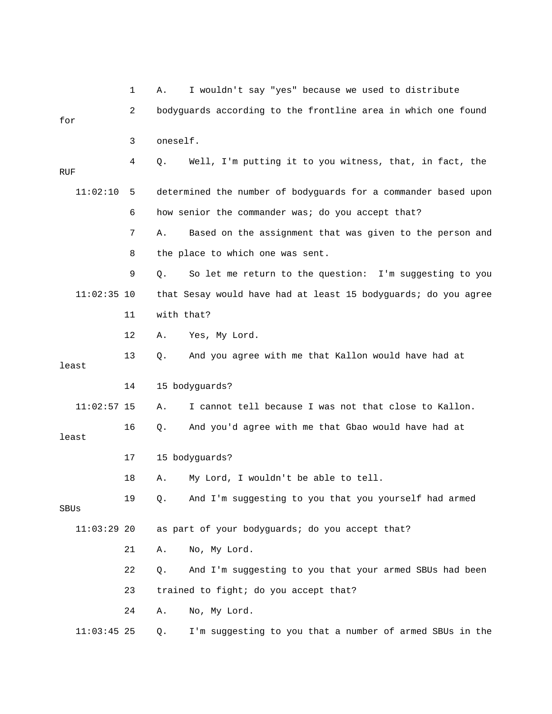|               | 1  | I wouldn't say "yes" because we used to distribute<br>Α.         |
|---------------|----|------------------------------------------------------------------|
| for           | 2  | bodyguards according to the frontline area in which one found    |
|               | 3  | oneself.                                                         |
| RUF           | 4  | Well, I'm putting it to you witness, that, in fact, the<br>Q.    |
| 11:02:10      | 5  | determined the number of bodyguards for a commander based upon   |
|               | 6  | how senior the commander was; do you accept that?                |
|               | 7  | Based on the assignment that was given to the person and<br>Α.   |
|               | 8  | the place to which one was sent.                                 |
|               | 9  | Q.<br>So let me return to the question: I'm suggesting to you    |
| $11:02:35$ 10 |    | that Sesay would have had at least 15 bodyguards; do you agree   |
|               | 11 | with that?                                                       |
|               | 12 | Α.<br>Yes, My Lord.                                              |
| least         | 13 | And you agree with me that Kallon would have had at<br>Q.        |
|               | 14 | 15 bodyguards?                                                   |
| $11:02:57$ 15 |    | I cannot tell because I was not that close to Kallon.<br>Α.      |
| least         | 16 | And you'd agree with me that Gbao would have had at<br>Q.        |
|               | 17 | 15 bodyguards?                                                   |
|               | 18 | My Lord, I wouldn't be able to tell.<br>Α.                       |
| SBUs          | 19 | And I'm suggesting to you that you yourself had armed<br>Q.      |
| $11:03:29$ 20 |    | as part of your bodyguards; do you accept that?                  |
|               | 21 | No, My Lord.<br>Α.                                               |
|               | 22 | And I'm suggesting to you that your armed SBUs had been<br>$Q$ . |
|               | 23 | trained to fight; do you accept that?                            |
|               | 24 | No, My Lord.<br>Α.                                               |
| $11:03:45$ 25 |    | I'm suggesting to you that a number of armed SBUs in the<br>Q.   |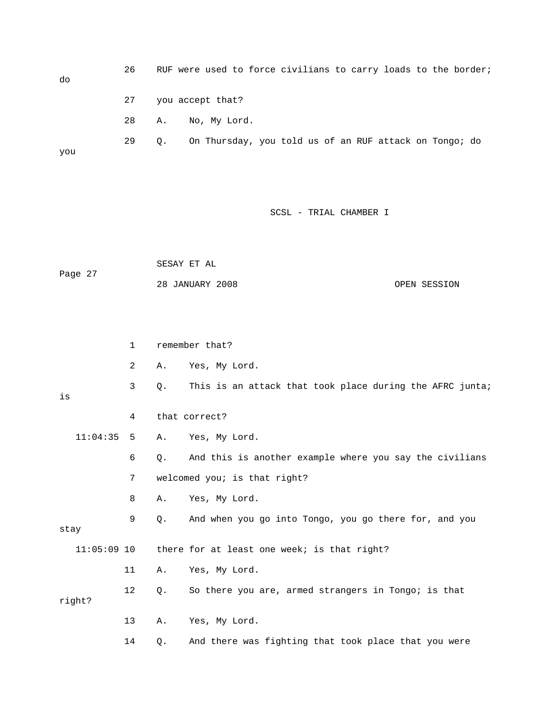| do  | 26 |           | RUF were used to force civilians to carry loads to the border; |  |  |  |  |
|-----|----|-----------|----------------------------------------------------------------|--|--|--|--|
|     | 27 |           | you accept that?                                               |  |  |  |  |
|     | 28 | A.        | No, My Lord.                                                   |  |  |  |  |
| you | 29 | $\circ$ . | On Thursday, you told us of an RUF attack on Tongo; do         |  |  |  |  |

|         | SESAY ET AL     |              |
|---------|-----------------|--------------|
| Page 27 |                 |              |
|         | 28 JANUARY 2008 | OPEN SESSION |

|      |               | $\mathbf{1}$   |       | remember that?                                           |
|------|---------------|----------------|-------|----------------------------------------------------------|
|      |               | $\overline{2}$ | Α.    | Yes, My Lord.                                            |
| is   |               | 3              | Q.    | This is an attack that took place during the AFRC junta; |
|      |               | 4              |       | that correct?                                            |
|      | 11:04:35      | - 5            | Α.    | Yes, My Lord.                                            |
|      |               | 6              | О.    | And this is another example where you say the civilians  |
|      |               | 7              |       | welcomed you; is that right?                             |
|      |               | 8              | Α.    | Yes, My Lord.                                            |
| stay |               | 9              | Q.    | And when you go into Tongo, you go there for, and you    |
|      | $11:05:09$ 10 |                |       | there for at least one week; is that right?              |
|      |               | 11             | Α.    | Yes, My Lord.                                            |
|      | right?        | 12             | Q.    | So there you are, armed strangers in Tongo; is that      |
|      |               | 13             | Α.    | Yes, My Lord.                                            |
|      |               | 14             | $Q$ . | And there was fighting that took place that you were     |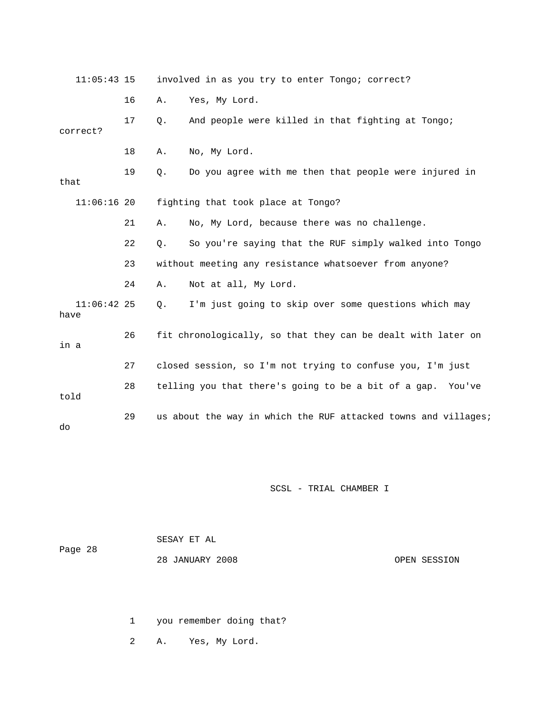| $11:05:43$ 15         |    |                     | involved in as you try to enter Tongo; correct?                |
|-----------------------|----|---------------------|----------------------------------------------------------------|
|                       | 16 | Yes, My Lord.<br>Α. |                                                                |
| correct?              | 17 | $Q$ .               | And people were killed in that fighting at Tongo;              |
|                       | 18 | No, My Lord.<br>Α.  |                                                                |
| that                  | 19 | $Q$ .               | Do you agree with me then that people were injured in          |
| $11:06:16$ 20         |    |                     | fighting that took place at Tongo?                             |
|                       | 21 | Α.                  | No, My Lord, because there was no challenge.                   |
|                       | 22 | Q.                  | So you're saying that the RUF simply walked into Tongo         |
|                       | 23 |                     | without meeting any resistance whatsoever from anyone?         |
|                       | 24 | Α.                  | Not at all, My Lord.                                           |
| $11:06:42$ 25<br>have |    | Q.                  | I'm just going to skip over some questions which may           |
| in a                  | 26 |                     | fit chronologically, so that they can be dealt with later on   |
|                       | 27 |                     | closed session, so I'm not trying to confuse you, I'm just     |
| told                  | 28 |                     | telling you that there's going to be a bit of a gap. You've    |
| do                    | 29 |                     | us about the way in which the RUF attacked towns and villages; |

|         | SESAY ET AL     |              |
|---------|-----------------|--------------|
| Page 28 |                 |              |
|         | 28 JANUARY 2008 | OPEN SESSION |

1 you remember doing that?

2 A. Yes, My Lord.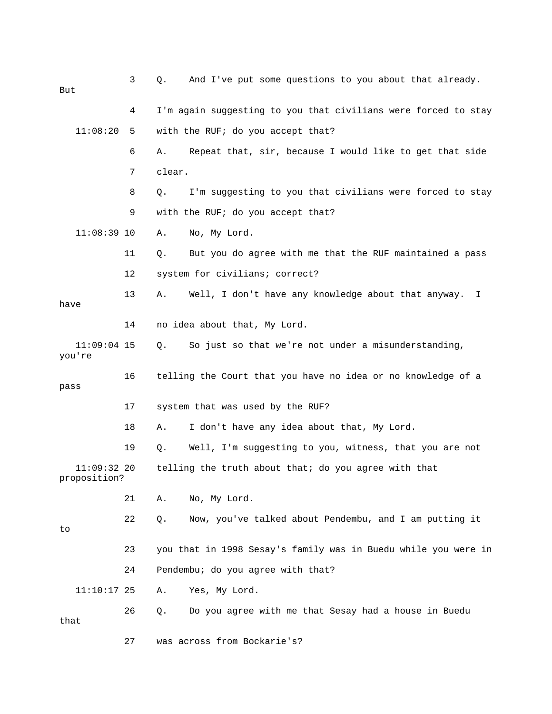| But                           | 3  | And I've put some questions to you about that already.<br>Q.   |
|-------------------------------|----|----------------------------------------------------------------|
|                               | 4  | I'm again suggesting to you that civilians were forced to stay |
| 11:08:20                      | 5  | with the RUF; do you accept that?                              |
|                               | 6  | Repeat that, sir, because I would like to get that side<br>Α.  |
|                               | 7  | clear.                                                         |
|                               | 8  | I'm suggesting to you that civilians were forced to stay<br>Q. |
|                               | 9  | with the RUF; do you accept that?                              |
| $11:08:39$ 10                 |    | No, My Lord.<br>Α.                                             |
|                               | 11 | But you do agree with me that the RUF maintained a pass<br>Q.  |
|                               | 12 | system for civilians; correct?                                 |
| have                          | 13 | Well, I don't have any knowledge about that anyway. I<br>Α.    |
|                               | 14 | no idea about that, My Lord.                                   |
| $11:09:04$ 15<br>you're       |    | So just so that we're not under a misunderstanding,<br>О.      |
| pass                          | 16 | telling the Court that you have no idea or no knowledge of a   |
|                               | 17 | system that was used by the RUF?                               |
|                               | 18 | I don't have any idea about that, My Lord.<br>Α.               |
|                               | 19 | Well, I'm suggesting to you, witness, that you are not<br>Q.   |
| $11:09:32$ 20<br>proposition? |    | telling the truth about that; do you agree with that           |
|                               | 21 | No, My Lord.<br>Α.                                             |
| to                            | 22 | Now, you've talked about Pendembu, and I am putting it<br>Q.   |
|                               | 23 | you that in 1998 Sesay's family was in Buedu while you were in |
|                               | 24 | Pendembu; do you agree with that?                              |
| $11:10:17$ 25                 |    | Yes, My Lord.<br>Α.                                            |
| that                          | 26 | Do you agree with me that Sesay had a house in Buedu<br>Q.     |
|                               | 27 | was across from Bockarie's?                                    |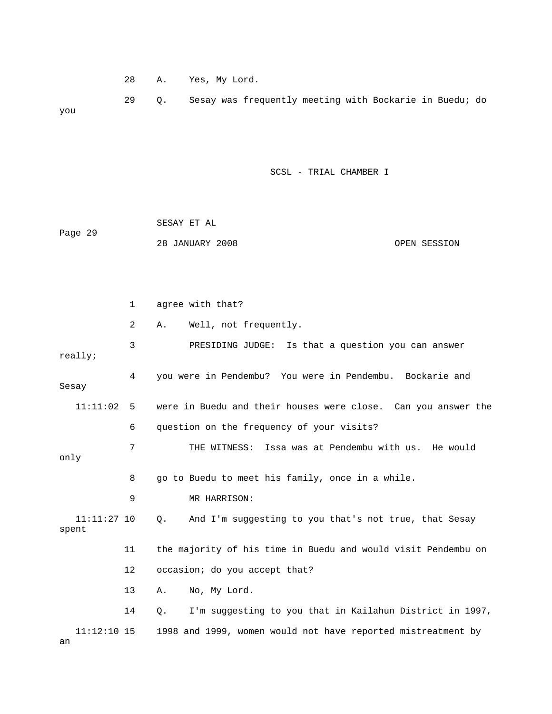28 A. Yes, My Lord.

 29 Q. Sesay was frequently meeting with Bockarie in Buedu; do you

SCSL - TRIAL CHAMBER I

| Page 29 | SESAY ET AL     |              |
|---------|-----------------|--------------|
|         | 28 JANUARY 2008 | OPEN SESSION |

 1 agree with that? 2 A. Well, not frequently. 3 PRESIDING JUDGE: Is that a question you can answer really; 4 you were in Pendembu? You were in Pendembu. Bockarie and Sesay 11:11:02 5 were in Buedu and their houses were close. Can you answer the 6 question on the frequency of your visits? 7 THE WITNESS: Issa was at Pendembu with us. He would only 8 go to Buedu to meet his family, once in a while. 9 MR HARRISON: 11:11:27 10 Q. And I'm suggesting to you that's not true, that Sesay spent 11 the majority of his time in Buedu and would visit Pendembu on 12 occasion; do you accept that? 13 A. No, My Lord. 14 Q. I'm suggesting to you that in Kailahun District in 1997, 11:12:10 15 1998 and 1999, women would not have reported mistreatment by an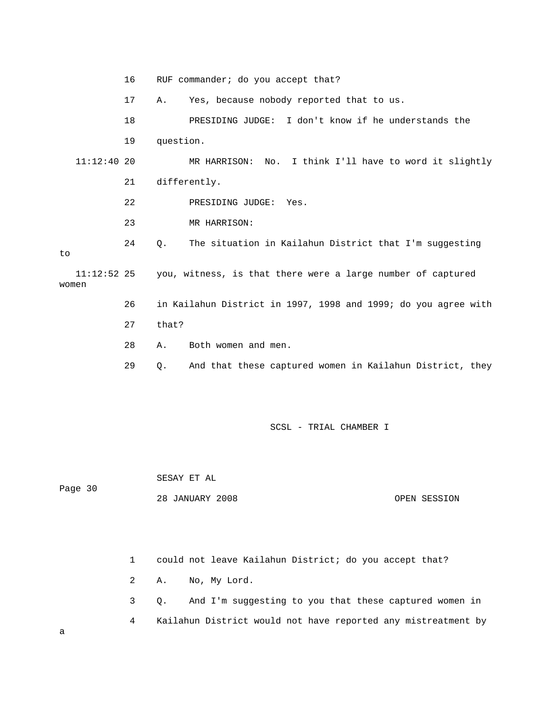16 RUF commander; do you accept that? 17 A. Yes, because nobody reported that to us. 18 PRESIDING JUDGE: I don't know if he understands the 19 question. 11:12:40 20 MR HARRISON: No. I think I'll have to word it slightly 21 differently. 22 PRESIDING JUDGE: Yes. 23 MR HARRISON: 24 Q. The situation in Kailahun District that I'm suggesting to 11:12:52 25 you, witness, is that there were a large number of captured women 26 in Kailahun District in 1997, 1998 and 1999; do you agree with 27 that? 28 A. Both women and men. 29 Q. And that these captured women in Kailahun District, they SCSL - TRIAL CHAMBER I SESAY ET AL

Page 30

28 JANUARY 2008 OPEN SESSION

 1 could not leave Kailahun District; do you accept that? 2 A. No, My Lord.

 3 Q. And I'm suggesting to you that these captured women in 4 Kailahun District would not have reported any mistreatment by

a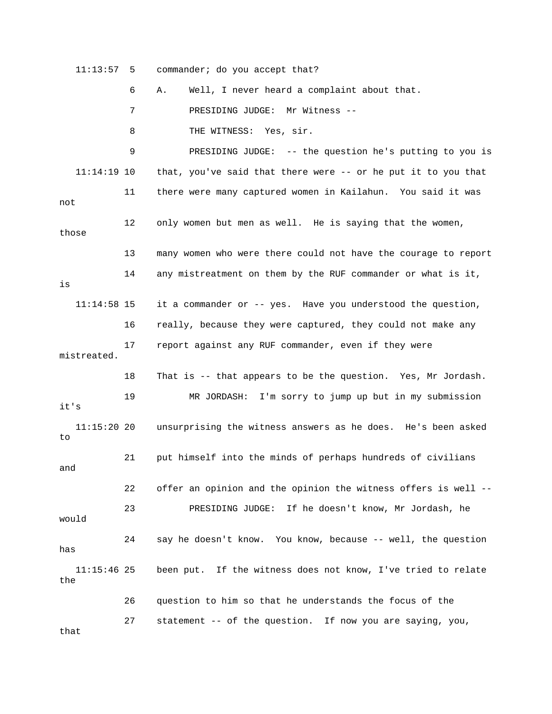11:13:57 5 commander; do you accept that? 6 A. Well, I never heard a complaint about that. 7 PRESIDING JUDGE: Mr Witness -- 8 THE WITNESS: Yes, sir. 9 PRESIDING JUDGE: -- the question he's putting to you is 11:14:19 10 that, you've said that there were -- or he put it to you that 11 there were many captured women in Kailahun. You said it was not 12 only women but men as well. He is saying that the women, those 13 many women who were there could not have the courage to report 14 any mistreatment on them by the RUF commander or what is it, is 11:14:58 15 it a commander or -- yes. Have you understood the question, 16 really, because they were captured, they could not make any 17 report against any RUF commander, even if they were mistreated. 18 That is -- that appears to be the question. Yes, Mr Jordash. 19 MR JORDASH: I'm sorry to jump up but in my submission it's 11:15:20 20 unsurprising the witness answers as he does. He's been asked to 21 put himself into the minds of perhaps hundreds of civilians and 22 offer an opinion and the opinion the witness offers is well -- 23 PRESIDING JUDGE: If he doesn't know, Mr Jordash, he would 24 say he doesn't know. You know, because -- well, the question has 11:15:46 25 been put. If the witness does not know, I've tried to relate the 26 question to him so that he understands the focus of the 27 statement -- of the question. If now you are saying, you, that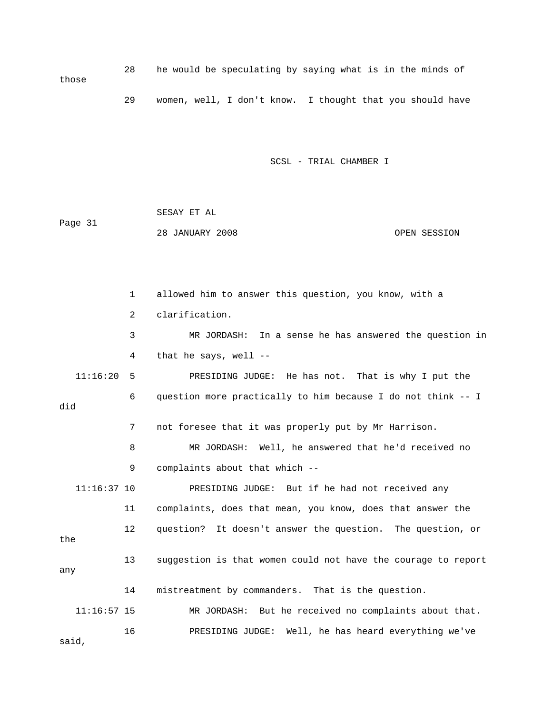28 he would be speculating by saying what is in the minds of those 29 women, well, I don't know. I thought that you should have

SCSL - TRIAL CHAMBER I

 SESAY ET AL Page 31 28 JANUARY 2008 OPEN SESSION

 1 allowed him to answer this question, you know, with a 2 clarification. 3 MR JORDASH: In a sense he has answered the question in 4 that he says, well -- 11:16:20 5 PRESIDING JUDGE: He has not. That is why I put the 6 question more practically to him because I do not think -- I did 7 not foresee that it was properly put by Mr Harrison. 8 MR JORDASH: Well, he answered that he'd received no 9 complaints about that which -- 11:16:37 10 PRESIDING JUDGE: But if he had not received any 11 complaints, does that mean, you know, does that answer the 12 question? It doesn't answer the question. The question, or the 13 suggestion is that women could not have the courage to report any 14 mistreatment by commanders. That is the question. 11:16:57 15 MR JORDASH: But he received no complaints about that. 16 PRESIDING JUDGE: Well, he has heard everything we've said,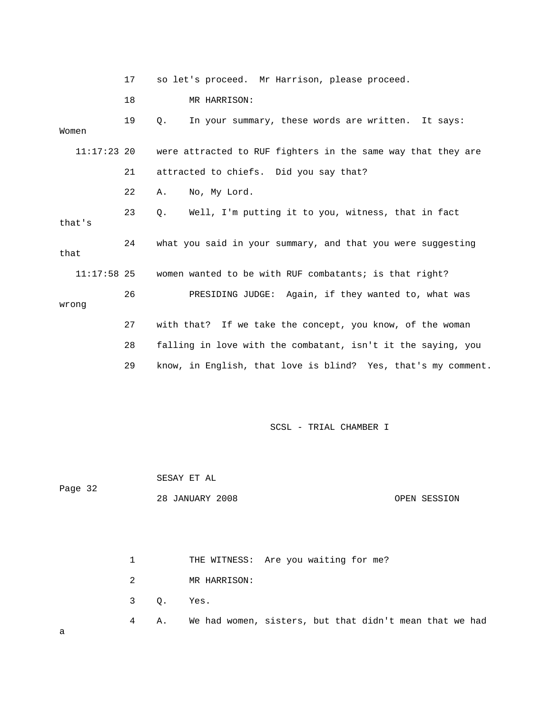|        |               | 17 | so let's proceed. Mr Harrison, please proceed.                |
|--------|---------------|----|---------------------------------------------------------------|
|        |               | 18 | MR HARRISON:                                                  |
| Women  |               | 19 | Q.<br>In your summary, these words are written. It says:      |
|        | $11:17:23$ 20 |    | were attracted to RUF fighters in the same way that they are  |
|        |               | 21 | attracted to chiefs. Did you say that?                        |
|        |               | 22 | No, My Lord.<br>Α.                                            |
| that's |               | 23 | Well, I'm putting it to you, witness, that in fact<br>О.      |
| that   |               | 24 | what you said in your summary, and that you were suggesting   |
|        | $11:17:58$ 25 |    | women wanted to be with RUF combatants; is that right?        |
| wrong  |               | 26 | PRESIDING JUDGE: Again, if they wanted to, what was           |
|        |               | 27 | with that? If we take the concept, you know, of the woman     |
|        |               | 28 | falling in love with the combatant, isn't it the saying, you  |
|        |               | 29 | know, in English, that love is blind? Yes, that's my comment. |

 SESAY ET AL Page 32 28 JANUARY 2008 OPEN SESSION 1 THE WITNESS: Are you waiting for me? 2 MR HARRISON: 3 Q. Yes. 4 A. We had women, sisters, but that didn't mean that we had a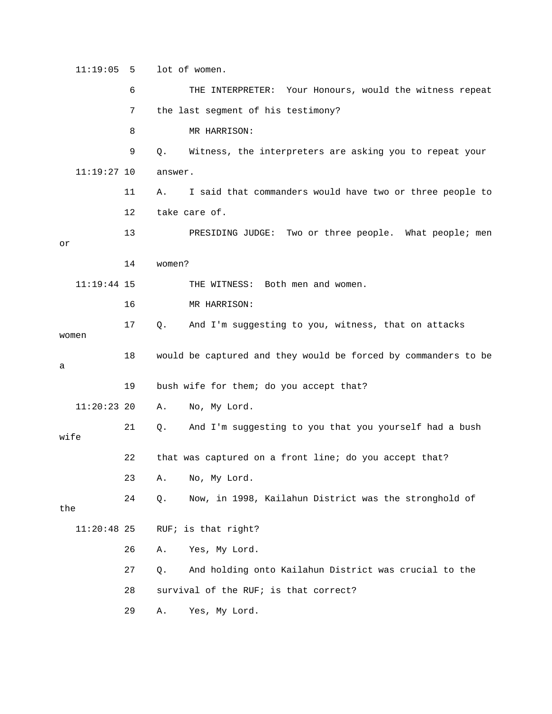11:19:05 5 lot of women. 6 THE INTERPRETER: Your Honours, would the witness repeat 7 the last segment of his testimony? 8 MR HARRISON: 9 Q. Witness, the interpreters are asking you to repeat your 11:19:27 10 answer. 11 A. I said that commanders would have two or three people to 12 take care of. 13 PRESIDING JUDGE: Two or three people. What people; men or 14 women? 11:19:44 15 THE WITNESS: Both men and women. 16 MR HARRISON: 17 Q. And I'm suggesting to you, witness, that on attacks women 18 would be captured and they would be forced by commanders to be a 19 bush wife for them; do you accept that? 11:20:23 20 A. No, My Lord. 21 Q. And I'm suggesting to you that you yourself had a bush wife 22 that was captured on a front line; do you accept that? 23 A. No, My Lord. 24 Q. Now, in 1998, Kailahun District was the stronghold of the 11:20:48 25 RUF; is that right? 26 A. Yes, My Lord. 27 Q. And holding onto Kailahun District was crucial to the 28 survival of the RUF; is that correct? 29 A. Yes, My Lord.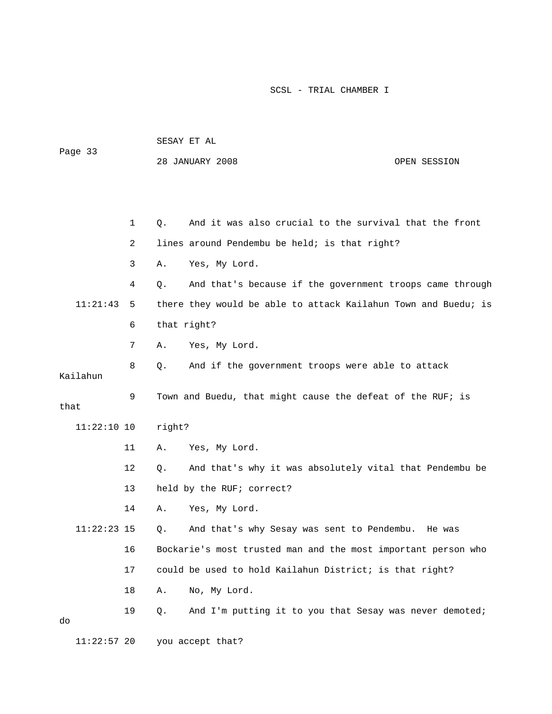| Page 33       |    |             | 28 JANUARY 2008                                                | OPEN SESSION |
|---------------|----|-------------|----------------------------------------------------------------|--------------|
|               |    |             |                                                                |              |
|               | 1  | Q.          | And it was also crucial to the survival that the front         |              |
|               | 2  |             | lines around Pendembu be held; is that right?                  |              |
|               | 3  | Α.          | Yes, My Lord.                                                  |              |
|               | 4  | Q.          | And that's because if the government troops came through       |              |
| 11:21:43      | 5  |             | there they would be able to attack Kailahun Town and Buedu; is |              |
|               | 6  | that right? |                                                                |              |
|               | 7  | Α.          | Yes, My Lord.                                                  |              |
| Kailahun      | 8  | Q.          | And if the government troops were able to attack               |              |
| that          | 9  |             | Town and Buedu, that might cause the defeat of the RUF; is     |              |
| $11:22:10$ 10 |    | right?      |                                                                |              |
|               | 11 | Α.          | Yes, My Lord.                                                  |              |
|               | 12 | Q.          | And that's why it was absolutely vital that Pendembu be        |              |
|               | 13 |             | held by the RUF; correct?                                      |              |
|               | 14 | Α.          | Yes, My Lord.                                                  |              |
| $11:22:23$ 15 |    | Q.          | And that's why Sesay was sent to Pendembu. He was              |              |
|               | 16 |             | Bockarie's most trusted man and the most important person who  |              |
|               | 17 |             | could be used to hold Kailahun District; is that right?        |              |
|               | 18 | Α.          | No, My Lord.                                                   |              |
| do            | 19 | Q.          | And I'm putting it to you that Sesay was never demoted;        |              |
| $11:22:57$ 20 |    |             | you accept that?                                               |              |

SESAY ET AL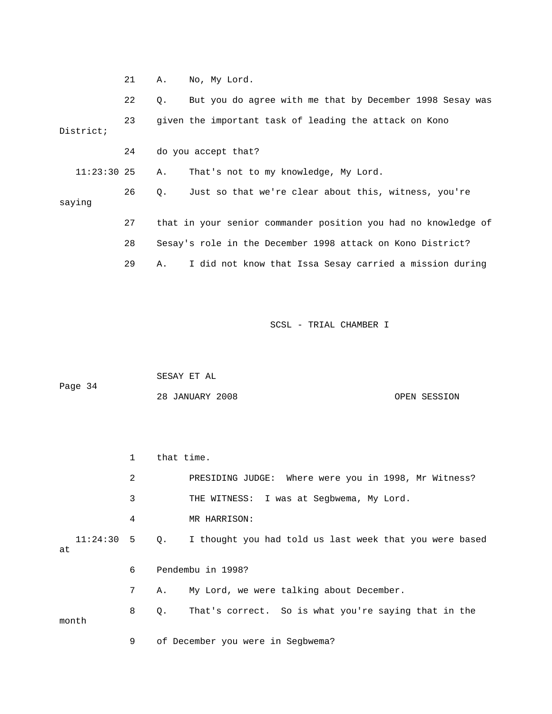|               | 21 | Α.          | No, My Lord.                                                   |
|---------------|----|-------------|----------------------------------------------------------------|
|               | 22 | $Q_{\star}$ | But you do agree with me that by December 1998 Sesay was       |
| District;     | 23 |             | given the important task of leading the attack on Kono         |
|               | 24 |             | do you accept that?                                            |
| $11:23:30$ 25 |    | Α.          | That's not to my knowledge, My Lord.                           |
| saying        | 26 | Q.          | Just so that we're clear about this, witness, you're           |
|               | 27 |             | that in your senior commander position you had no knowledge of |
|               | 28 |             | Sesay's role in the December 1998 attack on Kono District?     |
|               | 29 | Α.          | I did not know that Issa Sesay carried a mission during        |

|         | SESAY ET AL     |              |
|---------|-----------------|--------------|
| Page 34 |                 |              |
|         | 28 JANUARY 2008 | OPEN SESSION |

|    |       | 1              | that time. |                                                                       |
|----|-------|----------------|------------|-----------------------------------------------------------------------|
|    |       | 2              |            | PRESIDING JUDGE: Where were you in 1998, Mr Witness?                  |
|    |       | 3              |            | THE WITNESS: I was at Segbwema, My Lord.                              |
|    |       | 4              |            | MR HARRISON:                                                          |
| at |       |                |            | 11:24:30 5 Q. I thought you had told us last week that you were based |
|    |       | 6              |            | Pendembu in 1998?                                                     |
|    |       | 7 <sup>7</sup> | Α.         | My Lord, we were talking about December.                              |
|    | month | 8              | Q.         | That's correct. So is what you're saying that in the                  |

9 of December you were in Segbwema?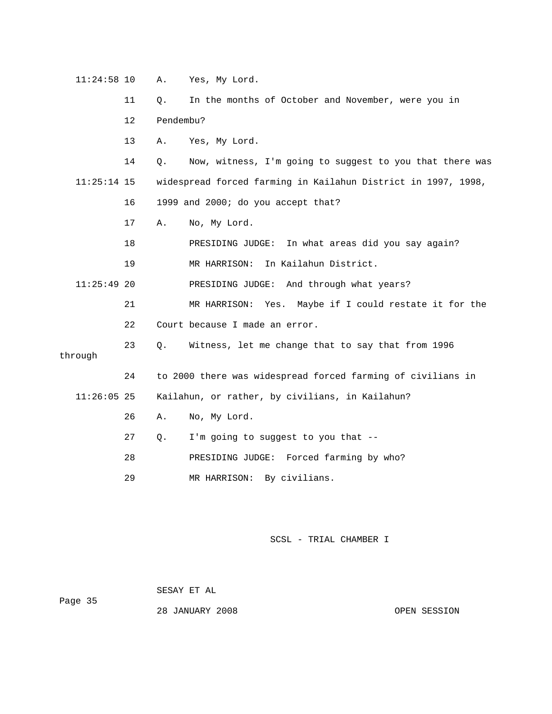11:24:58 10 A. Yes, My Lord. 11 Q. In the months of October and November, were you in 12 Pendembu? 13 A. Yes, My Lord. 14 Q. Now, witness, I'm going to suggest to you that there was 11:25:14 15 widespread forced farming in Kailahun District in 1997, 1998, 16 1999 and 2000; do you accept that? 17 A. No, My Lord. 18 PRESIDING JUDGE: In what areas did you say again? 19 MR HARRISON: In Kailahun District. 11:25:49 20 PRESIDING JUDGE: And through what years? 21 MR HARRISON: Yes. Maybe if I could restate it for the 22 Court because I made an error. 23 Q. Witness, let me change that to say that from 1996 through 24 to 2000 there was widespread forced farming of civilians in 11:26:05 25 Kailahun, or rather, by civilians, in Kailahun? 26 A. No, My Lord. 27 Q. I'm going to suggest to you that -- 28 PRESIDING JUDGE: Forced farming by who? 29 MR HARRISON: By civilians.

SCSL - TRIAL CHAMBER I

 SESAY ET AL Page 35

28 JANUARY 2008 OPEN SESSION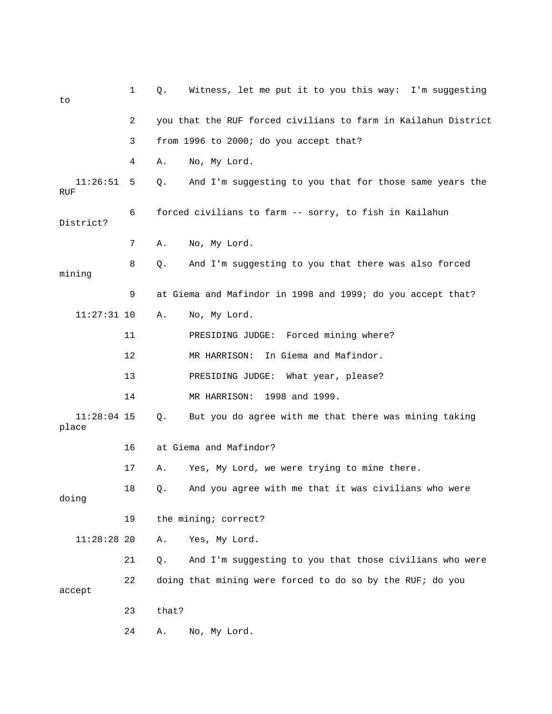| to                     | $\mathbf{1}$ | Q.    | Witness, let me put it to you this way: I'm suggesting         |
|------------------------|--------------|-------|----------------------------------------------------------------|
|                        | 2            |       | you that the RUF forced civilians to farm in Kailahun District |
|                        | 3            |       | from 1996 to 2000; do you accept that?                         |
|                        | 4            | Α.    | No, My Lord.                                                   |
| 11:26:51<br>RUF        | 5            | Q.    | And I'm suggesting to you that for those same years the        |
| District?              | 6            |       | forced civilians to farm -- sorry, to fish in Kailahun         |
|                        | 7            | Α.    | No, My Lord.                                                   |
| mining                 | 8            | $Q$ . | And I'm suggesting to you that there was also forced           |
|                        | 9            |       | at Giema and Mafindor in 1998 and 1999; do you accept that?    |
| $11:27:31$ 10          |              | Α.    | No, My Lord.                                                   |
|                        | 11           |       | PRESIDING JUDGE: Forced mining where?                          |
|                        | 12           |       | In Giema and Mafindor.<br>MR HARRISON:                         |
|                        | 13           |       | PRESIDING JUDGE:<br>What year, please?                         |
|                        | 14           |       | MR HARRISON: 1998 and 1999.                                    |
| $11:28:04$ 15<br>place |              | Q.    | But you do agree with me that there was mining taking          |
|                        | 16           |       | at Giema and Mafindor?                                         |
|                        | 17           | Α.    | Yes, My Lord, we were trying to mine there.                    |
| doing                  | 18           | Q.    | And you agree with me that it was civilians who were           |
|                        | 19           |       | the mining; correct?                                           |
| 11:28:2820             |              | Α.    | Yes, My Lord.                                                  |
|                        | 21           | Q.    | And I'm suggesting to you that those civilians who were        |
| accept                 | 22           |       | doing that mining were forced to do so by the RUF; do you      |
|                        | 23           | that? |                                                                |
|                        | 24           | Α.    | No, My Lord.                                                   |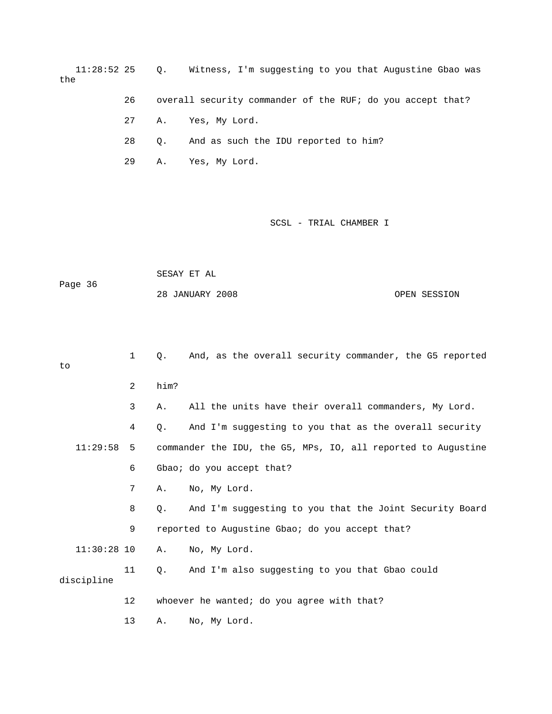11:28:52 25 Q. Witness, I'm suggesting to you that Augustine Gbao was the

26 overall security commander of the RUF; do you accept that?

27 A. Yes, My Lord.

28 Q. And as such the IDU reported to him?

29 A. Yes, My Lord.

## SCSL - TRIAL CHAMBER I

 SESAY ET AL Page 36 28 JANUARY 2008 OPEN SESSION

 1 Q. And, as the overall security commander, the G5 reported to 2 him? 3 A. All the units have their overall commanders, My Lord. 4 Q. And I'm suggesting to you that as the overall security 11:29:58 5 commander the IDU, the G5, MPs, IO, all reported to Augustine 6 Gbao; do you accept that? 7 A. No, My Lord. 8 Q. And I'm suggesting to you that the Joint Security Board 9 reported to Augustine Gbao; do you accept that? 11:30:28 10 A. No, My Lord. 11 Q. And I'm also suggesting to you that Gbao could discipline 12 whoever he wanted; do you agree with that? 13 A. No, My Lord.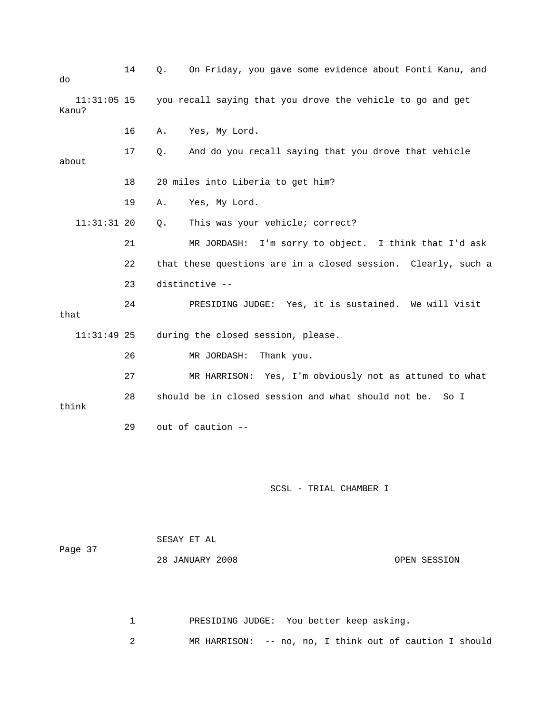| do                     | 14 | Q. | On Friday, you gave some evidence about Fonti Kanu, and       |              |
|------------------------|----|----|---------------------------------------------------------------|--------------|
| $11:31:05$ 15<br>Kanu? |    |    | you recall saying that you drove the vehicle to go and get    |              |
|                        | 16 | Α. | Yes, My Lord.                                                 |              |
| about                  | 17 | Q. | And do you recall saying that you drove that vehicle          |              |
|                        | 18 |    | 20 miles into Liberia to get him?                             |              |
|                        | 19 | Α. | Yes, My Lord.                                                 |              |
| $11:31:31$ 20          |    | Q. | This was your vehicle; correct?                               |              |
|                        | 21 |    | MR JORDASH: I'm sorry to object. I think that I'd ask         |              |
|                        | 22 |    | that these questions are in a closed session. Clearly, such a |              |
|                        | 23 |    | distinctive --                                                |              |
| that                   | 24 |    | PRESIDING JUDGE: Yes, it is sustained. We will visit          |              |
| $11:31:49$ 25          |    |    | during the closed session, please.                            |              |
|                        | 26 |    | MR JORDASH:<br>Thank you.                                     |              |
|                        | 27 |    | MR HARRISON: Yes, I'm obviously not as attuned to what        |              |
| think                  | 28 |    | should be in closed session and what should not be. So I      |              |
|                        | 29 |    | out of caution --                                             |              |
|                        |    |    |                                                               |              |
|                        |    |    |                                                               |              |
|                        |    |    | SCSL - TRIAL CHAMBER I                                        |              |
|                        |    |    | SESAY ET AL                                                   |              |
| Page 37                |    |    | 28 JANUARY 2008                                               | OPEN SESSION |

1 PRESIDING JUDGE: You better keep asking.

2 MR HARRISON: -- no, no, I think out of caution I should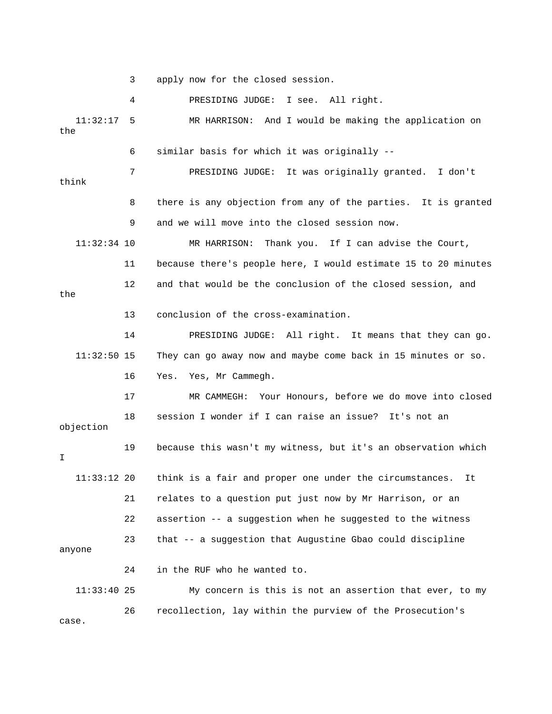3 apply now for the closed session.

 4 PRESIDING JUDGE: I see. All right. 11:32:17 5 MR HARRISON: And I would be making the application on the 6 similar basis for which it was originally -- 7 PRESIDING JUDGE: It was originally granted. I don't think 8 there is any objection from any of the parties. It is granted 9 and we will move into the closed session now. 11:32:34 10 MR HARRISON: Thank you. If I can advise the Court, 11 because there's people here, I would estimate 15 to 20 minutes 12 and that would be the conclusion of the closed session, and the 13 conclusion of the cross-examination. 14 PRESIDING JUDGE: All right. It means that they can go. 11:32:50 15 They can go away now and maybe come back in 15 minutes or so. 16 Yes. Yes, Mr Cammegh. 17 MR CAMMEGH: Your Honours, before we do move into closed 18 session I wonder if I can raise an issue? It's not an objection 19 because this wasn't my witness, but it's an observation which I 11:33:12 20 think is a fair and proper one under the circumstances. It 21 relates to a question put just now by Mr Harrison, or an 22 assertion -- a suggestion when he suggested to the witness 23 that -- a suggestion that Augustine Gbao could discipline anyone 24 in the RUF who he wanted to. 11:33:40 25 My concern is this is not an assertion that ever, to my 26 recollection, lay within the purview of the Prosecution's

case.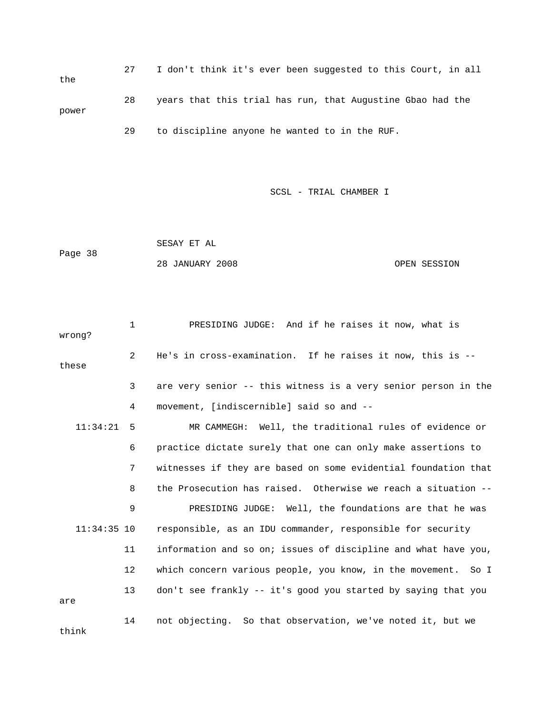27 I don't think it's ever been suggested to this Court, in all the 28 years that this trial has run, that Augustine Gbao had the power 29 to discipline anyone he wanted to in the RUF.

SCSL - TRIAL CHAMBER I

 SESAY ET AL Page 38 28 JANUARY 2008 OPEN SESSION

 1 PRESIDING JUDGE: And if he raises it now, what is wrong? 2 He's in cross-examination. If he raises it now, this is - these 3 are very senior -- this witness is a very senior person in the 4 movement, [indiscernible] said so and -- 11:34:21 5 MR CAMMEGH: Well, the traditional rules of evidence or 6 practice dictate surely that one can only make assertions to 7 witnesses if they are based on some evidential foundation that 8 the Prosecution has raised. Otherwise we reach a situation -- 9 PRESIDING JUDGE: Well, the foundations are that he was 11:34:35 10 responsible, as an IDU commander, responsible for security 11 information and so on; issues of discipline and what have you, 12 which concern various people, you know, in the movement. So I 13 don't see frankly -- it's good you started by saying that you are 14 not objecting. So that observation, we've noted it, but we think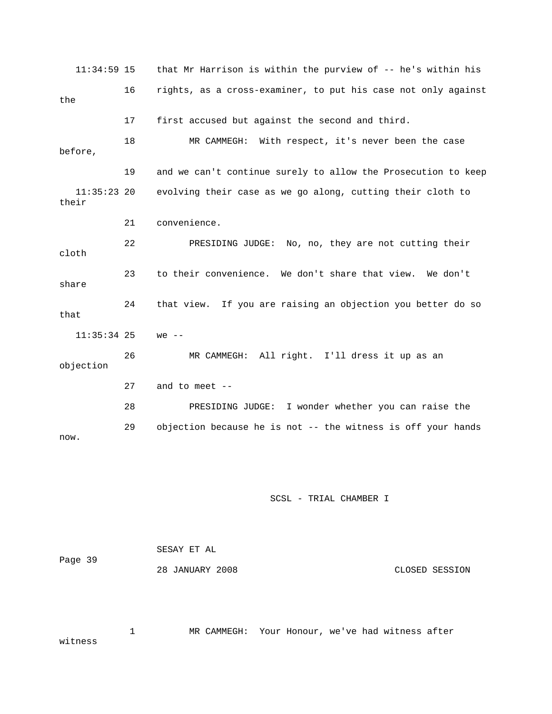11:34:59 15 that Mr Harrison is within the purview of -- he's within his 16 rights, as a cross-examiner, to put his case not only against the 17 first accused but against the second and third. 18 MR CAMMEGH: With respect, it's never been the case before, 19 and we can't continue surely to allow the Prosecution to keep 11:35:23 20 evolving their case as we go along, cutting their cloth to their 21 convenience. 22 PRESIDING JUDGE: No, no, they are not cutting their cloth 23 to their convenience. We don't share that view. We don't share 24 that view. If you are raising an objection you better do so that 11:35:34 25 we -- 26 MR CAMMEGH: All right. I'll dress it up as an objection 27 and to meet -- 28 PRESIDING JUDGE: I wonder whether you can raise the 29 objection because he is not -- the witness is off your hands now.

## SCSL - TRIAL CHAMBER I

| Page 39 | SESAY ET AL     |                |
|---------|-----------------|----------------|
|         | 28 JANUARY 2008 | CLOSED SESSION |

 1 MR CAMMEGH: Your Honour, we've had witness after witness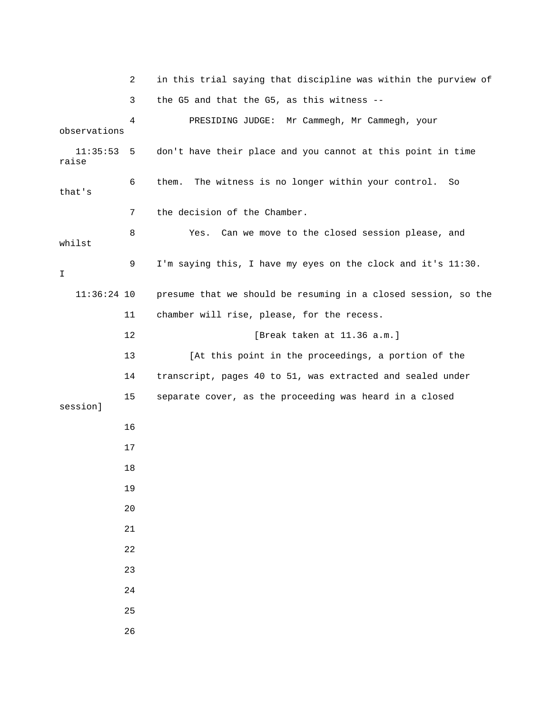|                   | 2  | in this trial saying that discipline was within the purview of |
|-------------------|----|----------------------------------------------------------------|
|                   | 3  | the G5 and that the G5, as this witness --                     |
| observations      | 4  | PRESIDING JUDGE: Mr Cammegh, Mr Cammegh, your                  |
| 11:35:53<br>raise | 5  | don't have their place and you cannot at this point in time    |
| that's            | 6  | The witness is no longer within your control.<br>them.<br>So   |
|                   | 7  | the decision of the Chamber.                                   |
| whilst            | 8  | Can we move to the closed session please, and<br>Yes.          |
| I.                | 9  | I'm saying this, I have my eyes on the clock and it's 11:30.   |
| $11:36:24$ 10     |    | presume that we should be resuming in a closed session, so the |
|                   | 11 | chamber will rise, please, for the recess.                     |
|                   | 12 | [Break taken at 11.36 a.m.]                                    |
|                   | 13 | [At this point in the proceedings, a portion of the            |
|                   | 14 | transcript, pages 40 to 51, was extracted and sealed under     |
| session]          | 15 | separate cover, as the proceeding was heard in a closed        |
|                   | 16 |                                                                |
|                   | 17 |                                                                |
|                   | 18 |                                                                |
|                   | 19 |                                                                |
|                   | 20 |                                                                |
|                   | 21 |                                                                |
|                   | 22 |                                                                |
|                   | 23 |                                                                |
|                   | 24 |                                                                |
|                   | 25 |                                                                |
|                   | 26 |                                                                |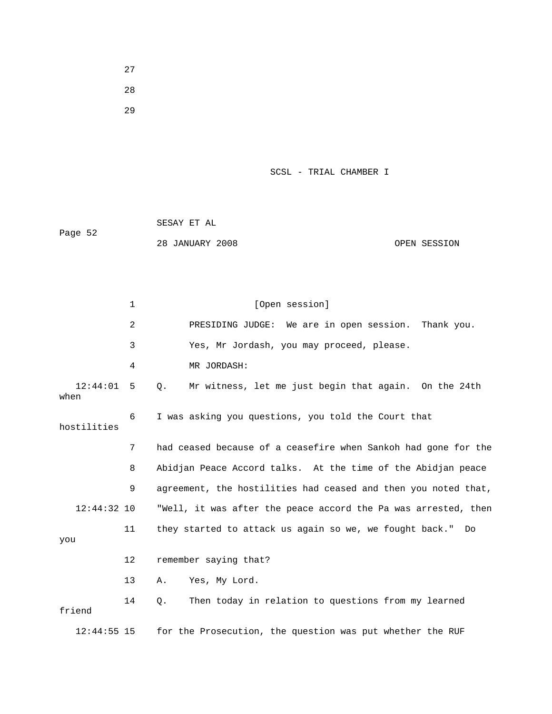27 28

29

## SCSL - TRIAL CHAMBER I

|         | SESAY ET AL     |              |
|---------|-----------------|--------------|
| Page 52 |                 |              |
|         | 28 JANUARY 2008 | OPEN SESSION |

1 [Open session] 2 PRESIDING JUDGE: We are in open session. Thank you. 3 Yes, Mr Jordash, you may proceed, please. 4 MR JORDASH: 12:44:01 5 Q. Mr witness, let me just begin that again. On the 24th when 6 I was asking you questions, you told the Court that hostilities 7 had ceased because of a ceasefire when Sankoh had gone for the 8 Abidjan Peace Accord talks. At the time of the Abidjan peace 9 agreement, the hostilities had ceased and then you noted that, 12:44:32 10 "Well, it was after the peace accord the Pa was arrested, then 11 they started to attack us again so we, we fought back." Do you 12 remember saying that? 13 A. Yes, My Lord. 14 Q. Then today in relation to questions from my learned friend 12:44:55 15 for the Prosecution, the question was put whether the RUF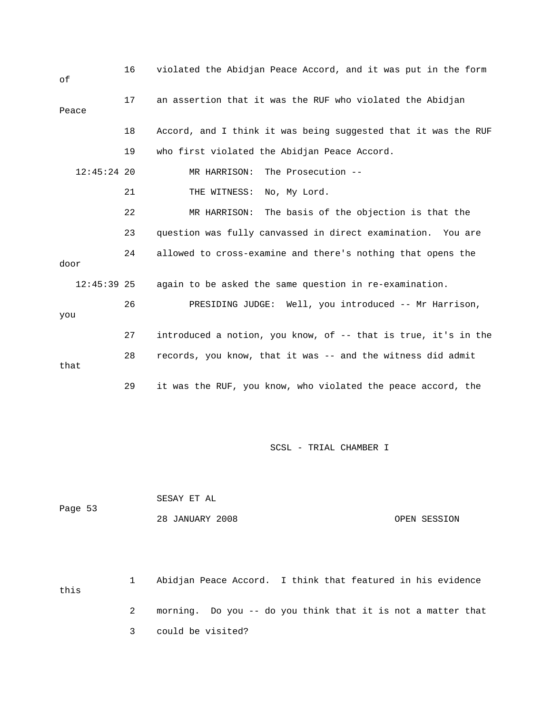| οf            | 16 | violated the Abidjan Peace Accord, and it was put in the form  |
|---------------|----|----------------------------------------------------------------|
| Peace         | 17 | an assertion that it was the RUF who violated the Abidjan      |
|               | 18 | Accord, and I think it was being suggested that it was the RUF |
|               | 19 | who first violated the Abidjan Peace Accord.                   |
| $12:45:24$ 20 |    | The Prosecution --<br>MR HARRISON:                             |
|               | 21 | THE WITNESS: No, My Lord.                                      |
|               | 22 | MR HARRISON: The basis of the objection is that the            |
|               | 23 | question was fully canvassed in direct examination. You are    |
| door          | 24 | allowed to cross-examine and there's nothing that opens the    |
| $12:45:39$ 25 |    | again to be asked the same question in re-examination.         |
| you           | 26 | PRESIDING JUDGE: Well, you introduced -- Mr Harrison,          |
|               | 27 | introduced a notion, you know, of -- that is true, it's in the |
| that          | 28 | records, you know, that it was -- and the witness did admit    |
|               | 29 | it was the RUF, you know, who violated the peace accord, the   |

|         | SESAY ET AL     |              |
|---------|-----------------|--------------|
| Page 53 |                 |              |
|         | 28 JANUARY 2008 | OPEN SESSION |

 1 Abidjan Peace Accord. I think that featured in his evidence this 2 morning. Do you -- do you think that it is not a matter that 3 could be visited?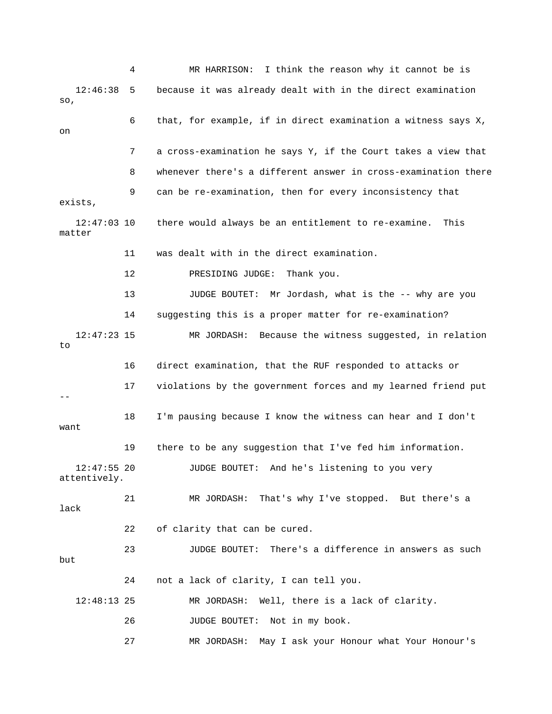4 MR HARRISON: I think the reason why it cannot be is 12:46:38 5 because it was already dealt with in the direct examination so, 6 that, for example, if in direct examination a witness says X, on 7 a cross-examination he says Y, if the Court takes a view that 8 whenever there's a different answer in cross-examination there 9 can be re-examination, then for every inconsistency that exists, 12:47:03 10 there would always be an entitlement to re-examine. This matter 11 was dealt with in the direct examination. 12 PRESIDING JUDGE: Thank you. 13 JUDGE BOUTET: Mr Jordash, what is the -- why are you 14 suggesting this is a proper matter for re-examination? 12:47:23 15 MR JORDASH: Because the witness suggested, in relation to 16 direct examination, that the RUF responded to attacks or 17 violations by the government forces and my learned friend put -- 18 I'm pausing because I know the witness can hear and I don't want 19 there to be any suggestion that I've fed him information. 12:47:55 20 JUDGE BOUTET: And he's listening to you very attentively. 21 MR JORDASH: That's why I've stopped. But there's a lack 22 of clarity that can be cured. 23 JUDGE BOUTET: There's a difference in answers as such but 24 not a lack of clarity, I can tell you. 12:48:13 25 MR JORDASH: Well, there is a lack of clarity. 26 JUDGE BOUTET: Not in my book. 27 MR JORDASH: May I ask your Honour what Your Honour's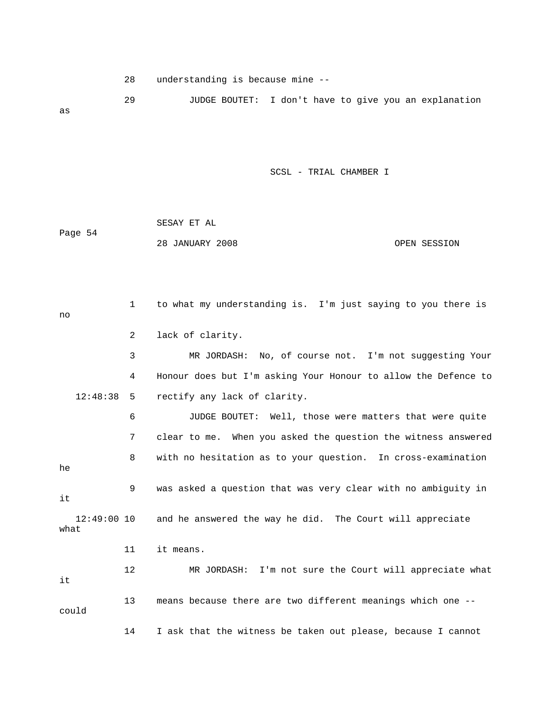28 understanding is because mine --

 29 JUDGE BOUTET: I don't have to give you an explanation as

SCSL - TRIAL CHAMBER I

|         | SESAY ET AL     |              |
|---------|-----------------|--------------|
| Page 54 |                 |              |
|         | 28 JANUARY 2008 | OPEN SESSION |

 1 to what my understanding is. I'm just saying to you there is no 2 lack of clarity. 3 MR JORDASH: No, of course not. I'm not suggesting Your 4 Honour does but I'm asking Your Honour to allow the Defence to 12:48:38 5 rectify any lack of clarity. 6 JUDGE BOUTET: Well, those were matters that were quite 7 clear to me. When you asked the question the witness answered 8 with no hesitation as to your question. In cross-examination he 9 was asked a question that was very clear with no ambiguity in it 12:49:00 10 and he answered the way he did. The Court will appreciate what 11 it means. 12 MR JORDASH: I'm not sure the Court will appreciate what it 13 means because there are two different meanings which one - could 14 I ask that the witness be taken out please, because I cannot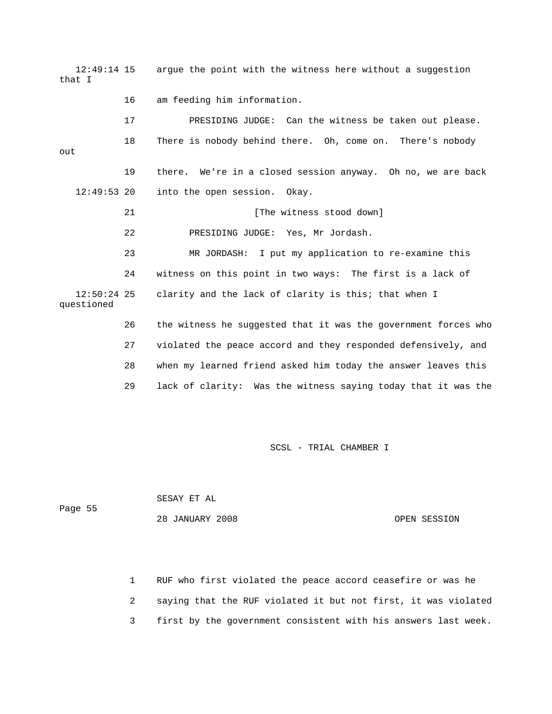12:49:14 15 argue the point with the witness here without a suggestion that I 16 am feeding him information. 17 PRESIDING JUDGE: Can the witness be taken out please. 18 There is nobody behind there. Oh, come on. There's nobody out 19 there. We're in a closed session anyway. Oh no, we are back 12:49:53 20 into the open session. Okay. 21 [The witness stood down] 22 PRESIDING JUDGE: Yes, Mr Jordash. 23 MR JORDASH: I put my application to re-examine this 24 witness on this point in two ways: The first is a lack of 12:50:24 25 clarity and the lack of clarity is this; that when I questioned 26 the witness he suggested that it was the government forces who 27 violated the peace accord and they responded defensively, and 28 when my learned friend asked him today the answer leaves this 29 lack of clarity: Was the witness saying today that it was the

SCSL - TRIAL CHAMBER I

 SESAY ET AL Page 55 28 JANUARY 2008 OPEN SESSION

> 1 RUF who first violated the peace accord ceasefire or was he 2 saying that the RUF violated it but not first, it was violated 3 first by the government consistent with his answers last week.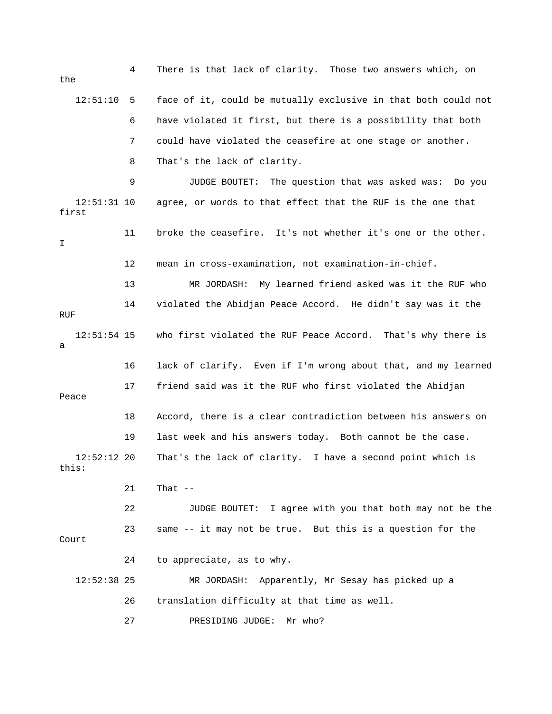4 There is that lack of clarity. Those two answers which, on the 12:51:10 5 face of it, could be mutually exclusive in that both could not 6 have violated it first, but there is a possibility that both 7 could have violated the ceasefire at one stage or another. 8 That's the lack of clarity. 9 JUDGE BOUTET: The question that was asked was: Do you 12:51:31 10 agree, or words to that effect that the RUF is the one that first 11 broke the ceasefire. It's not whether it's one or the other. I 12 mean in cross-examination, not examination-in-chief. 13 MR JORDASH: My learned friend asked was it the RUF who 14 violated the Abidjan Peace Accord. He didn't say was it the **RUF**  12:51:54 15 who first violated the RUF Peace Accord. That's why there is a 16 lack of clarify. Even if I'm wrong about that, and my learned 17 friend said was it the RUF who first violated the Abidjan Peace 18 Accord, there is a clear contradiction between his answers on 19 last week and his answers today. Both cannot be the case. 12:52:12 20 That's the lack of clarity. I have a second point which is this: 21 That -- 22 JUDGE BOUTET: I agree with you that both may not be the 23 same -- it may not be true. But this is a question for the Court 24 to appreciate, as to why. 12:52:38 25 MR JORDASH: Apparently, Mr Sesay has picked up a 26 translation difficulty at that time as well. 27 PRESIDING JUDGE: Mr who?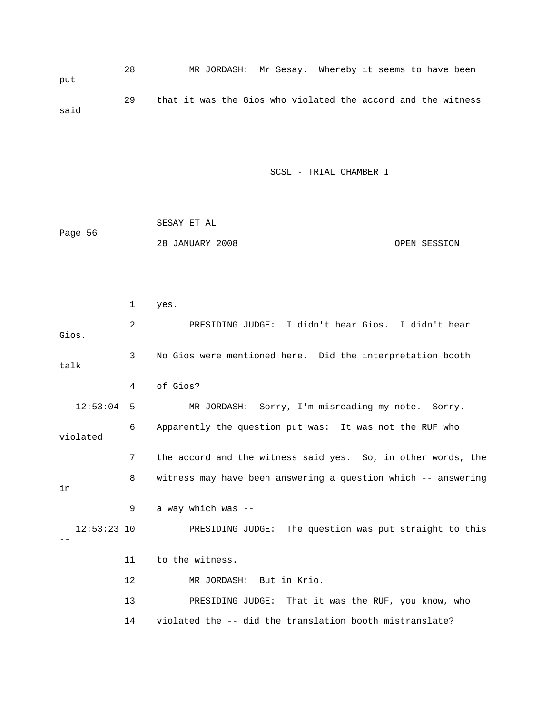28 MR JORDASH: Mr Sesay. Whereby it seems to have been put 29 that it was the Gios who violated the accord and the witness said

SCSL - TRIAL CHAMBER I

|         | SESAY ET AL     |              |
|---------|-----------------|--------------|
| Page 56 |                 |              |
|         | 28 JANUARY 2008 | OPEN SESSION |

|       |               | 1  | yes.                                                          |
|-------|---------------|----|---------------------------------------------------------------|
| Gios. |               | 2  | PRESIDING JUDGE: I didn't hear Gios. I didn't hear            |
| talk  |               | 3  | No Gios were mentioned here. Did the interpretation booth     |
|       |               | 4  | of Gios?                                                      |
|       | 12:53:04      | 5  | MR JORDASH: Sorry, I'm misreading my note. Sorry.             |
|       | violated      | 6  | Apparently the question put was: It was not the RUF who       |
|       |               | 7  | the accord and the witness said yes. So, in other words, the  |
| in    |               | 8  | witness may have been answering a question which -- answering |
|       |               | 9  | a way which was --                                            |
|       | $12:53:23$ 10 |    | PRESIDING JUDGE: The question was put straight to this        |
|       |               | 11 | to the witness.                                               |
|       |               | 12 | MR JORDASH: But in Krio.                                      |
|       |               | 13 | PRESIDING JUDGE: That it was the RUF, you know, who           |
|       |               | 14 | violated the -- did the translation booth mistranslate?       |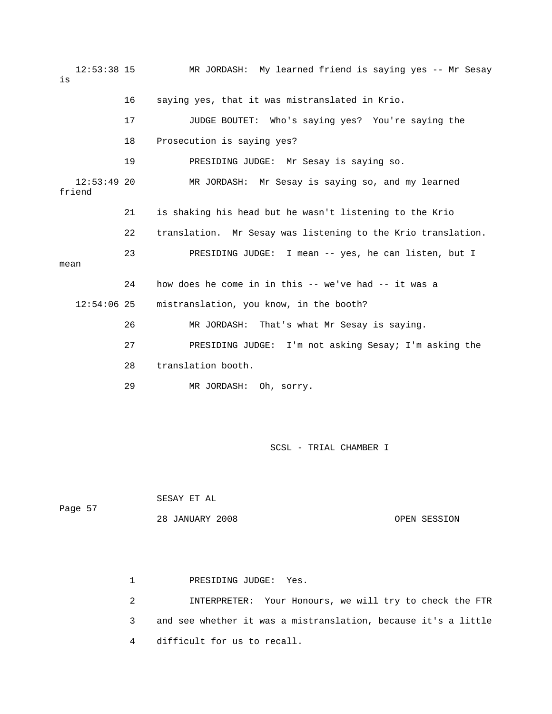12:53:38 15 MR JORDASH: My learned friend is saying yes -- Mr Sesay is 16 saying yes, that it was mistranslated in Krio. 17 JUDGE BOUTET: Who's saying yes? You're saying the 18 Prosecution is saying yes? 19 PRESIDING JUDGE: Mr Sesay is saying so. 12:53:49 20 MR JORDASH: Mr Sesay is saying so, and my learned friend 21 is shaking his head but he wasn't listening to the Krio 22 translation. Mr Sesay was listening to the Krio translation. 23 PRESIDING JUDGE: I mean -- yes, he can listen, but I mean 24 how does he come in in this -- we've had -- it was a 12:54:06 25 mistranslation, you know, in the booth? 26 MR JORDASH: That's what Mr Sesay is saying. 27 PRESIDING JUDGE: I'm not asking Sesay; I'm asking the 28 translation booth. 29 MR JORDASH: Oh, sorry.

SCSL - TRIAL CHAMBER I

 SESAY ET AL Page 57 28 JANUARY 2008 OPEN SESSION

> 1 PRESIDING JUDGE: Yes. 2 INTERPRETER: Your Honours, we will try to check the FTR 3 and see whether it was a mistranslation, because it's a little 4 difficult for us to recall.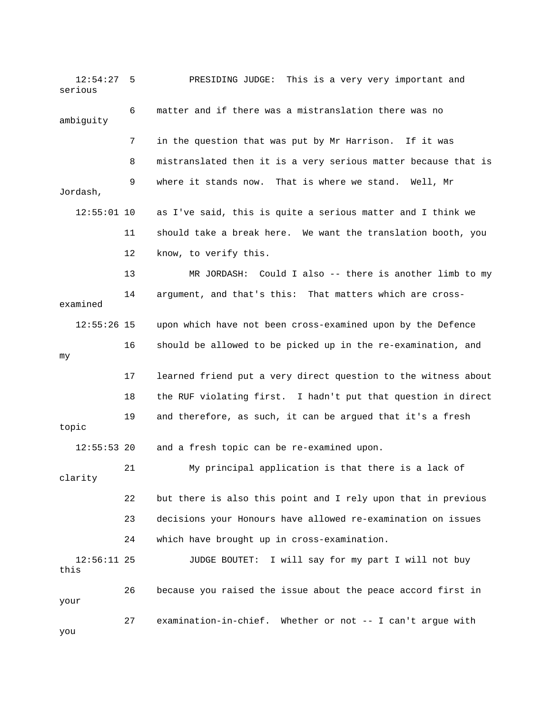12:54:27 5 PRESIDING JUDGE: This is a very very important and serious 6 matter and if there was a mistranslation there was no ambiguity 7 in the question that was put by Mr Harrison. If it was 8 mistranslated then it is a very serious matter because that is 9 where it stands now. That is where we stand. Well, Mr Jordash, 12:55:01 10 as I've said, this is quite a serious matter and I think we 11 should take a break here. We want the translation booth, you 12 know, to verify this. 13 MR JORDASH: Could I also -- there is another limb to my 14 argument, and that's this: That matters which are crossexamined 12:55:26 15 upon which have not been cross-examined upon by the Defence 16 should be allowed to be picked up in the re-examination, and my 17 learned friend put a very direct question to the witness about 18 the RUF violating first. I hadn't put that question in direct 19 and therefore, as such, it can be argued that it's a fresh topic 12:55:53 20 and a fresh topic can be re-examined upon. 21 My principal application is that there is a lack of clarity 22 but there is also this point and I rely upon that in previous 23 decisions your Honours have allowed re-examination on issues 24 which have brought up in cross-examination. 12:56:11 25 JUDGE BOUTET: I will say for my part I will not buy this 26 because you raised the issue about the peace accord first in your 27 examination-in-chief. Whether or not -- I can't argue with you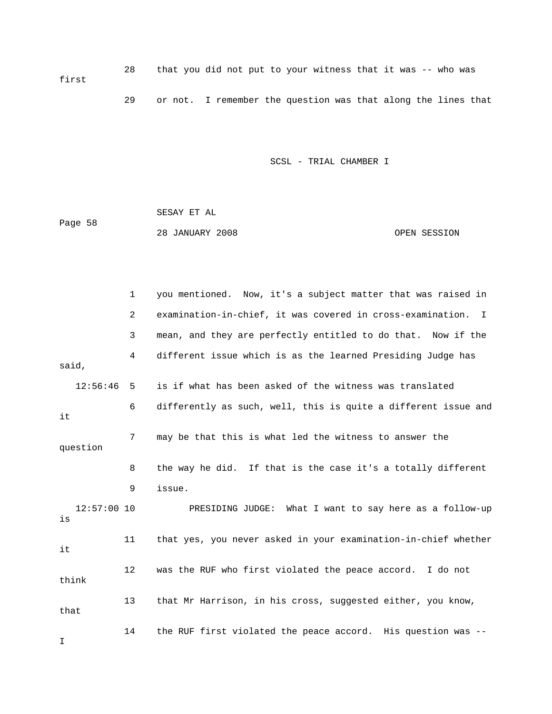28 that you did not put to your witness that it was -- who was first 29 or not. I remember the question was that along the lines that

SCSL - TRIAL CHAMBER I

 SESAY ET AL Page 58 28 JANUARY 2008 OPEN SESSION

 1 you mentioned. Now, it's a subject matter that was raised in 2 examination-in-chief, it was covered in cross-examination. I 3 mean, and they are perfectly entitled to do that. Now if the 4 different issue which is as the learned Presiding Judge has said, 12:56:46 5 is if what has been asked of the witness was translated 6 differently as such, well, this is quite a different issue and it 7 may be that this is what led the witness to answer the question 8 the way he did. If that is the case it's a totally different 9 issue. 12:57:00 10 PRESIDING JUDGE: What I want to say here as a follow-up is 11 that yes, you never asked in your examination-in-chief whether it 12 was the RUF who first violated the peace accord. I do not think 13 that Mr Harrison, in his cross, suggested either, you know, that 14 the RUF first violated the peace accord. His question was -- I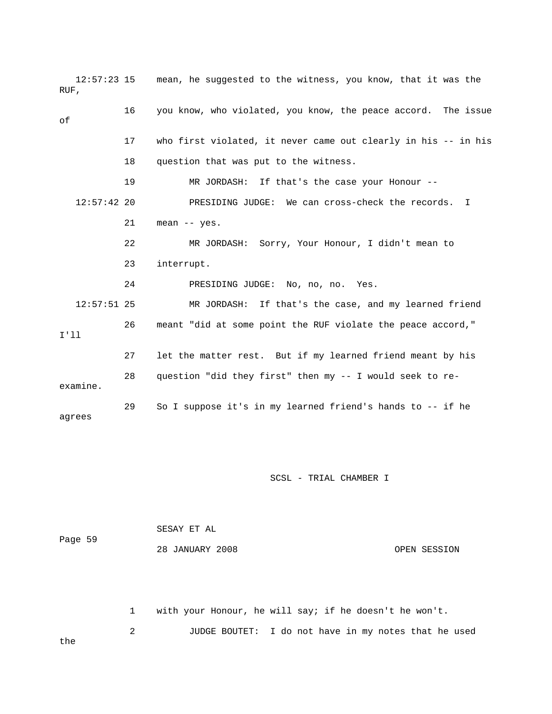| $12:57:23$ 15<br>RUF, |    | mean, he suggested to the witness, you know, that it was the   |
|-----------------------|----|----------------------------------------------------------------|
| оf                    | 16 | you know, who violated, you know, the peace accord. The issue  |
|                       | 17 | who first violated, it never came out clearly in his -- in his |
|                       | 18 | question that was put to the witness.                          |
|                       | 19 | MR JORDASH: If that's the case your Honour --                  |
| $12:57:42$ 20         |    | PRESIDING JUDGE: We can cross-check the records. I             |
|                       | 21 | mean $--$ yes.                                                 |
|                       | 22 | MR JORDASH: Sorry, Your Honour, I didn't mean to               |
|                       | 23 | interrupt.                                                     |
|                       | 24 | PRESIDING JUDGE: No, no, no. Yes.                              |
| $12:57:51$ 25         |    | MR JORDASH: If that's the case, and my learned friend          |
| I'11                  | 26 | meant "did at some point the RUF violate the peace accord,"    |
|                       | 27 | let the matter rest. But if my learned friend meant by his     |
| examine.              | 28 | question "did they first" then my -- I would seek to re-       |
| agrees                | 29 | So I suppose it's in my learned friend's hands to -- if he     |

 SESAY ET AL Page 59 28 JANUARY 2008 OPEN SESSION

 1 with your Honour, he will say; if he doesn't he won't. 2 JUDGE BOUTET: I do not have in my notes that he used the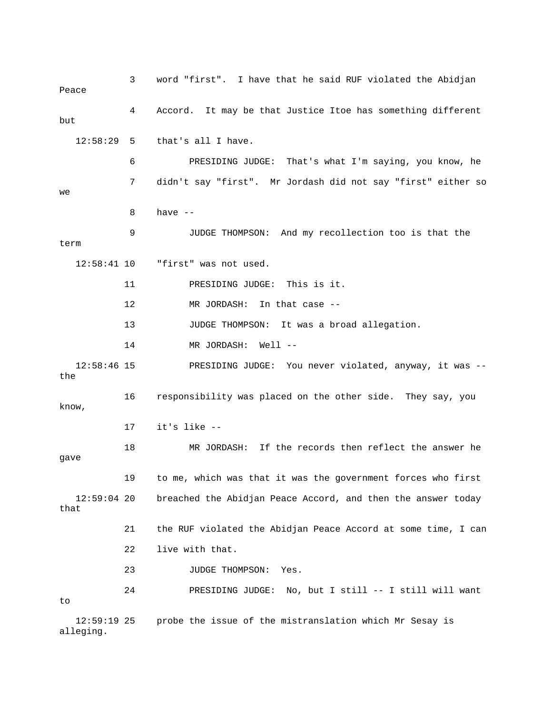3 word "first". I have that he said RUF violated the Abidjan Peace 4 Accord. It may be that Justice Itoe has something different but 12:58:29 5 that's all I have. 6 PRESIDING JUDGE: That's what I'm saying, you know, he 7 didn't say "first". Mr Jordash did not say "first" either so we 8 have -- 9 JUDGE THOMPSON: And my recollection too is that the term 12:58:41 10 "first" was not used. 11 PRESIDING JUDGE: This is it. 12 MR JORDASH: In that case -- 13 JUDGE THOMPSON: It was a broad allegation. 14 MR JORDASH: Well -- 12:58:46 15 PRESIDING JUDGE: You never violated, anyway, it was - the 16 responsibility was placed on the other side. They say, you know, 17 it's like -- 18 MR JORDASH: If the records then reflect the answer he gave 19 to me, which was that it was the government forces who first 12:59:04 20 breached the Abidjan Peace Accord, and then the answer today that 21 the RUF violated the Abidjan Peace Accord at some time, I can 22 live with that. 23 JUDGE THOMPSON: Yes. 24 PRESIDING JUDGE: No, but I still -- I still will want to 12:59:19 25 probe the issue of the mistranslation which Mr Sesay is

alleging.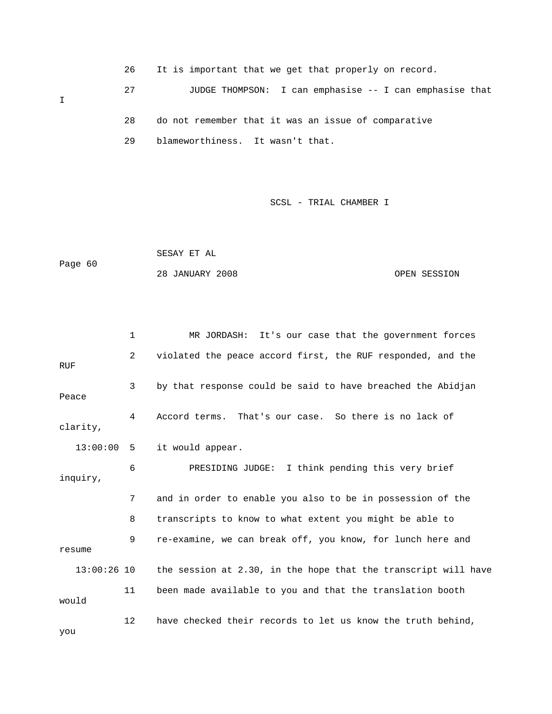26 It is important that we get that properly on record. 27 JUDGE THOMPSON: I can emphasise -- I can emphasise that I 28 do not remember that it was an issue of comparative

29 blameworthiness. It wasn't that.

SCSL - TRIAL CHAMBER I

 SESAY ET AL Page 60 28 JANUARY 2008 OPEN SESSION

 1 MR JORDASH: It's our case that the government forces 2 violated the peace accord first, the RUF responded, and the RUF 3 by that response could be said to have breached the Abidjan Peace 4 Accord terms. That's our case. So there is no lack of clarity, 13:00:00 5 it would appear. 6 PRESIDING JUDGE: I think pending this very brief inquiry, 7 and in order to enable you also to be in possession of the 8 transcripts to know to what extent you might be able to 9 re-examine, we can break off, you know, for lunch here and resume 13:00:26 10 the session at 2.30, in the hope that the transcript will have 11 been made available to you and that the translation booth would 12 have checked their records to let us know the truth behind,

you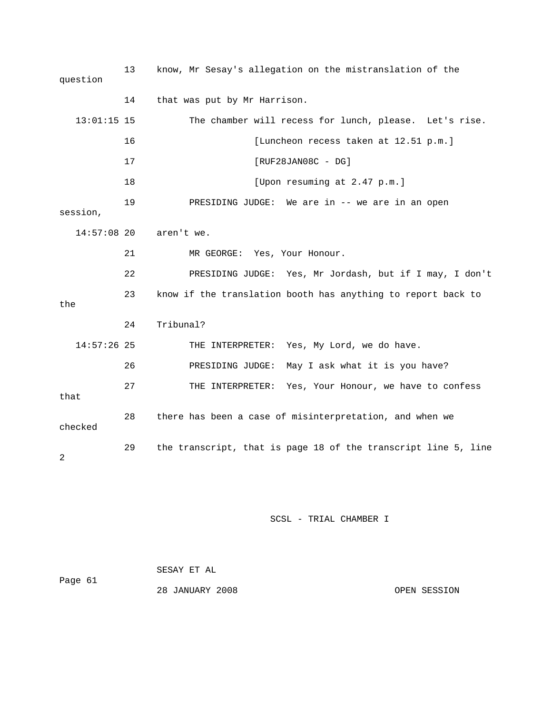13 know, Mr Sesay's allegation on the mistranslation of the question 14 that was put by Mr Harrison. 13:01:15 15 The chamber will recess for lunch, please. Let's rise. 16 [Luncheon recess taken at 12.51 p.m.] 17 [RUF28JAN08C - DG] 18 [Upon resuming at 2.47 p.m.] 19 PRESIDING JUDGE: We are in -- we are in an open session, 14:57:08 20 aren't we. 21 MR GEORGE: Yes, Your Honour. 22 PRESIDING JUDGE: Yes, Mr Jordash, but if I may, I don't 23 know if the translation booth has anything to report back to the 24 Tribunal? 14:57:26 25 THE INTERPRETER: Yes, My Lord, we do have. 26 PRESIDING JUDGE: May I ask what it is you have? 27 THE INTERPRETER: Yes, Your Honour, we have to confess that 28 there has been a case of misinterpretation, and when we checked 29 the transcript, that is page 18 of the transcript line 5, line 2

SCSL - TRIAL CHAMBER I

| Page 61 | SESAY ET AL     |              |
|---------|-----------------|--------------|
|         | 28 JANUARY 2008 | OPEN SESSION |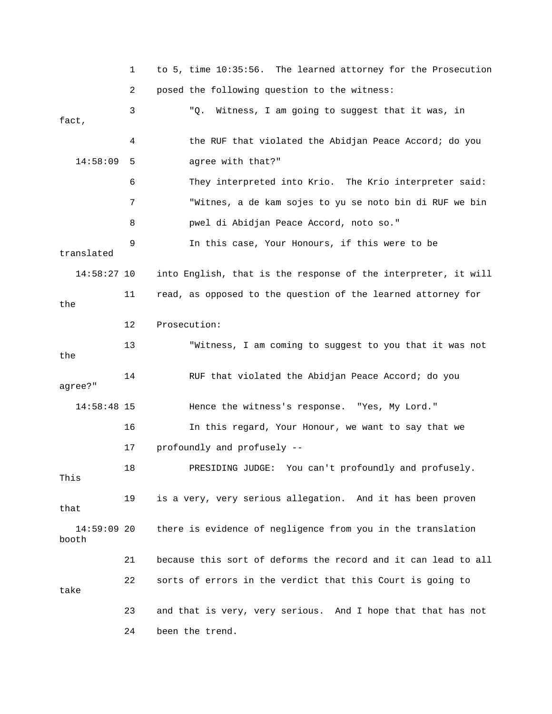1 to 5, time 10:35:56. The learned attorney for the Prosecution 2 posed the following question to the witness: 3 "Q. Witness, I am going to suggest that it was, in fact, 4 the RUF that violated the Abidjan Peace Accord; do you 14:58:09 5 agree with that?" 6 They interpreted into Krio. The Krio interpreter said: 7 "Witnes, a de kam sojes to yu se noto bin di RUF we bin 8 pwel di Abidjan Peace Accord, noto so." 9 In this case, Your Honours, if this were to be translated 14:58:27 10 into English, that is the response of the interpreter, it will 11 read, as opposed to the question of the learned attorney for the 12 Prosecution: 13 "Witness, I am coming to suggest to you that it was not the 14 RUF that violated the Abidjan Peace Accord; do you agree?" 14:58:48 15 Hence the witness's response. "Yes, My Lord." 16 In this regard, Your Honour, we want to say that we 17 profoundly and profusely -- 18 PRESIDING JUDGE: You can't profoundly and profusely. This 19 is a very, very serious allegation. And it has been proven that 14:59:09 20 there is evidence of negligence from you in the translation booth 21 because this sort of deforms the record and it can lead to all 22 sorts of errors in the verdict that this Court is going to take 23 and that is very, very serious. And I hope that that has not 24 been the trend.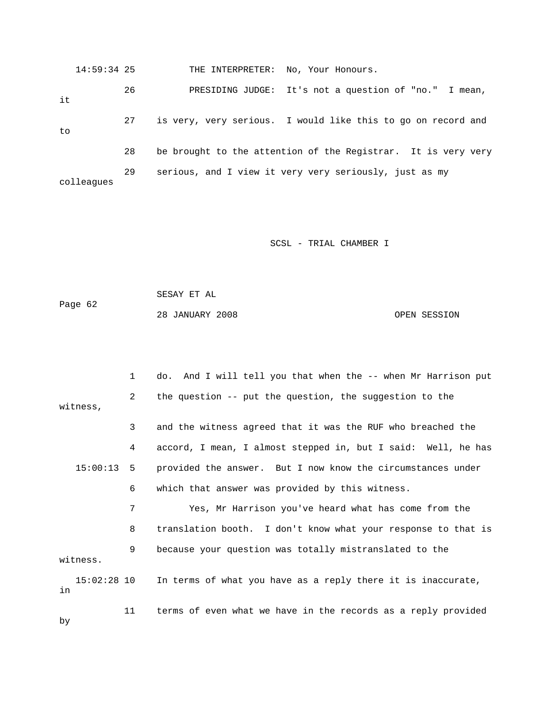14:59:34 25 THE INTERPRETER: No, Your Honours. 26 PRESIDING JUDGE: It's not a question of "no." I mean, it 27 is very, very serious. I would like this to go on record and to 28 be brought to the attention of the Registrar. It is very very 29 serious, and I view it very very seriously, just as my colleagues

SCSL - TRIAL CHAMBER I

 SESAY ET AL Page 62 28 JANUARY 2008 OPEN SESSION

 1 do. And I will tell you that when the -- when Mr Harrison put 2 the question -- put the question, the suggestion to the witness, 3 and the witness agreed that it was the RUF who breached the 4 accord, I mean, I almost stepped in, but I said: Well, he has 15:00:13 5 provided the answer. But I now know the circumstances under 6 which that answer was provided by this witness. 7 Yes, Mr Harrison you've heard what has come from the 8 translation booth. I don't know what your response to that is 9 because your question was totally mistranslated to the witness. 15:02:28 10 In terms of what you have as a reply there it is inaccurate, in 11 terms of even what we have in the records as a reply provided

by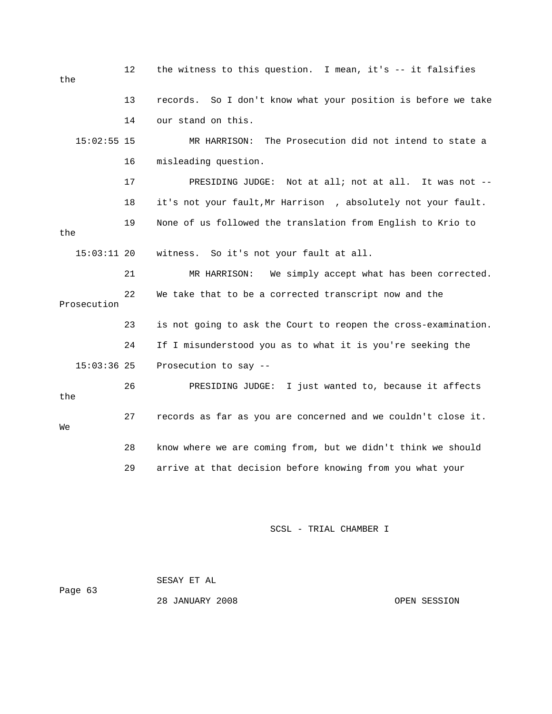| the           | 12 | the witness to this question. I mean, it's -- it falsifies     |  |  |
|---------------|----|----------------------------------------------------------------|--|--|
|               | 13 | records. So I don't know what your position is before we take  |  |  |
|               | 14 | our stand on this.                                             |  |  |
| $15:02:55$ 15 |    | The Prosecution did not intend to state a<br>MR HARRISON:      |  |  |
|               | 16 | misleading question.                                           |  |  |
|               | 17 | PRESIDING JUDGE: Not at all; not at all. It was not --         |  |  |
|               | 18 | it's not your fault, Mr Harrison, absolutely not your fault.   |  |  |
| the           | 19 | None of us followed the translation from English to Krio to    |  |  |
| $15:03:11$ 20 |    | So it's not your fault at all.<br>witness.                     |  |  |
|               | 21 | MR HARRISON:<br>We simply accept what has been corrected.      |  |  |
| Prosecution   | 22 | We take that to be a corrected transcript now and the          |  |  |
|               | 23 | is not going to ask the Court to reopen the cross-examination. |  |  |
|               | 24 | If I misunderstood you as to what it is you're seeking the     |  |  |
| $15:03:36$ 25 |    | Prosecution to say --                                          |  |  |
| the           | 26 | PRESIDING JUDGE: I just wanted to, because it affects          |  |  |
| We            | 27 | records as far as you are concerned and we couldn't close it.  |  |  |
|               | 28 | know where we are coming from, but we didn't think we should   |  |  |
|               | 29 | arrive at that decision before knowing from you what your      |  |  |

SCSL - TRIAL CHAMBER I

|         | SESAY ET AL     |              |
|---------|-----------------|--------------|
| Page 63 |                 |              |
|         | 28 JANUARY 2008 | OPEN SESSION |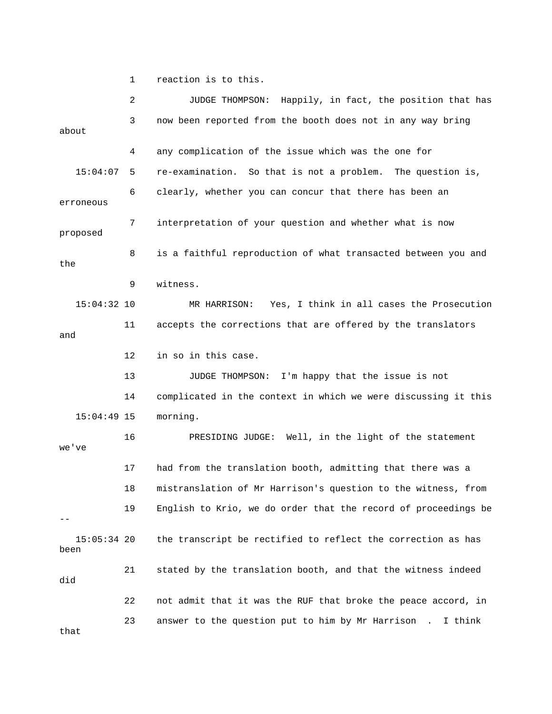1 reaction is to this.

 2 JUDGE THOMPSON: Happily, in fact, the position that has 3 now been reported from the booth does not in any way bring about 4 any complication of the issue which was the one for 15:04:07 5 re-examination. So that is not a problem. The question is, 6 clearly, whether you can concur that there has been an erroneous 7 interpretation of your question and whether what is now proposed 8 is a faithful reproduction of what transacted between you and the 9 witness. 15:04:32 10 MR HARRISON: Yes, I think in all cases the Prosecution 11 accepts the corrections that are offered by the translators and 12 in so in this case. 13 JUDGE THOMPSON: I'm happy that the issue is not 14 complicated in the context in which we were discussing it this 15:04:49 15 morning. 16 PRESIDING JUDGE: Well, in the light of the statement we've 17 had from the translation booth, admitting that there was a 18 mistranslation of Mr Harrison's question to the witness, from 19 English to Krio, we do order that the record of proceedings be -- 15:05:34 20 the transcript be rectified to reflect the correction as has been 21 stated by the translation booth, and that the witness indeed did 22 not admit that it was the RUF that broke the peace accord, in 23 answer to the question put to him by Mr Harrison . I think that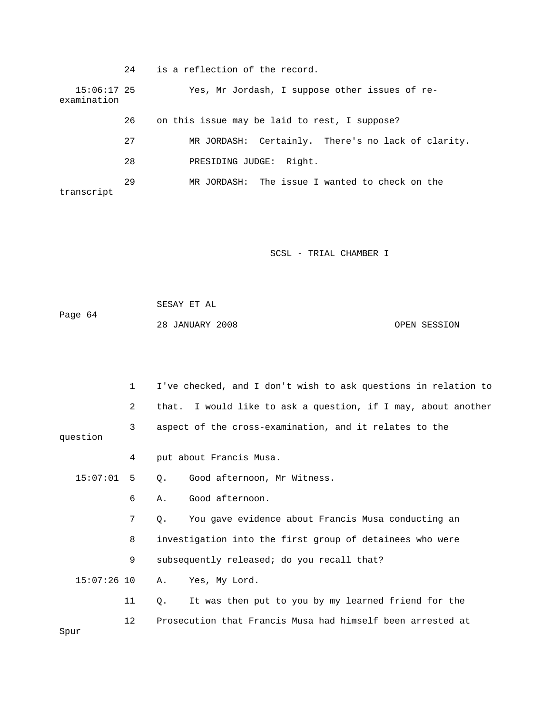|                              | 24 | is a reflection of the record.                     |
|------------------------------|----|----------------------------------------------------|
| $15:06:17$ 25<br>examination |    | Yes, Mr Jordash, I suppose other issues of re-     |
|                              | 26 | on this issue may be laid to rest, I suppose?      |
|                              | 27 | MR JORDASH: Certainly. There's no lack of clarity. |
|                              | 28 | Right.<br>PRESIDING JUDGE:                         |
| transcript                   | 29 | MR JORDASH: The issue I wanted to check on the     |

SCSL - TRIAL CHAMBER I

 SESAY ET AL Page 64 28 JANUARY 2008 OPEN SESSION

|               | 1  | I've checked, and I don't wish to ask questions in relation to |
|---------------|----|----------------------------------------------------------------|
|               | 2  | that. I would like to ask a question, if I may, about another  |
| question      | 3  | aspect of the cross-examination, and it relates to the         |
|               | 4  | put about Francis Musa.                                        |
| 15:07:01      | 5  | Good afternoon, Mr Witness.<br>0.                              |
|               | 6  | Good afternoon.<br>Α.                                          |
|               | 7  | You gave evidence about Francis Musa conducting an<br>О.       |
| 8             |    | investigation into the first group of detainees who were       |
|               | 9  | subsequently released; do you recall that?                     |
| $15:07:26$ 10 |    | Yes, My Lord.<br>Α.                                            |
|               | 11 | It was then put to you by my learned friend for the<br>О.      |
| Spur          | 12 | Prosecution that Francis Musa had himself been arrested at     |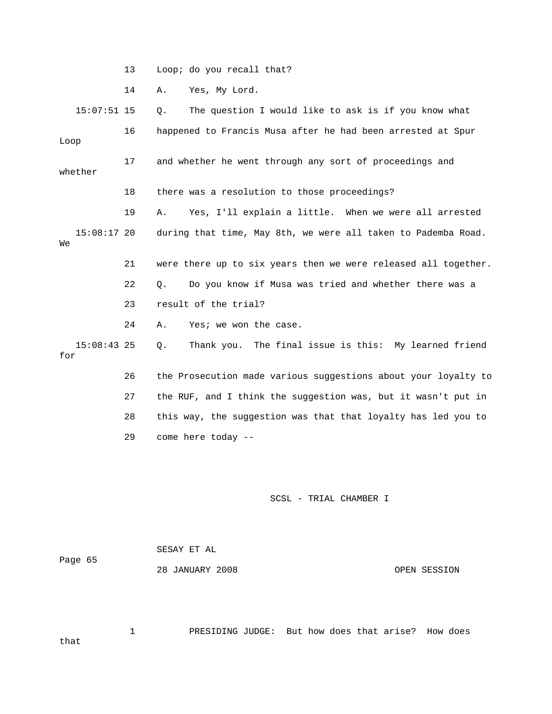13 Loop; do you recall that?

14 A. Yes, My Lord.

 15:07:51 15 Q. The question I would like to ask is if you know what 16 happened to Francis Musa after he had been arrested at Spur Loop 17 and whether he went through any sort of proceedings and whether 18 there was a resolution to those proceedings? 19 A. Yes, I'll explain a little. When we were all arrested 15:08:17 20 during that time, May 8th, we were all taken to Pademba Road. We 21 were there up to six years then we were released all together. 22 Q. Do you know if Musa was tried and whether there was a 23 result of the trial? 24 A. Yes; we won the case. 15:08:43 25 Q. Thank you. The final issue is this: My learned friend for 26 the Prosecution made various suggestions about your loyalty to 27 the RUF, and I think the suggestion was, but it wasn't put in 28 this way, the suggestion was that that loyalty has led you to

29 come here today --

#### SCSL - TRIAL CHAMBER I

 SESAY ET AL Page 65 28 JANUARY 2008 OPEN SESSION

 1 PRESIDING JUDGE: But how does that arise? How does that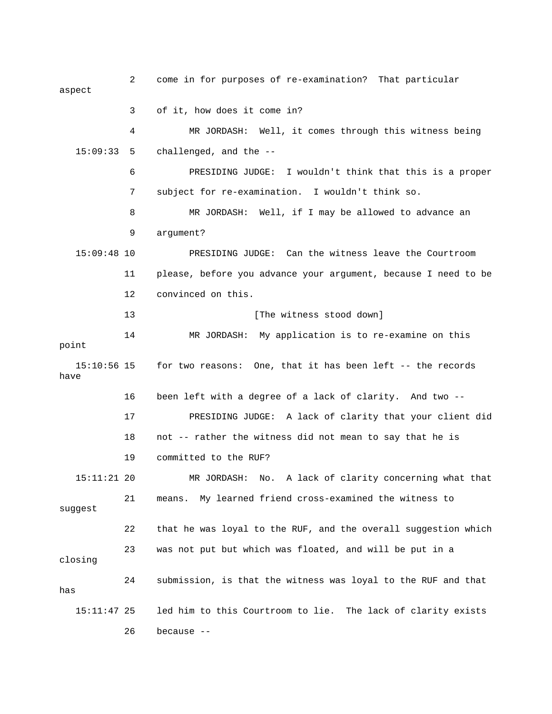2 come in for purposes of re-examination? That particular aspect 3 of it, how does it come in? 4 MR JORDASH: Well, it comes through this witness being 15:09:33 5 challenged, and the -- 6 PRESIDING JUDGE: I wouldn't think that this is a proper 7 subject for re-examination. I wouldn't think so. 8 MR JORDASH: Well, if I may be allowed to advance an 9 argument? 15:09:48 10 PRESIDING JUDGE: Can the witness leave the Courtroom 11 please, before you advance your argument, because I need to be 12 convinced on this. 13 [The witness stood down] 14 MR JORDASH: My application is to re-examine on this point 15:10:56 15 for two reasons: One, that it has been left -- the records have 16 been left with a degree of a lack of clarity. And two -- 17 PRESIDING JUDGE: A lack of clarity that your client did 18 not -- rather the witness did not mean to say that he is 19 committed to the RUF? 15:11:21 20 MR JORDASH: No. A lack of clarity concerning what that 21 means. My learned friend cross-examined the witness to suggest 22 that he was loyal to the RUF, and the overall suggestion which 23 was not put but which was floated, and will be put in a closing 24 submission, is that the witness was loyal to the RUF and that has 15:11:47 25 led him to this Courtroom to lie. The lack of clarity exists 26 because --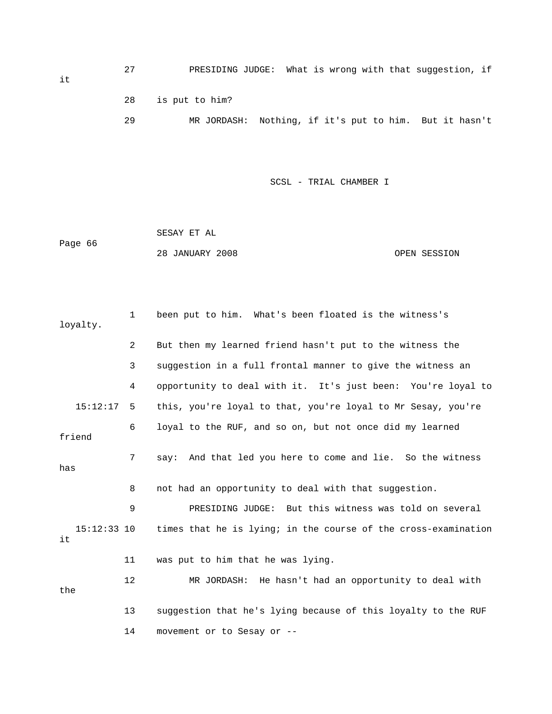27 PRESIDING JUDGE: What is wrong with that suggestion, if 28 is put to him? 29 MR JORDASH: Nothing, if it's put to him. But it hasn't

SCSL - TRIAL CHAMBER I

 SESAY ET AL Page 66 28 JANUARY 2008 OPEN SESSION

 1 been put to him. What's been floated is the witness's loyalty. 2 But then my learned friend hasn't put to the witness the 3 suggestion in a full frontal manner to give the witness an 4 opportunity to deal with it. It's just been: You're loyal to 15:12:17 5 this, you're loyal to that, you're loyal to Mr Sesay, you're 6 loyal to the RUF, and so on, but not once did my learned friend 7 say: And that led you here to come and lie. So the witness has 8 not had an opportunity to deal with that suggestion. 9 PRESIDING JUDGE: But this witness was told on several 15:12:33 10 times that he is lying; in the course of the cross-examination it 11 was put to him that he was lying. 12 MR JORDASH: He hasn't had an opportunity to deal with the 13 suggestion that he's lying because of this loyalty to the RUF 14 movement or to Sesay or --

it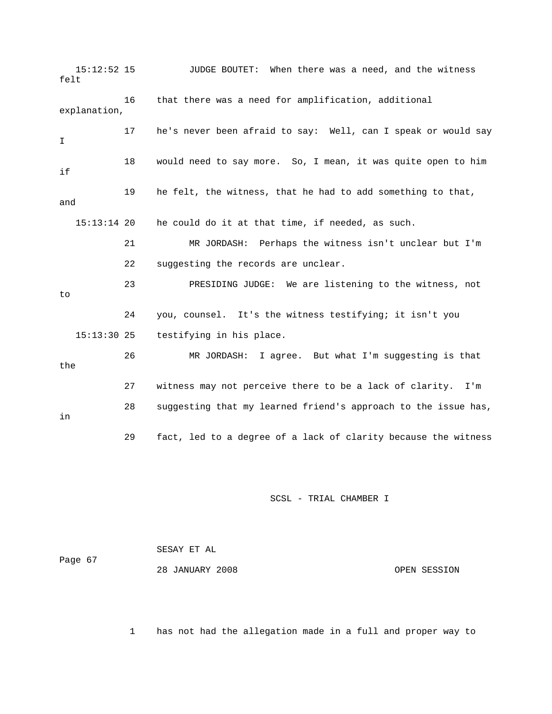15:12:52 15 JUDGE BOUTET: When there was a need, and the witness felt 16 that there was a need for amplification, additional explanation, 17 he's never been afraid to say: Well, can I speak or would say  $\mathsf{T}$  18 would need to say more. So, I mean, it was quite open to him if 19 he felt, the witness, that he had to add something to that, and 15:13:14 20 he could do it at that time, if needed, as such. 21 MR JORDASH: Perhaps the witness isn't unclear but I'm 22 suggesting the records are unclear. 23 PRESIDING JUDGE: We are listening to the witness, not to 24 you, counsel. It's the witness testifying; it isn't you 15:13:30 25 testifying in his place. 26 MR JORDASH: I agree. But what I'm suggesting is that the 27 witness may not perceive there to be a lack of clarity. I'm 28 suggesting that my learned friend's approach to the issue has, in 29 fact, led to a degree of a lack of clarity because the witness

## SCSL - TRIAL CHAMBER I

| Page 67 | SESAY ET AL     |              |
|---------|-----------------|--------------|
|         | 28 JANUARY 2008 | OPEN SESSION |

1 has not had the allegation made in a full and proper way to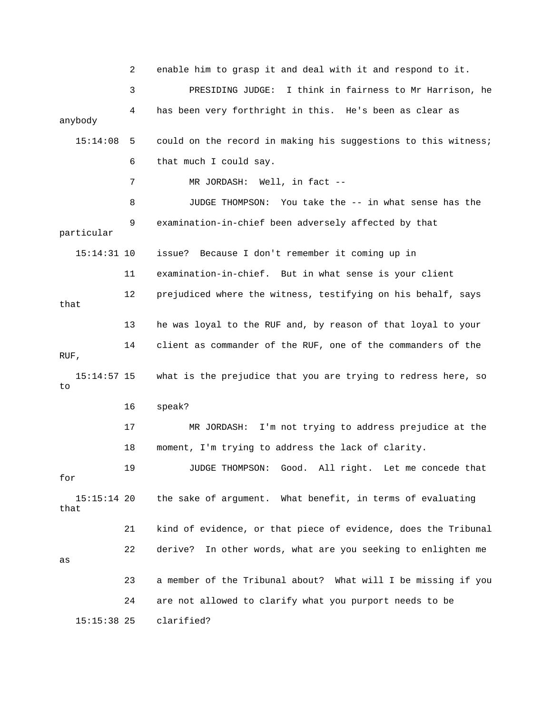2 enable him to grasp it and deal with it and respond to it. 3 PRESIDING JUDGE: I think in fairness to Mr Harrison, he 4 has been very forthright in this. He's been as clear as anybody 15:14:08 5 could on the record in making his suggestions to this witness; 6 that much I could say. 7 MR JORDASH: Well, in fact -- 8 JUDGE THOMPSON: You take the -- in what sense has the 9 examination-in-chief been adversely affected by that particular 15:14:31 10 issue? Because I don't remember it coming up in 11 examination-in-chief. But in what sense is your client 12 prejudiced where the witness, testifying on his behalf, says that 13 he was loyal to the RUF and, by reason of that loyal to your 14 client as commander of the RUF, one of the commanders of the RUF, 15:14:57 15 what is the prejudice that you are trying to redress here, so to 16 speak? 17 MR JORDASH: I'm not trying to address prejudice at the 18 moment, I'm trying to address the lack of clarity. 19 JUDGE THOMPSON: Good. All right. Let me concede that for 15:15:14 20 the sake of argument. What benefit, in terms of evaluating that 21 kind of evidence, or that piece of evidence, does the Tribunal 22 derive? In other words, what are you seeking to enlighten me as 23 a member of the Tribunal about? What will I be missing if you 24 are not allowed to clarify what you purport needs to be 15:15:38 25 clarified?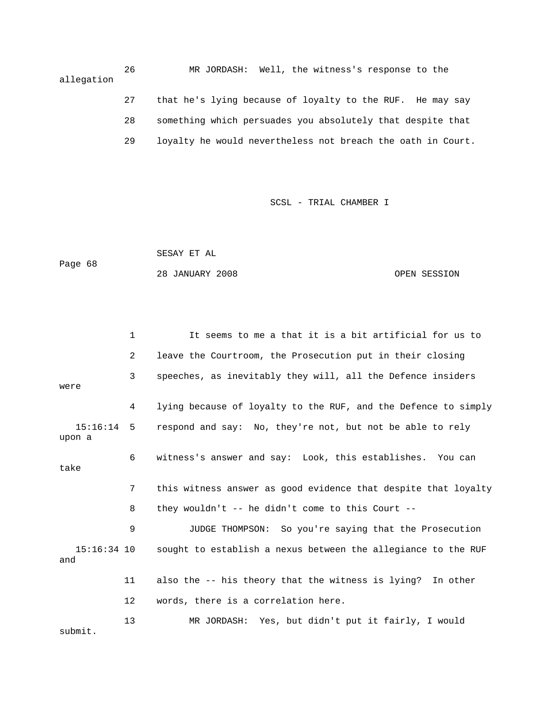26 MR JORDASH: Well, the witness's response to the allegation 27 that he's lying because of loyalty to the RUF. He may say 28 something which persuades you absolutely that despite that 29 loyalty he would nevertheless not breach the oath in Court.

SCSL - TRIAL CHAMBER I

 SESAY ET AL Page 68 28 JANUARY 2008 OPEN SESSION

 1 It seems to me a that it is a bit artificial for us to 2 leave the Courtroom, the Prosecution put in their closing 3 speeches, as inevitably they will, all the Defence insiders were 4 lying because of loyalty to the RUF, and the Defence to simply 15:16:14 5 respond and say: No, they're not, but not be able to rely upon a 6 witness's answer and say: Look, this establishes. You can take 7 this witness answer as good evidence that despite that loyalty 8 they wouldn't -- he didn't come to this Court -- 9 JUDGE THOMPSON: So you're saying that the Prosecution 15:16:34 10 sought to establish a nexus between the allegiance to the RUF and 11 also the -- his theory that the witness is lying? In other 12 words, there is a correlation here. 13 MR JORDASH: Yes, but didn't put it fairly, I would

submit.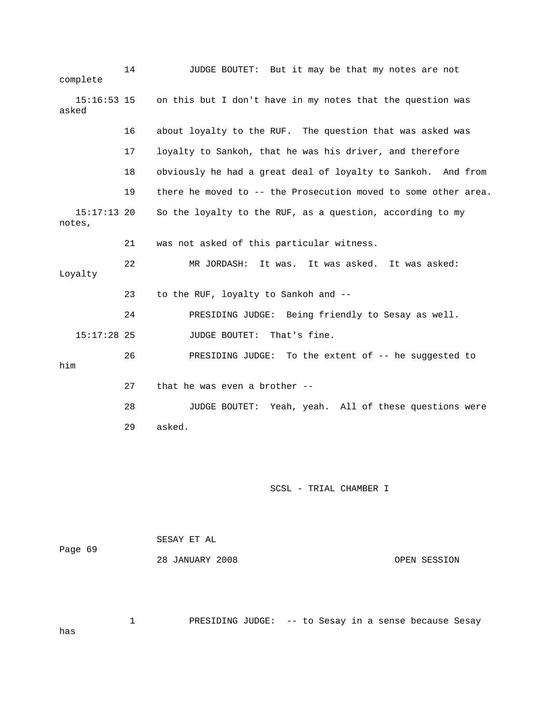| complete                | 14 | JUDGE BOUTET: But it may be that my notes are not              |
|-------------------------|----|----------------------------------------------------------------|
| $15:16:53$ 15<br>asked  |    | on this but I don't have in my notes that the question was     |
|                         | 16 | about loyalty to the RUF. The question that was asked was      |
|                         | 17 | loyalty to Sankoh, that he was his driver, and therefore       |
|                         | 18 | obviously he had a great deal of loyalty to Sankoh. And from   |
|                         | 19 | there he moved to -- the Prosecution moved to some other area. |
| $15:17:13$ 20<br>notes, |    | So the loyalty to the RUF, as a question, according to my      |
|                         | 21 | was not asked of this particular witness.                      |
| Loyalty                 | 22 | MR JORDASH:<br>It was. It was asked. It was asked:             |
|                         | 23 | to the RUF, loyalty to Sankoh and --                           |
|                         | 24 | PRESIDING JUDGE: Being friendly to Sesay as well.              |
| $15:17:28$ 25           |    | That's fine.<br><b>JUDGE BOUTET:</b>                           |
| him                     | 26 | To the extent of -- he suggested to<br>PRESIDING JUDGE:        |
|                         | 27 | that he was even a brother --                                  |
|                         | 28 | JUDGE BOUTET: Yeah, yeah. All of these questions were          |
|                         | 29 | asked.                                                         |
|                         |    |                                                                |

SCSL - TRIAL CHAMBER I

 SESAY ET AL Page 69 28 JANUARY 2008 OPEN SESSION

1 PRESIDING JUDGE: -- to Sesay in a sense because Sesay

has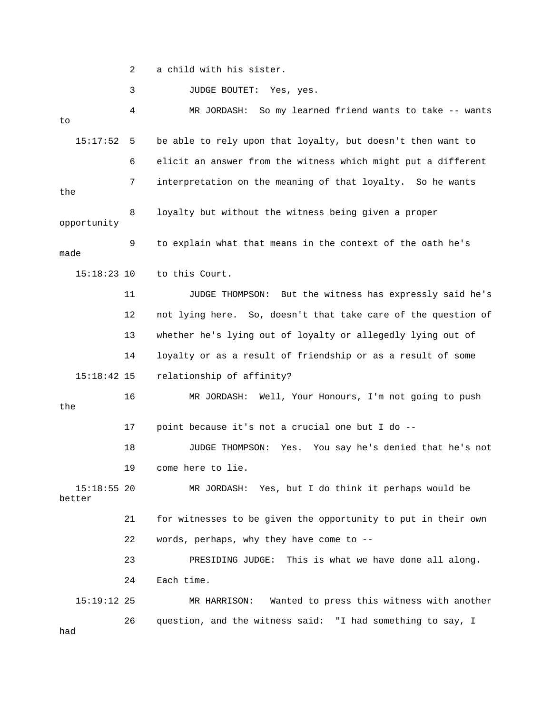2 a child with his sister.

3 JUDGE BOUTET: Yes, yes.

 4 MR JORDASH: So my learned friend wants to take -- wants to 15:17:52 5 be able to rely upon that loyalty, but doesn't then want to 6 elicit an answer from the witness which might put a different 7 interpretation on the meaning of that loyalty. So he wants the 8 loyalty but without the witness being given a proper opportunity 9 to explain what that means in the context of the oath he's made 15:18:23 10 to this Court. 11 JUDGE THOMPSON: But the witness has expressly said he's 12 not lying here. So, doesn't that take care of the question of 13 whether he's lying out of loyalty or allegedly lying out of 14 loyalty or as a result of friendship or as a result of some 15:18:42 15 relationship of affinity? 16 MR JORDASH: Well, Your Honours, I'm not going to push the 17 point because it's not a crucial one but I do -- 18 JUDGE THOMPSON: Yes. You say he's denied that he's not 19 come here to lie. 15:18:55 20 MR JORDASH: Yes, but I do think it perhaps would be better 21 for witnesses to be given the opportunity to put in their own 22 words, perhaps, why they have come to -- 23 PRESIDING JUDGE: This is what we have done all along. 24 Each time. 15:19:12 25 MR HARRISON: Wanted to press this witness with another 26 question, and the witness said: "I had something to say, I had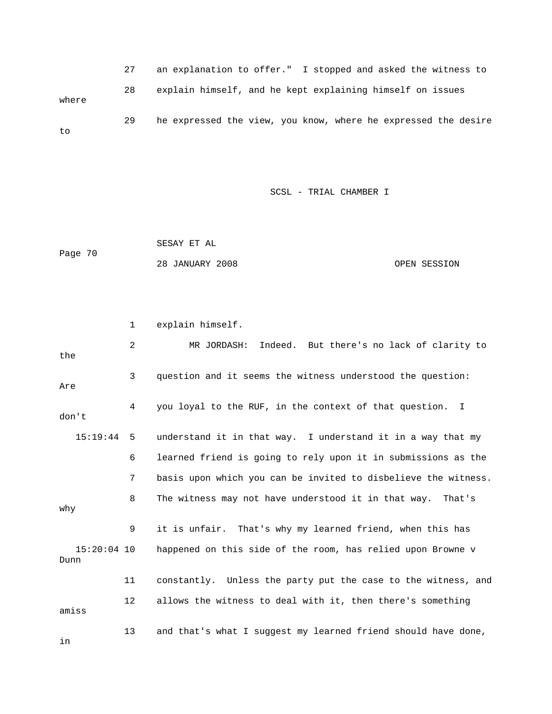27 an explanation to offer." I stopped and asked the witness to 28 explain himself, and he kept explaining himself on issues where 29 he expressed the view, you know, where he expressed the desire to

SCSL - TRIAL CHAMBER I

 SESAY ET AL Page 70 28 JANUARY 2008 OPEN SESSION

 1 explain himself. 2 MR JORDASH: Indeed. But there's no lack of clarity to the 3 question and it seems the witness understood the question: Are 4 you loyal to the RUF, in the context of that question. I don't 15:19:44 5 understand it in that way. I understand it in a way that my 6 learned friend is going to rely upon it in submissions as the 7 basis upon which you can be invited to disbelieve the witness. 8 The witness may not have understood it in that way. That's why 9 it is unfair. That's why my learned friend, when this has 15:20:04 10 happened on this side of the room, has relied upon Browne v Dunn 11 constantly. Unless the party put the case to the witness, and 12 allows the witness to deal with it, then there's something amiss 13 and that's what I suggest my learned friend should have done, in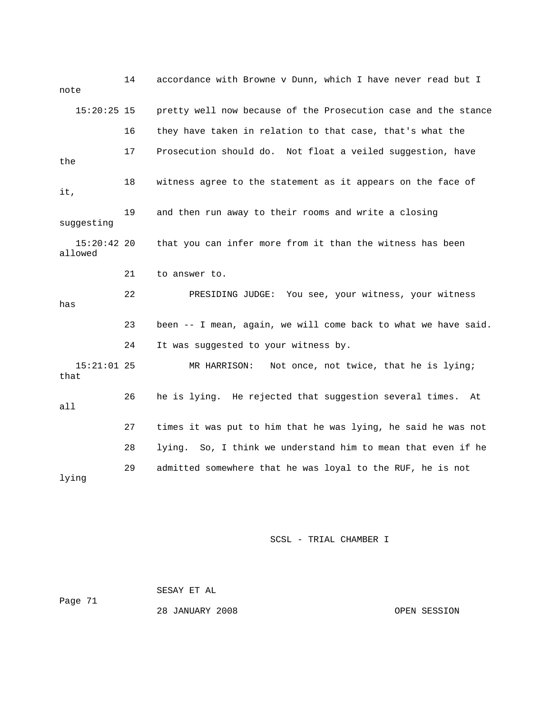14 accordance with Browne v Dunn, which I have never read but I note 15:20:25 15 pretty well now because of the Prosecution case and the stance 16 they have taken in relation to that case, that's what the 17 Prosecution should do. Not float a veiled suggestion, have the 18 witness agree to the statement as it appears on the face of it, 19 and then run away to their rooms and write a closing suggesting 15:20:42 20 that you can infer more from it than the witness has been allowed 21 to answer to. 22 PRESIDING JUDGE: You see, your witness, your witness has 23 been -- I mean, again, we will come back to what we have said. 24 It was suggested to your witness by. 15:21:01 25 MR HARRISON: Not once, not twice, that he is lying; that 26 he is lying. He rejected that suggestion several times. At all 27 times it was put to him that he was lying, he said he was not 28 lying. So, I think we understand him to mean that even if he 29 admitted somewhere that he was loyal to the RUF, he is not lying

### SCSL - TRIAL CHAMBER I

 SESAY ET AL Page 71

28 JANUARY 2008 OPEN SESSION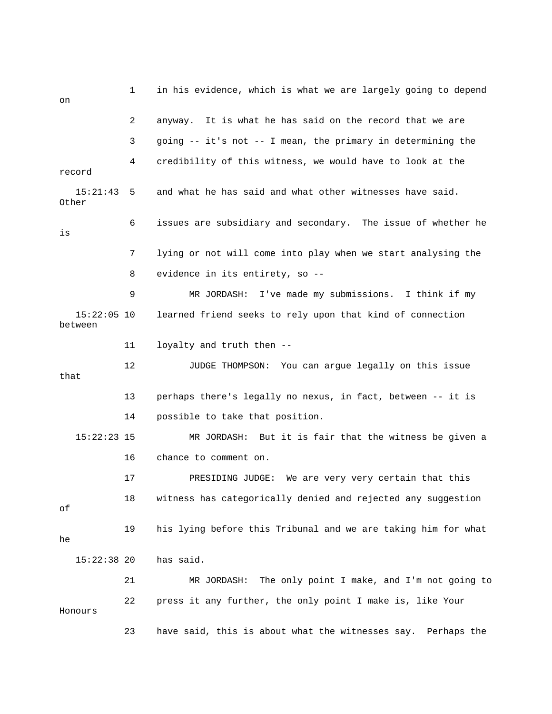1 in his evidence, which is what we are largely going to depend on 2 anyway. It is what he has said on the record that we are 3 going -- it's not -- I mean, the primary in determining the 4 credibility of this witness, we would have to look at the record 15:21:43 5 and what he has said and what other witnesses have said. Other 6 issues are subsidiary and secondary. The issue of whether he is 7 lying or not will come into play when we start analysing the 8 evidence in its entirety, so -- 9 MR JORDASH: I've made my submissions. I think if my 15:22:05 10 learned friend seeks to rely upon that kind of connection between 11 loyalty and truth then -- 12 JUDGE THOMPSON: You can argue legally on this issue that 13 perhaps there's legally no nexus, in fact, between -- it is 14 possible to take that position. 15:22:23 15 MR JORDASH: But it is fair that the witness be given a 16 chance to comment on. 17 PRESIDING JUDGE: We are very very certain that this 18 witness has categorically denied and rejected any suggestion of 19 his lying before this Tribunal and we are taking him for what he 15:22:38 20 has said. 21 MR JORDASH: The only point I make, and I'm not going to 22 press it any further, the only point I make is, like Your Honours 23 have said, this is about what the witnesses say. Perhaps the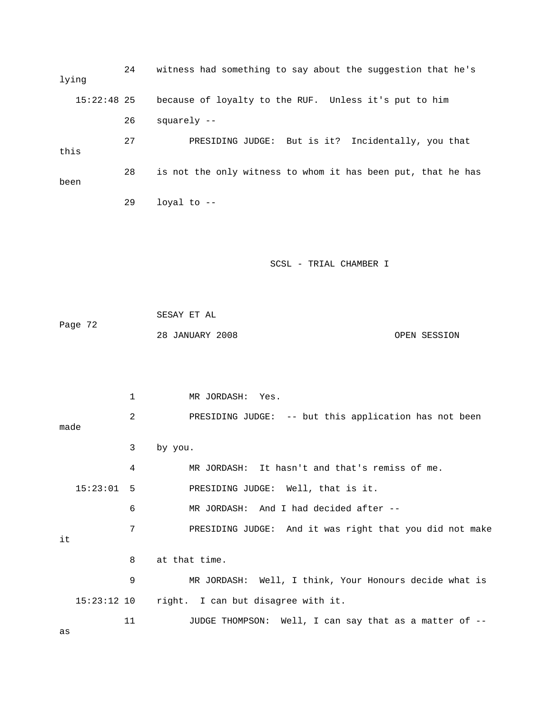24 witness had something to say about the suggestion that he's lying 15:22:48 25 because of loyalty to the RUF. Unless it's put to him 26 squarely -- 27 PRESIDING JUDGE: But is it? Incidentally, you that this 28 is not the only witness to whom it has been put, that he has been 29 loyal to --

# SCSL - TRIAL CHAMBER I

 SESAY ET AL Page 72 28 JANUARY 2008 OPEN SESSION

 1 MR JORDASH: Yes. 2 PRESIDING JUDGE: -- but this application has not been made 3 by you. 4 MR JORDASH: It hasn't and that's remiss of me. 15:23:01 5 PRESIDING JUDGE: Well, that is it. 6 MR JORDASH: And I had decided after -- 7 PRESIDING JUDGE: And it was right that you did not make it 8 at that time. 9 MR JORDASH: Well, I think, Your Honours decide what is 15:23:12 10 right. I can but disagree with it. 11 JUDGE THOMPSON: Well, I can say that as a matter of --

as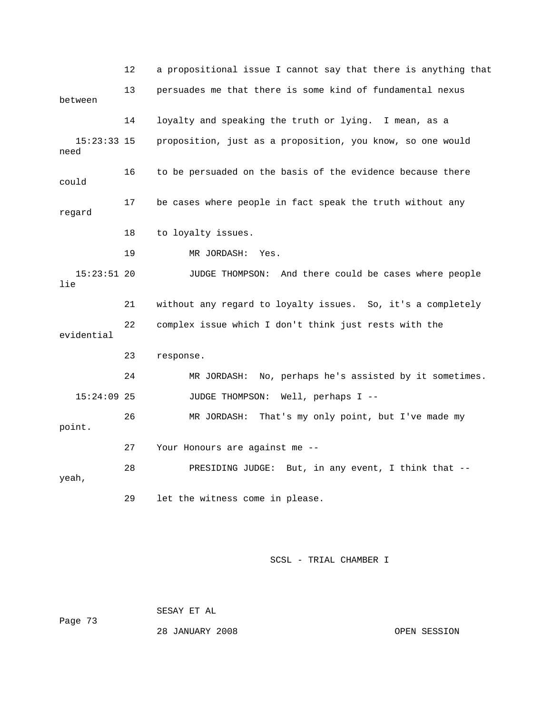12 a propositional issue I cannot say that there is anything that 13 persuades me that there is some kind of fundamental nexus between 14 loyalty and speaking the truth or lying. I mean, as a 15:23:33 15 proposition, just as a proposition, you know, so one would need 16 to be persuaded on the basis of the evidence because there could 17 be cases where people in fact speak the truth without any regard 18 to loyalty issues. 19 MR JORDASH: Yes. 15:23:51 20 JUDGE THOMPSON: And there could be cases where people lie 21 without any regard to loyalty issues. So, it's a completely 22 complex issue which I don't think just rests with the evidential 23 response. 24 MR JORDASH: No, perhaps he's assisted by it sometimes. 15:24:09 25 JUDGE THOMPSON: Well, perhaps I -- 26 MR JORDASH: That's my only point, but I've made my point. 27 Your Honours are against me -- 28 PRESIDING JUDGE: But, in any event, I think that - yeah, 29 let the witness come in please.

SCSL - TRIAL CHAMBER I

Page 73

28 JANUARY 2008 OPEN SESSION

SESAY ET AL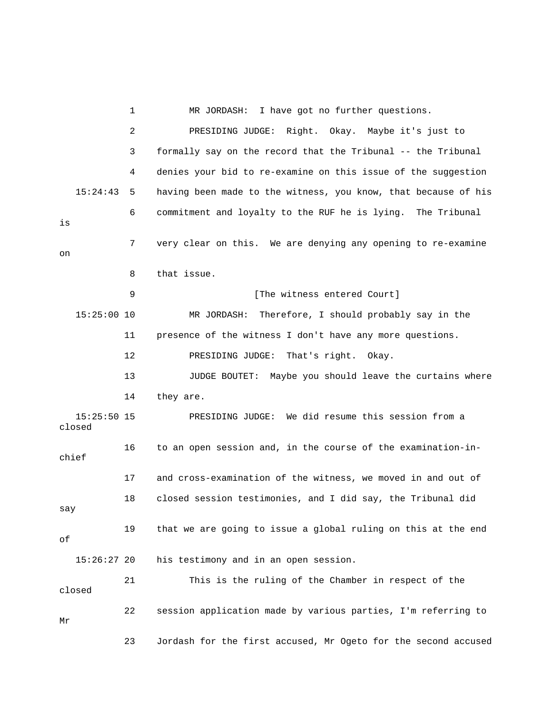1 MR JORDASH: I have got no further questions. 2 PRESIDING JUDGE: Right. Okay. Maybe it's just to 3 formally say on the record that the Tribunal -- the Tribunal 4 denies your bid to re-examine on this issue of the suggestion 15:24:43 5 having been made to the witness, you know, that because of his 6 commitment and loyalty to the RUF he is lying. The Tribunal is 7 very clear on this. We are denying any opening to re-examine on 8 that issue. 9 **[The witness entered Court]**  15:25:00 10 MR JORDASH: Therefore, I should probably say in the 11 presence of the witness I don't have any more questions. 12 PRESIDING JUDGE: That's right. Okay. 13 JUDGE BOUTET: Maybe you should leave the curtains where 14 they are. 15:25:50 15 PRESIDING JUDGE: We did resume this session from a closed 16 to an open session and, in the course of the examination-inchief 17 and cross-examination of the witness, we moved in and out of 18 closed session testimonies, and I did say, the Tribunal did say 19 that we are going to issue a global ruling on this at the end of 15:26:27 20 his testimony and in an open session. 21 This is the ruling of the Chamber in respect of the closed 22 session application made by various parties, I'm referring to Mr 23 Jordash for the first accused, Mr Ogeto for the second accused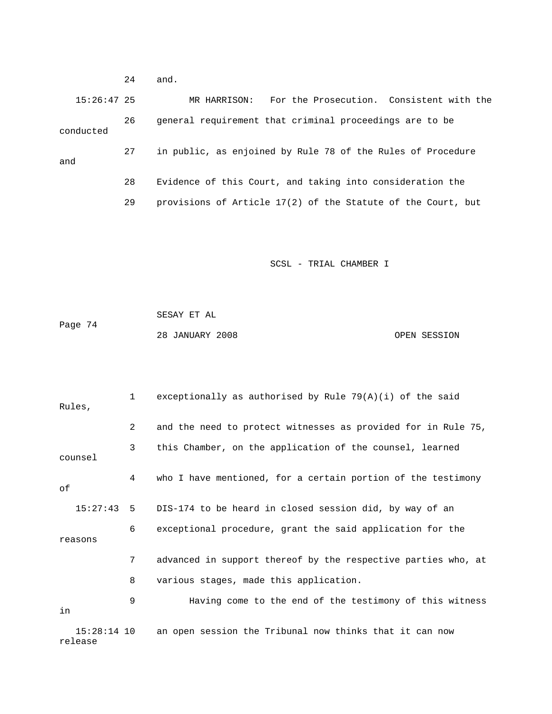24 and. 15:26:47 25 MR HARRISON: For the Prosecution. Consistent with the 26 general requirement that criminal proceedings are to be conducted 27 in public, as enjoined by Rule 78 of the Rules of Procedure and 28 Evidence of this Court, and taking into consideration the 29 provisions of Article 17(2) of the Statute of the Court, but

SCSL - TRIAL CHAMBER I

 SESAY ET AL Page 74 28 JANUARY 2008 OPEN SESSION

 1 exceptionally as authorised by Rule 79(A)(i) of the said Rules, 2 and the need to protect witnesses as provided for in Rule 75, 3 this Chamber, on the application of the counsel, learned counsel 4 who I have mentioned, for a certain portion of the testimony of 15:27:43 5 DIS-174 to be heard in closed session did, by way of an 6 exceptional procedure, grant the said application for the reasons 7 advanced in support thereof by the respective parties who, at 8 various stages, made this application. 9 Having come to the end of the testimony of this witness in 15:28:14 10 an open session the Tribunal now thinks that it can now release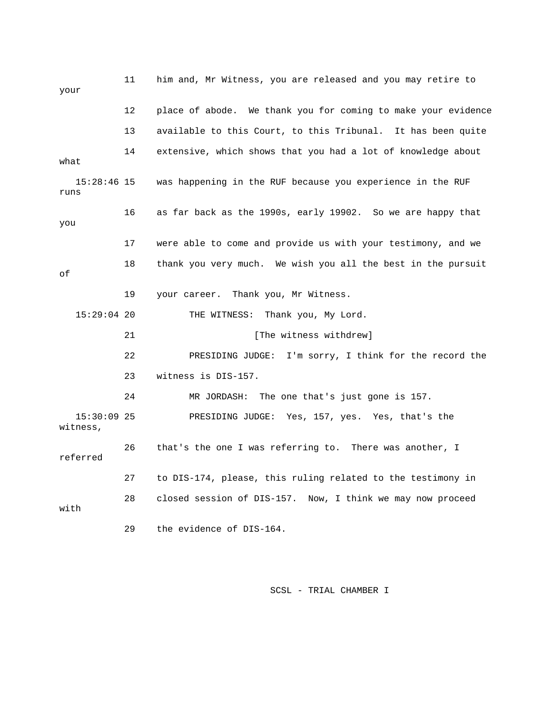11 him and, Mr Witness, you are released and you may retire to your 12 place of abode. We thank you for coming to make your evidence 13 available to this Court, to this Tribunal. It has been quite 14 extensive, which shows that you had a lot of knowledge about what 15:28:46 15 was happening in the RUF because you experience in the RUF runs 16 as far back as the 1990s, early 19902. So we are happy that you 17 were able to come and provide us with your testimony, and we 18 thank you very much. We wish you all the best in the pursuit of 19 your career. Thank you, Mr Witness. 15:29:04 20 THE WITNESS: Thank you, My Lord. 21 *The witness withdrew*] 22 PRESIDING JUDGE: I'm sorry, I think for the record the 23 witness is DIS-157. 24 MR JORDASH: The one that's just gone is 157. 15:30:09 25 PRESIDING JUDGE: Yes, 157, yes. Yes, that's the witness, 26 that's the one I was referring to. There was another, I referred 27 to DIS-174, please, this ruling related to the testimony in 28 closed session of DIS-157. Now, I think we may now proceed with 29 the evidence of DIS-164.

SCSL - TRIAL CHAMBER I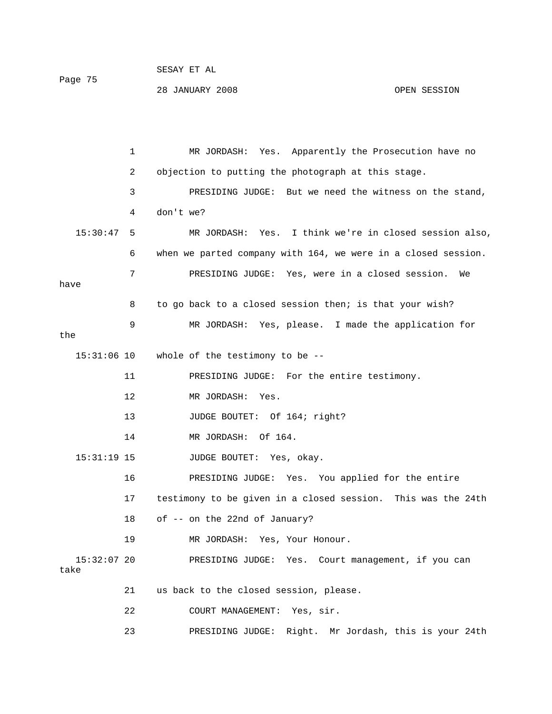|         | PEPHI EI HT     |              |
|---------|-----------------|--------------|
| Page 75 |                 |              |
|         | 28 JANUARY 2008 | OPEN SESSION |

 $CDOAY$   $CDP$   $27$ 

 1 MR JORDASH: Yes. Apparently the Prosecution have no 2 objection to putting the photograph at this stage. 3 PRESIDING JUDGE: But we need the witness on the stand, 4 don't we? 15:30:47 5 MR JORDASH: Yes. I think we're in closed session also, 6 when we parted company with 164, we were in a closed session. 7 PRESIDING JUDGE: Yes, were in a closed session. We have 8 to go back to a closed session then; is that your wish? 9 MR JORDASH: Yes, please. I made the application for the 15:31:06 10 whole of the testimony to be -- 11 PRESIDING JUDGE: For the entire testimony. 12 MR JORDASH: Yes. 13 JUDGE BOUTET: Of 164; right? 14 MR JORDASH: Of 164. 15:31:19 15 JUDGE BOUTET: Yes, okay. 16 PRESIDING JUDGE: Yes. You applied for the entire 17 testimony to be given in a closed session. This was the 24th 18 of -- on the 22nd of January? 19 MR JORDASH: Yes, Your Honour. 15:32:07 20 PRESIDING JUDGE: Yes. Court management, if you can take 21 us back to the closed session, please.

22 COURT MANAGEMENT: Yes, sir.

23 PRESIDING JUDGE: Right. Mr Jordash, this is your 24th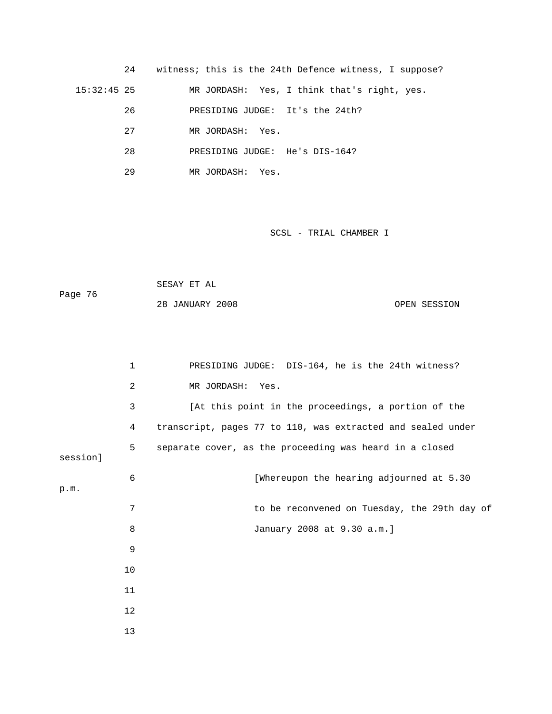24 witness; this is the 24th Defence witness, I suppose? 15:32:45 25 MR JORDASH: Yes, I think that's right, yes. 26 PRESIDING JUDGE: It's the 24th? 27 MR JORDASH: Yes. 28 PRESIDING JUDGE: He's DIS-164? 29 MR JORDASH: Yes.

SCSL - TRIAL CHAMBER I

 SESAY ET AL Page 76

28 JANUARY 2008 OPEN SESSION

 1 PRESIDING JUDGE: DIS-164, he is the 24th witness? 2 MR JORDASH: Yes. 3 [At this point in the proceedings, a portion of the 4 transcript, pages 77 to 110, was extracted and sealed under 5 separate cover, as the proceeding was heard in a closed session] 6 [Whereupon the hearing adjourned at 5.30 p.m. 7 to be reconvened on Tuesday, the 29th day of 8 January 2008 at 9.30 a.m.] 9 10 11 12 13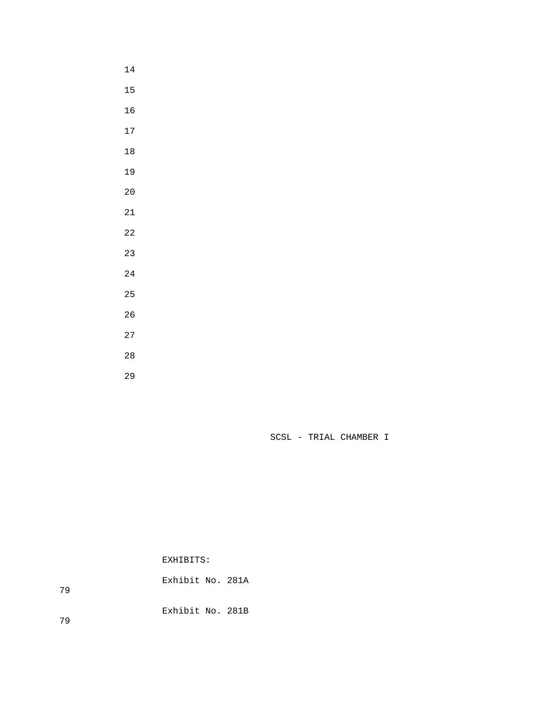- 
- 
- 
- 
- 
- 
- 
- 
- 
- 
- 
- 
- 
- 
- 
- 
- 
- 

SCSL - TRIAL CHAMBER I

EXHIBITS:

 Exhibit No. 281A Exhibit No. 281B